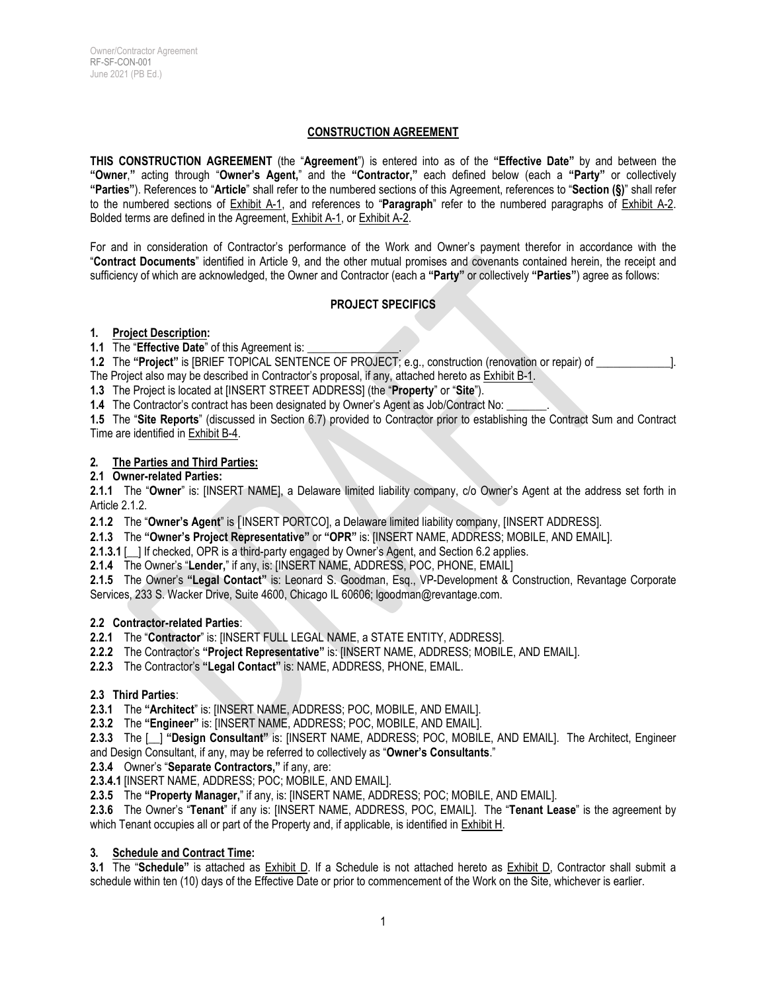## **CONSTRUCTION AGREEMENT**

**THIS CONSTRUCTION AGREEMENT** (the "**Agreement**") is entered into as of the **"Effective Date"** by and between the **"Owner**,**"** acting through "**Owner's Agent,**" and the **"Contractor,"** each defined below (each a **"Party"** or collectively **"Parties"**). References to "**Article**" shall refer to the numbered sections of this Agreement, references to "**Section (§)**" shall refer to the numbered sections of Exhibit A-1, and references to "**Paragraph**" refer to the numbered paragraphs of Exhibit A-2. Bolded terms are defined in the Agreement, Exhibit A-1, or Exhibit A-2.

For and in consideration of Contractor's performance of the Work and Owner's payment therefor in accordance with the "**Contract Documents**" identified in Article 9, and the other mutual promises and covenants contained herein, the receipt and sufficiency of which are acknowledged, the Owner and Contractor (each a **"Party"** or collectively **"Parties"**) agree as follows:

#### **PROJECT SPECIFICS**

#### **1. Project Description:**

**1.1** The "**Effective Date**" of this Agreement is:

**1.2** The "Project" is [BRIEF TOPICAL SENTENCE OF PROJECT; e.g., construction (renovation or repair) of  $\qquad$  ]. The Project also may be described in Contractor's proposal, if any, attached hereto as Exhibit B-1.

**1.3** The Project is located at [INSERT STREET ADDRESS] (the "**Property**" or "**Site**").

1.4 The Contractor's contract has been designated by Owner's Agent as Job/Contract No:

**1.5** The "**Site Reports**" (discussed in Section 6.7) provided to Contractor prior to establishing the Contract Sum and Contract Time are identified in Exhibit B-4.

#### **2. The Parties and Third Parties:**

#### **2.1 Owner-related Parties:**

**2.1.1** The "**Owner**" is: [INSERT NAME], a Delaware limited liability company, c/o Owner's Agent at the address set forth in Article 2.1.2.

**2.1.2** The "**Owner's Agent**" is [INSERT PORTCO], a Delaware limited liability company, [INSERT ADDRESS].

**2.1.3** The **"Owner's Project Representative"** or **"OPR"** is: [INSERT NAME, ADDRESS; MOBILE, AND EMAIL].

**2.1.3.1** [ ] If checked, OPR is a third-party engaged by Owner's Agent, and Section 6.2 applies.

**2.1.4** The Owner's "**Lender,**" if any, is: [INSERT NAME, ADDRESS, POC, PHONE, EMAIL]

**2.1.5** The Owner's **"Legal Contact"** is: Leonard S. Goodman, Esq., VP-Development & Construction, Revantage Corporate Services, 233 S. Wacker Drive, Suite 4600, Chicago IL 60606; lgoodman@revantage.com.

#### **2.2 Contractor-related Parties**:

**2.2.1** The "**Contractor**" is: [INSERT FULL LEGAL NAME, a STATE ENTITY, ADDRESS].

**2.2.2** The Contractor's **"Project Representative"** is: [INSERT NAME, ADDRESS; MOBILE, AND EMAIL].

**2.2.3** The Contractor's **"Legal Contact"** is: NAME, ADDRESS, PHONE, EMAIL.

#### **2.3 Third Parties**:

**2.3.1** The **"Architect**" is: [INSERT NAME, ADDRESS; POC, MOBILE, AND EMAIL].

**2.3.2** The **"Engineer"** is: [INSERT NAME, ADDRESS; POC, MOBILE, AND EMAIL].

**2.3.3** The [\_\_] **"Design Consultant"** is: [INSERT NAME, ADDRESS; POC, MOBILE, AND EMAIL]. The Architect, Engineer and Design Consultant, if any, may be referred to collectively as "**Owner's Consultants**."

**2.3.4** Owner's "**Separate Contractors,"** if any, are:

**2.3.4.1** [INSERT NAME, ADDRESS; POC; MOBILE, AND EMAIL].

**2.3.5** The **"Property Manager,**" if any, is: [INSERT NAME, ADDRESS; POC; MOBILE, AND EMAIL].

**2.3.6** The Owner's "**Tenant**" if any is: [INSERT NAME, ADDRESS, POC, EMAIL]. The "**Tenant Lease**" is the agreement by which Tenant occupies all or part of the Property and, if applicable, is identified in **Exhibit H**.

#### **3. Schedule and Contract Time:**

**3.1** The "**Schedule"** is attached as Exhibit D. If a Schedule is not attached hereto as Exhibit D, Contractor shall submit a schedule within ten (10) days of the Effective Date or prior to commencement of the Work on the Site, whichever is earlier.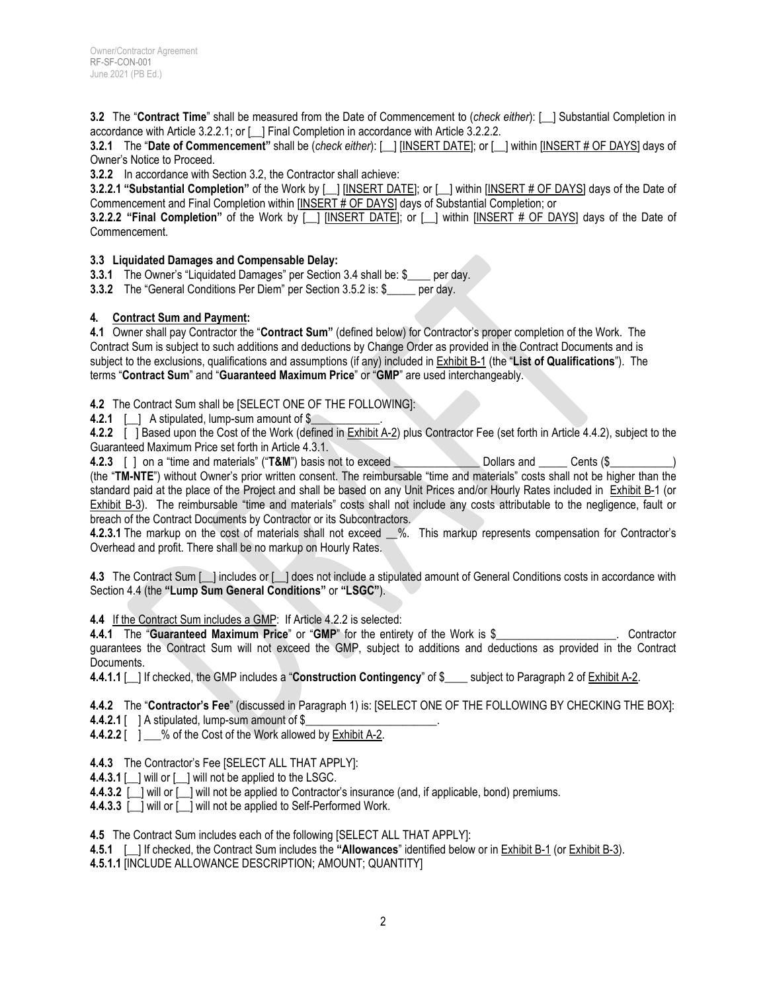**3.2** The "**Contract Time**" shall be measured from the Date of Commencement to (*check either*): [\_\_] Substantial Completion in accordance with Article 3.2.2.1; or [\_\_] Final Completion in accordance with Article 3.2.2.2.

**3.2.1** The "**Date of Commencement"** shall be (*check either*): [\_\_] [INSERT DATE]; or [\_\_] within [INSERT # OF DAYS] days of Owner's Notice to Proceed.

**3.2.2** In accordance with Section 3.2, the Contractor shall achieve:

**3.2.2.1 "Substantial Completion"** of the Work by  $\lceil$  [INSERT DATE]; or  $\lceil$  | within [INSERT # OF DAYS] days of the Date of Commencement and Final Completion within [INSERT # OF DAYS] days of Substantial Completion; or

**3.2.2.2** "Final Completion" of the Work by [ ] [INSERT DATE]; or [ ] within [INSERT # OF DAYS] days of the Date of Commencement.

#### **3.3 Liquidated Damages and Compensable Delay:**

**3.3.1** The Owner's "Liquidated Damages" per Section 3.4 shall be: \$\_\_\_\_ per day.

**3.3.2** The "General Conditions Per Diem" per Section 3.5.2 is: \$ \_\_\_\_ per day.

#### **4. Contract Sum and Payment:**

**4.1** Owner shall pay Contractor the "**Contract Sum"** (defined below) for Contractor's proper completion of the Work. The Contract Sum is subject to such additions and deductions by Change Order as provided in the Contract Documents and is subject to the exclusions, qualifications and assumptions (if any) included in Exhibit B-1 (the "**List of Qualifications**"). The terms "**Contract Sum**" and "**Guaranteed Maximum Price**" or "**GMP**" are used interchangeably.

**4.2** The Contract Sum shall be [SELECT ONE OF THE FOLLOWING]:

**4.2.1** [\_\_] A stipulated, lump-sum amount of \$

**4.2.2** [ ] Based upon the Cost of the Work (defined in Exhibit A-2) plus Contractor Fee (set forth in Article 4.4.2), subject to the Guaranteed Maximum Price set forth in Article 4.3.1.

**4.2.3** [ ] on a "time and materials" ("T&M") basis not to exceed \_\_\_\_\_\_\_\_\_\_\_\_\_\_\_ Dollars and \_\_\_\_\_ Cents (\$\_ (the "**TM-NTE**") without Owner's prior written consent. The reimbursable "time and materials" costs shall not be higher than the standard paid at the place of the Project and shall be based on any Unit Prices and/or Hourly Rates included in Exhibit B-1 (or Exhibit B-3). The reimbursable "time and materials" costs shall not include any costs attributable to the negligence, fault or breach of the Contract Documents by Contractor or its Subcontractors.

**4.2.3.1** The markup on the cost of materials shall not exceed %. This markup represents compensation for Contractor's Overhead and profit. There shall be no markup on Hourly Rates.

**4.3** The Contract Sum [\_\_] includes or [\_\_] does not include a stipulated amount of General Conditions costs in accordance with Section 4.4 (the **"Lump Sum General Conditions"** or **"LSGC"**).

**4.4** If the Contract Sum includes a GMP: If Article 4.2.2 is selected:

**4.4.1** The "**Guaranteed Maximum Price**" or "**GMP**" for the entirety of the Work is \$\_\_\_\_\_\_\_\_\_\_\_\_\_\_\_\_\_\_\_\_\_. Contractor guarantees the Contract Sum will not exceed the GMP, subject to additions and deductions as provided in the Contract Documents.

**4.4.1.1** | If checked, the GMP includes a "**Construction Contingency**" of \$ \_\_\_ subject to Paragraph 2 of Exhibit A-2.

**4.4.2** The "**Contractor's Fee**" (discussed in Paragraph 1) is: [SELECT ONE OF THE FOLLOWING BY CHECKING THE BOX]:

**4.4.2.1** [ ] A stipulated, lump-sum amount of \$

**4.4.2.2** [ ] % of the Cost of the Work allowed by Exhibit A-2.

**4.4.3** The Contractor's Fee [SELECT ALL THAT APPLY]:

**4.4.3.1** [\_\_] will or [\_\_] will not be applied to the LSGC.

**4.4.3.2** [\_\_] will or [\_\_] will not be applied to Contractor's insurance (and, if applicable, bond) premiums.

**4.4.3.3** [\_\_] will or [\_\_] will not be applied to Self-Performed Work.

**4.5** The Contract Sum includes each of the following [SELECT ALL THAT APPLY]:

**4.5.1** [\_\_] If checked, the Contract Sum includes the **"Allowances**" identified below or in Exhibit B-1 (or Exhibit B-3).

**4.5.1.1** [INCLUDE ALLOWANCE DESCRIPTION; AMOUNT; QUANTITY]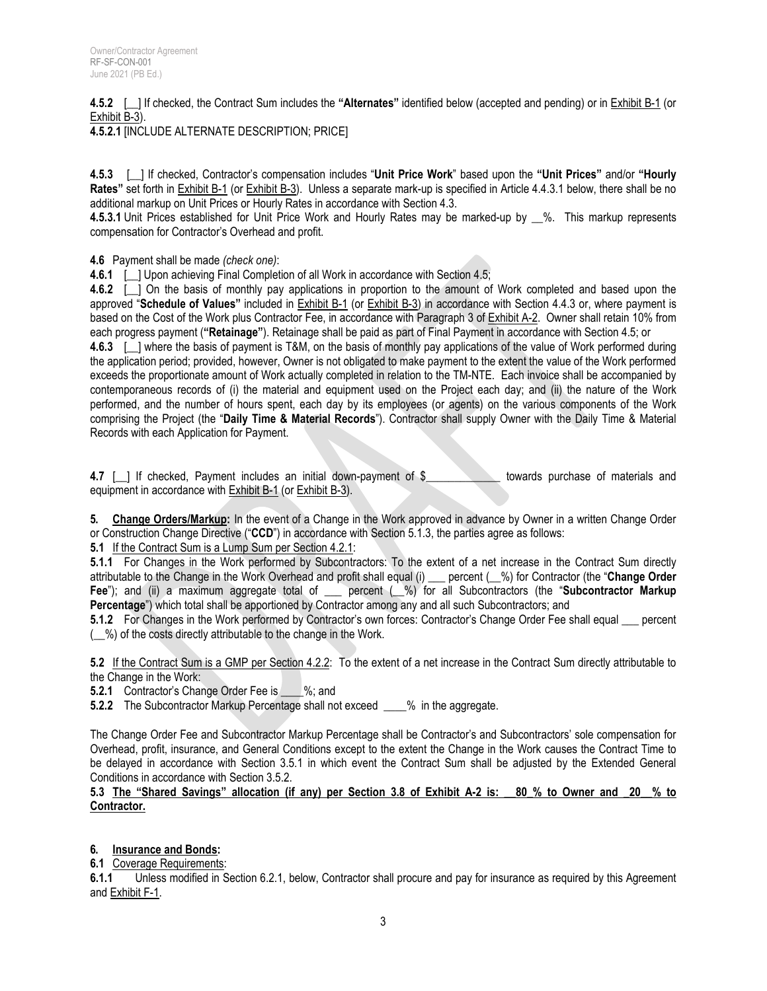**4.5.2** [\_\_] If checked, the Contract Sum includes the **"Alternates"** identified below (accepted and pending) or in Exhibit B-1 (or Exhibit B-3).

**4.5.2.1** [INCLUDE ALTERNATE DESCRIPTION; PRICE]

**4.5.3** [\_\_] If checked, Contractor's compensation includes "**Unit Price Work**" based upon the **"Unit Prices"** and/or **"Hourly Rates"** set forth in Exhibit B-1 (or Exhibit B-3). Unless a separate mark-up is specified in Article 4.4.3.1 below, there shall be no additional markup on Unit Prices or Hourly Rates in accordance with Section 4.3.

**4.5.3.1** Unit Prices established for Unit Price Work and Hourly Rates may be marked-up by \_\_%. This markup represents compensation for Contractor's Overhead and profit.

**4.6** Payment shall be made *(check one)*:

**4.6.1** [ \_] Upon achieving Final Completion of all Work in accordance with Section 4.5;

**4.6.2** [\_\_] On the basis of monthly pay applications in proportion to the amount of Work completed and based upon the approved "**Schedule of Values"** included in Exhibit B-1 (or Exhibit B-3) in accordance with Section 4.4.3 or, where payment is based on the Cost of the Work plus Contractor Fee, in accordance with Paragraph 3 of Exhibit A-2. Owner shall retain 10% from each progress payment (**"Retainage"**). Retainage shall be paid as part of Final Payment in accordance with Section 4.5; or

**4.6.3** [ ] where the basis of payment is T&M, on the basis of monthly pay applications of the value of Work performed during the application period; provided, however, Owner is not obligated to make payment to the extent the value of the Work performed exceeds the proportionate amount of Work actually completed in relation to the TM-NTE. Each invoice shall be accompanied by contemporaneous records of (i) the material and equipment used on the Project each day; and (ii) the nature of the Work performed, and the number of hours spent, each day by its employees (or agents) on the various components of the Work comprising the Project (the "**Daily Time & Material Records**"). Contractor shall supply Owner with the Daily Time & Material Records with each Application for Payment.

**4.7** [ ] If checked, Payment includes an initial down-payment of \$ towards purchase of materials and equipment in accordance with Exhibit B-1 (or Exhibit B-3).

**5. Change Orders/Markup:** In the event of a Change in the Work approved in advance by Owner in a written Change Order or Construction Change Directive ("**CCD**") in accordance with Section 5.1.3, the parties agree as follows:

**5.1** If the Contract Sum is a Lump Sum per Section 4.2.1:

**5.1.1** For Changes in the Work performed by Subcontractors: To the extent of a net increase in the Contract Sum directly attributable to the Change in the Work Overhead and profit shall equal (i) \_\_\_ percent (\_\_%) for Contractor (the "**Change Order Fee**"); and (ii) a maximum aggregate total of \_\_\_ percent (\_\_%) for all Subcontractors (the "**Subcontractor Markup Percentage**") which total shall be apportioned by Contractor among any and all such Subcontractors; and

**5.1.2** For Changes in the Work performed by Contractor's own forces: Contractor's Change Order Fee shall equal percent (\_\_%) of the costs directly attributable to the change in the Work.

**5.2** If the Contract Sum is a GMP per Section 4.2.2: To the extent of a net increase in the Contract Sum directly attributable to the Change in the Work:

**5.2.1** Contractor's Change Order Fee is %; and

**5.2.2** The Subcontractor Markup Percentage shall not exceed \_\_\_\_% in the aggregate.

The Change Order Fee and Subcontractor Markup Percentage shall be Contractor's and Subcontractors' sole compensation for Overhead, profit, insurance, and General Conditions except to the extent the Change in the Work causes the Contract Time to be delayed in accordance with Section 3.5.1 in which event the Contract Sum shall be adjusted by the Extended General Conditions in accordance with Section 3.5.2.

**5.3 The "Shared Savings" allocation (if any) per Section 3.8 of Exhibit A-2 is: \_\_80\_% to Owner and \_20\_\_% to Contractor.**

## **6. Insurance and Bonds:**

**6.1** Coverage Requirements:

**6.1.1** Unless modified in Section 6.2.1, below, Contractor shall procure and pay for insurance as required by this Agreement and Exhibit F-1.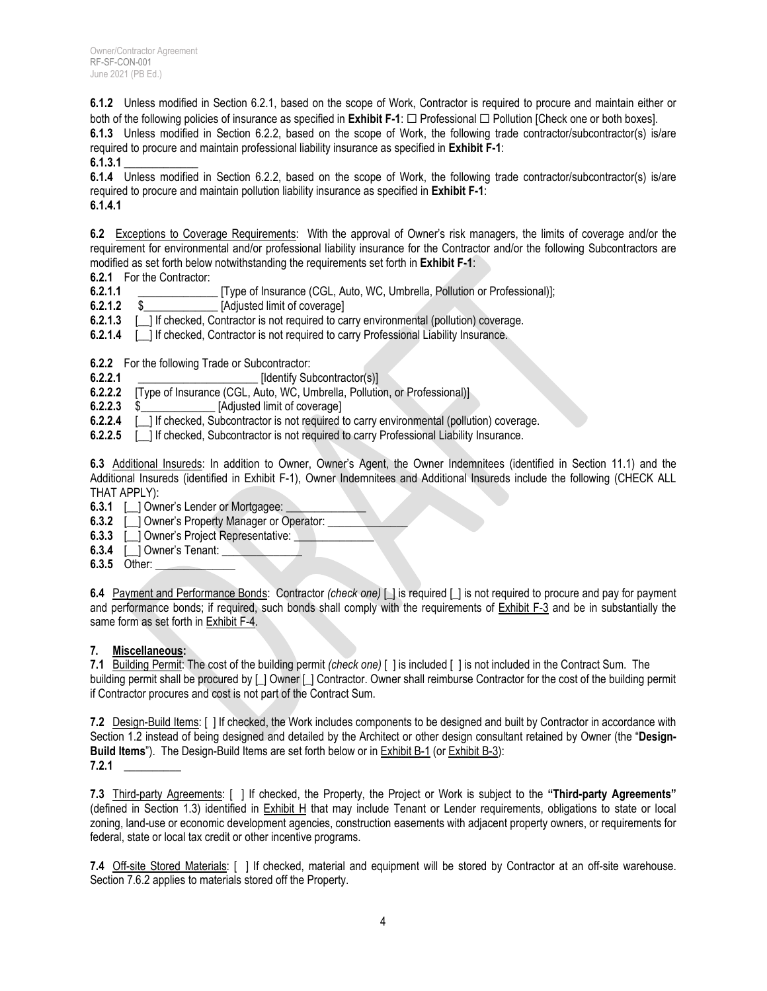**6.1.2** Unless modified in Section 6.2.1, based on the scope of Work, Contractor is required to procure and maintain either or both of the following policies of insurance as specified in **Exhibit F-1**: ☐ Professional ☐ Pollution [Check one or both boxes].

**6.1.3** Unless modified in Section 6.2.2, based on the scope of Work, the following trade contractor/subcontractor(s) is/are required to procure and maintain professional liability insurance as specified in **Exhibit F-1**:

**6.1.3.1** \_\_\_\_\_\_\_\_\_\_\_\_\_

**6.1.4** Unless modified in Section 6.2.2, based on the scope of Work, the following trade contractor/subcontractor(s) is/are required to procure and maintain pollution liability insurance as specified in **Exhibit F-1**: **6.1.4.1**

**6.2** Exceptions to Coverage Requirements: With the approval of Owner's risk managers, the limits of coverage and/or the requirement for environmental and/or professional liability insurance for the Contractor and/or the following Subcontractors are modified as set forth below notwithstanding the requirements set forth in **Exhibit F-1**:

**6.2.1** For the Contractor:

**6.2.1.1** \_\_\_\_\_\_\_\_\_\_\_\_\_\_ [Type of Insurance (CGL, Auto, WC, Umbrella, Pollution or Professional)];

**6.2.1.2** \$\_\_\_\_\_\_\_\_\_\_\_\_\_ [Adjusted limit of coverage]

**6.2.1.3** [ ] If checked, Contractor is not required to carry environmental (pollution) coverage.

**6.2.1.4** [ ] If checked, Contractor is not required to carry Professional Liability Insurance.

**6.2.2** For the following Trade or Subcontractor:

**6.2.2.1** \_\_\_\_\_\_\_\_\_\_\_\_\_\_\_\_\_\_\_\_\_ [Identify Subcontractor(s)]

**6.2.2.2** [Type of Insurance (CGL, Auto, WC, Umbrella, Pollution, or Professional)]

**6.2.2.3** \$\_\_\_\_\_\_\_\_\_\_\_\_\_ [Adjusted limit of coverage]

**6.2.2.4** [ ] If checked, Subcontractor is not required to carry environmental (pollution) coverage.

**6.2.2.5** [ ] If checked, Subcontractor is not required to carry Professional Liability Insurance.

**6.3** Additional Insureds: In addition to Owner, Owner's Agent, the Owner Indemnitees (identified in Section 11.1) and the Additional Insureds (identified in Exhibit F-1), Owner Indemnitees and Additional Insureds include the following (CHECK ALL THAT APPLY):

- **6.3.1** [ ] Owner's Lender or Mortgagee:
- **6.3.2** [ ] Owner's Property Manager or Operator:
- **6.3.3** [ \_ ] Owner's Project Representative:
- **6.3.4** [ <u></u>] Owner's Tenant:
- **6.3.5** Other:

**6.4** Payment and Performance Bonds: Contractor *(check one)* [\_] is required [\_] is not required to procure and pay for payment and performance bonds; if required, such bonds shall comply with the requirements of Exhibit F-3 and be in substantially the same form as set forth in Exhibit F-4.

#### **7. Miscellaneous:**

**7.1** Building Permit: The cost of the building permit *(check one)* [ ] is included [ ] is not included in the Contract Sum. The building permit shall be procured by [\_] Owner [\_] Contractor. Owner shall reimburse Contractor for the cost of the building permit if Contractor procures and cost is not part of the Contract Sum.

**7.2** Design-Build Items: [ ] If checked, the Work includes components to be designed and built by Contractor in accordance with Section 1.2 instead of being designed and detailed by the Architect or other design consultant retained by Owner (the "**Design-Build Items**"). The Design-Build Items are set forth below or in Exhibit B-1 (or Exhibit B-3): **7.2.1** \_\_\_\_\_\_\_\_\_\_

**7.3** Third-party Agreements: [ ] If checked, the Property, the Project or Work is subject to the **"Third-party Agreements"**  (defined in Section 1.3) identified in Exhibit H that may include Tenant or Lender requirements, obligations to state or local zoning, land-use or economic development agencies, construction easements with adjacent property owners, or requirements for federal, state or local tax credit or other incentive programs.

**7.4** Off-site Stored Materials: [ ] If checked, material and equipment will be stored by Contractor at an off-site warehouse. Section 7.6.2 applies to materials stored off the Property.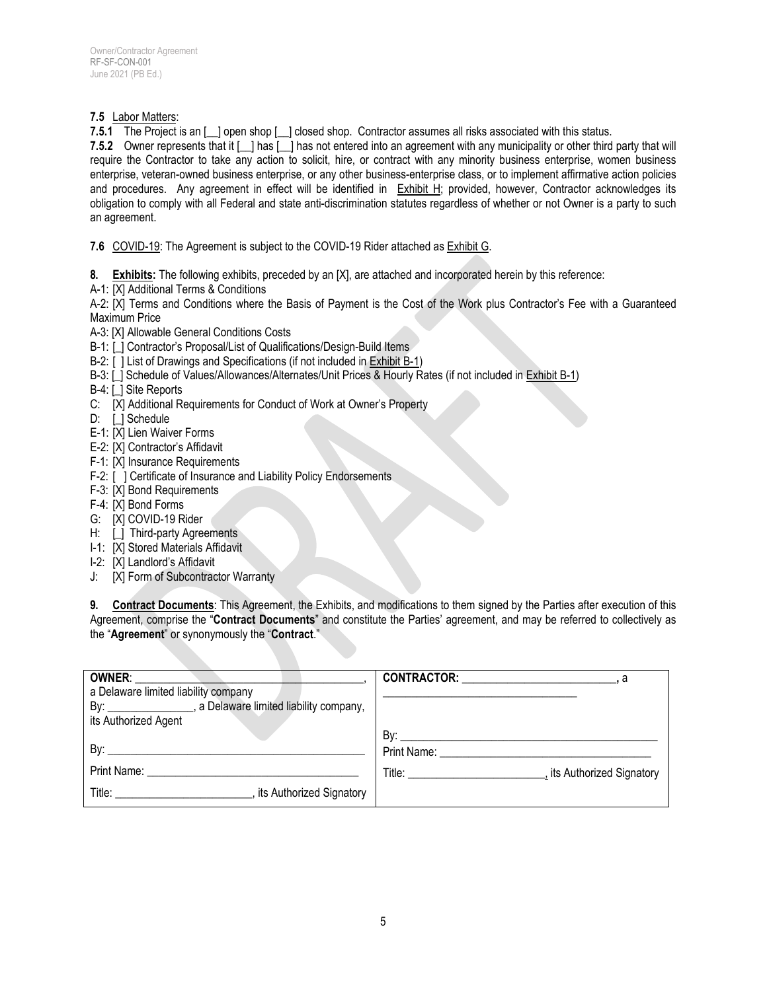#### **7.5** Labor Matters:

**7.5.1** The Project is an [\_\_] open shop [\_\_] closed shop. Contractor assumes all risks associated with this status.

**7.5.2** Owner represents that it [\_\_] has [\_\_] has not entered into an agreement with any municipality or other third party that will require the Contractor to take any action to solicit, hire, or contract with any minority business enterprise, women business enterprise, veteran-owned business enterprise, or any other business-enterprise class, or to implement affirmative action policies and procedures. Any agreement in effect will be identified in Exhibit H; provided, however, Contractor acknowledges its obligation to comply with all Federal and state anti-discrimination statutes regardless of whether or not Owner is a party to such an agreement.

**7.6** COVID-19: The Agreement is subject to the COVID-19 Rider attached as Exhibit G.

- **8. Exhibits:** The following exhibits, preceded by an [X], are attached and incorporated herein by this reference:
- A-1: [X] Additional Terms & Conditions

A-2: [X] Terms and Conditions where the Basis of Payment is the Cost of the Work plus Contractor's Fee with a Guaranteed Maximum Price

- A-3: [X] Allowable General Conditions Costs
- B-1: [ ] Contractor's Proposal/List of Qualifications/Design-Build Items
- B-2: [ ] List of Drawings and Specifications (if not included in Exhibit B-1)
- B-3: [\_] Schedule of Values/Allowances/Alternates/Unit Prices & Hourly Rates (if not included in Exhibit B-1)
- B-4: [ ] Site Reports
- C: [X] Additional Requirements for Conduct of Work at Owner's Property
- D: [] Schedule
- E-1: [X] Lien Waiver Forms
- E-2: [X] Contractor's Affidavit
- F-1: [X] Insurance Requirements
- F-2: [ ] Certificate of Insurance and Liability Policy Endorsements
- F-3: [X] Bond Requirements
- F-4: [X] Bond Forms
- G: [X] COVID-19 Rider
- H: [] Third-party Agreements
- I-1: [X] Stored Materials Affidavit
- I-2: [X] Landlord's Affidavit
- J: [X] Form of Subcontractor Warranty

**9. Contract Documents**: This Agreement, the Exhibits, and modifications to them signed by the Parties after execution of this Agreement, comprise the "**Contract Documents**" and constitute the Parties' agreement, and may be referred to collectively as the "**Agreement**" or synonymously the "**Contract**."

| <b>OWNER:</b>                                                | <b>CONTRACTOR:</b> The contract of the contract of the contract of the contract of the contract of the contract of the contract of the contract of the contract of the contract of the contract of the contract of the contract of                                |
|--------------------------------------------------------------|-------------------------------------------------------------------------------------------------------------------------------------------------------------------------------------------------------------------------------------------------------------------|
| a Delaware limited liability company                         |                                                                                                                                                                                                                                                                   |
| By: _________________, a Delaware limited liability company, |                                                                                                                                                                                                                                                                   |
| its Authorized Agent                                         |                                                                                                                                                                                                                                                                   |
|                                                              |                                                                                                                                                                                                                                                                   |
| By: $\qquad \qquad$                                          | <b>Print Name:</b> Print Name:                                                                                                                                                                                                                                    |
|                                                              | <b>Title:</b> The contract of the contract of the contract of the contract of the contract of the contract of the contract of the contract of the contract of the contract of the contract of the contract of the contract of the c<br>, its Authorized Signatory |
|                                                              |                                                                                                                                                                                                                                                                   |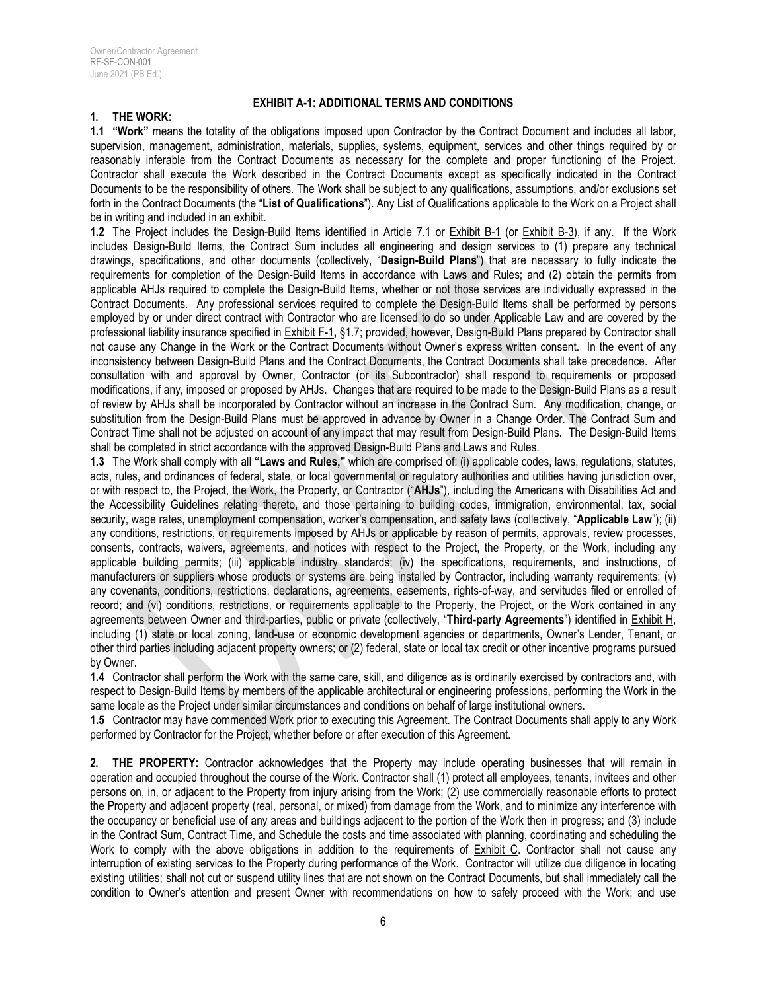## **EXHIBIT A-1: ADDITIONAL TERMS AND CONDITIONS**

#### **1. THE WORK:**

**1.1 "Work"** means the totality of the obligations imposed upon Contractor by the Contract Document and includes all labor, supervision, management, administration, materials, supplies, systems, equipment, services and other things required by or reasonably inferable from the Contract Documents as necessary for the complete and proper functioning of the Project. Contractor shall execute the Work described in the Contract Documents except as specifically indicated in the Contract Documents to be the responsibility of others. The Work shall be subject to any qualifications, assumptions, and/or exclusions set forth in the Contract Documents (the "**List of Qualifications**"). Any List of Qualifications applicable to the Work on a Project shall be in writing and included in an exhibit.

**1.2** The Project includes the Design-Build Items identified in Article 7.1 or Exhibit B-1 (or Exhibit B-3), if any. If the Work includes Design-Build Items, the Contract Sum includes all engineering and design services to (1) prepare any technical drawings, specifications, and other documents (collectively, "**Design-Build Plans**") that are necessary to fully indicate the requirements for completion of the Design-Build Items in accordance with Laws and Rules; and (2) obtain the permits from applicable AHJs required to complete the Design-Build Items, whether or not those services are individually expressed in the Contract Documents. Any professional services required to complete the Design-Build Items shall be performed by persons employed by or under direct contract with Contractor who are licensed to do so under Applicable Law and are covered by the professional liability insurance specified in Exhibit F-1**,** §1.7; provided, however, Design-Build Plans prepared by Contractor shall not cause any Change in the Work or the Contract Documents without Owner's express written consent. In the event of any inconsistency between Design-Build Plans and the Contract Documents, the Contract Documents shall take precedence. After consultation with and approval by Owner, Contractor (or its Subcontractor) shall respond to requirements or proposed modifications, if any, imposed or proposed by AHJs. Changes that are required to be made to the Design-Build Plans as a result of review by AHJs shall be incorporated by Contractor without an increase in the Contract Sum. Any modification, change, or substitution from the Design-Build Plans must be approved in advance by Owner in a Change Order. The Contract Sum and Contract Time shall not be adjusted on account of any impact that may result from Design-Build Plans. The Design-Build Items shall be completed in strict accordance with the approved Design-Build Plans and Laws and Rules.

**1.3** The Work shall comply with all **"Laws and Rules,"** which are comprised of: (i) applicable codes, laws, regulations, statutes, acts, rules, and ordinances of federal, state, or local governmental or regulatory authorities and utilities having jurisdiction over, or with respect to, the Project, the Work, the Property, or Contractor ("**AHJs**"), including the Americans with Disabilities Act and the Accessibility Guidelines relating thereto, and those pertaining to building codes, immigration, environmental, tax, social security, wage rates, unemployment compensation, worker's compensation, and safety laws (collectively, "**Applicable Law**"); (ii) any conditions, restrictions, or requirements imposed by AHJs or applicable by reason of permits, approvals, review processes, consents, contracts, waivers, agreements, and notices with respect to the Project, the Property, or the Work, including any applicable building permits; (iii) applicable industry standards; (iv) the specifications, requirements, and instructions, of manufacturers or suppliers whose products or systems are being installed by Contractor, including warranty requirements; (v) any covenants, conditions, restrictions, declarations, agreements, easements, rights-of-way, and servitudes filed or enrolled of record; and (vi) conditions, restrictions, or requirements applicable to the Property, the Project, or the Work contained in any agreements between Owner and third-parties, public or private (collectively, "**Third-party Agreements**") identified in Exhibit H, including (1) state or local zoning, land-use or economic development agencies or departments, Owner's Lender, Tenant, or other third parties including adjacent property owners; or (2) federal, state or local tax credit or other incentive programs pursued by Owner.

**1.4** Contractor shall perform the Work with the same care, skill, and diligence as is ordinarily exercised by contractors and, with respect to Design-Build Items by members of the applicable architectural or engineering professions, performing the Work in the same locale as the Project under similar circumstances and conditions on behalf of large institutional owners.

**1.5** Contractor may have commenced Work prior to executing this Agreement. The Contract Documents shall apply to any Work performed by Contractor for the Project, whether before or after execution of this Agreement.

**2. THE PROPERTY:** Contractor acknowledges that the Property may include operating businesses that will remain in operation and occupied throughout the course of the Work. Contractor shall (1) protect all employees, tenants, invitees and other persons on, in, or adjacent to the Property from injury arising from the Work; (2) use commercially reasonable efforts to protect the Property and adjacent property (real, personal, or mixed) from damage from the Work, and to minimize any interference with the occupancy or beneficial use of any areas and buildings adjacent to the portion of the Work then in progress; and (3) include in the Contract Sum, Contract Time, and Schedule the costs and time associated with planning, coordinating and scheduling the Work to comply with the above obligations in addition to the requirements of Exhibit C. Contractor shall not cause any interruption of existing services to the Property during performance of the Work. Contractor will utilize due diligence in locating existing utilities; shall not cut or suspend utility lines that are not shown on the Contract Documents, but shall immediately call the condition to Owner's attention and present Owner with recommendations on how to safely proceed with the Work; and use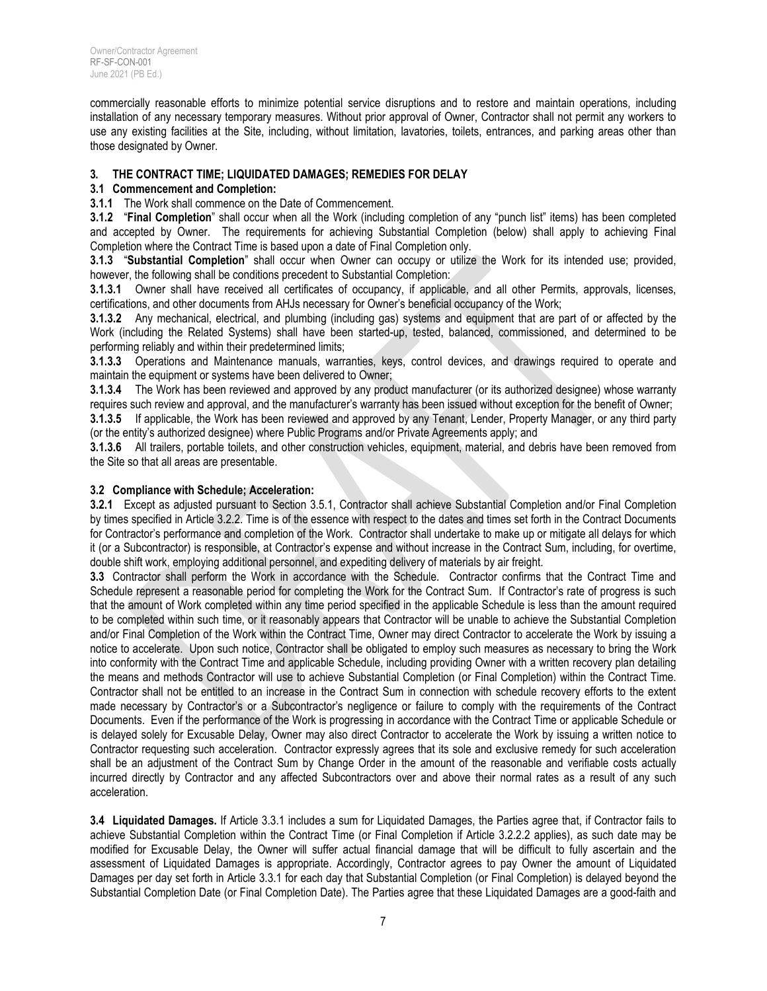commercially reasonable efforts to minimize potential service disruptions and to restore and maintain operations, including installation of any necessary temporary measures. Without prior approval of Owner, Contractor shall not permit any workers to use any existing facilities at the Site, including, without limitation, lavatories, toilets, entrances, and parking areas other than those designated by Owner.

#### **3. THE CONTRACT TIME; LIQUIDATED DAMAGES; REMEDIES FOR DELAY**

#### **3.1 Commencement and Completion:**

**3.1.1** The Work shall commence on the Date of Commencement.

**3.1.2** "**Final Completion**" shall occur when all the Work (including completion of any "punch list" items) has been completed and accepted by Owner. The requirements for achieving Substantial Completion (below) shall apply to achieving Final Completion where the Contract Time is based upon a date of Final Completion only.

**3.1.3** "**Substantial Completion**" shall occur when Owner can occupy or utilize the Work for its intended use; provided, however, the following shall be conditions precedent to Substantial Completion:

**3.1.3.1** Owner shall have received all certificates of occupancy, if applicable, and all other Permits, approvals, licenses, certifications, and other documents from AHJs necessary for Owner's beneficial occupancy of the Work;

**3.1.3.2** Any mechanical, electrical, and plumbing (including gas) systems and equipment that are part of or affected by the Work (including the Related Systems) shall have been started-up, tested, balanced, commissioned, and determined to be performing reliably and within their predetermined limits;

**3.1.3.3** Operations and Maintenance manuals, warranties, keys, control devices, and drawings required to operate and maintain the equipment or systems have been delivered to Owner;

**3.1.3.4** The Work has been reviewed and approved by any product manufacturer (or its authorized designee) whose warranty requires such review and approval, and the manufacturer's warranty has been issued without exception for the benefit of Owner;

**3.1.3.5** If applicable, the Work has been reviewed and approved by any Tenant, Lender, Property Manager, or any third party (or the entity's authorized designee) where Public Programs and/or Private Agreements apply; and

**3.1.3.6** All trailers, portable toilets, and other construction vehicles, equipment, material, and debris have been removed from the Site so that all areas are presentable.

#### **3.2 Compliance with Schedule; Acceleration:**

**3.2.1** Except as adjusted pursuant to Section 3.5.1, Contractor shall achieve Substantial Completion and/or Final Completion by times specified in Article 3.2.2. Time is of the essence with respect to the dates and times set forth in the Contract Documents for Contractor's performance and completion of the Work. Contractor shall undertake to make up or mitigate all delays for which it (or a Subcontractor) is responsible, at Contractor's expense and without increase in the Contract Sum, including, for overtime, double shift work, employing additional personnel, and expediting delivery of materials by air freight.

**3.3** Contractor shall perform the Work in accordance with the Schedule. Contractor confirms that the Contract Time and Schedule represent a reasonable period for completing the Work for the Contract Sum. If Contractor's rate of progress is such that the amount of Work completed within any time period specified in the applicable Schedule is less than the amount required to be completed within such time, or it reasonably appears that Contractor will be unable to achieve the Substantial Completion and/or Final Completion of the Work within the Contract Time, Owner may direct Contractor to accelerate the Work by issuing a notice to accelerate. Upon such notice, Contractor shall be obligated to employ such measures as necessary to bring the Work into conformity with the Contract Time and applicable Schedule, including providing Owner with a written recovery plan detailing the means and methods Contractor will use to achieve Substantial Completion (or Final Completion) within the Contract Time. Contractor shall not be entitled to an increase in the Contract Sum in connection with schedule recovery efforts to the extent made necessary by Contractor's or a Subcontractor's negligence or failure to comply with the requirements of the Contract Documents. Even if the performance of the Work is progressing in accordance with the Contract Time or applicable Schedule or is delayed solely for Excusable Delay, Owner may also direct Contractor to accelerate the Work by issuing a written notice to Contractor requesting such acceleration. Contractor expressly agrees that its sole and exclusive remedy for such acceleration shall be an adjustment of the Contract Sum by Change Order in the amount of the reasonable and verifiable costs actually incurred directly by Contractor and any affected Subcontractors over and above their normal rates as a result of any such acceleration.

**3.4 Liquidated Damages.** If Article 3.3.1 includes a sum for Liquidated Damages, the Parties agree that, if Contractor fails to achieve Substantial Completion within the Contract Time (or Final Completion if Article 3.2.2.2 applies), as such date may be modified for Excusable Delay, the Owner will suffer actual financial damage that will be difficult to fully ascertain and the assessment of Liquidated Damages is appropriate. Accordingly, Contractor agrees to pay Owner the amount of Liquidated Damages per day set forth in Article 3.3.1 for each day that Substantial Completion (or Final Completion) is delayed beyond the Substantial Completion Date (or Final Completion Date). The Parties agree that these Liquidated Damages are a good-faith and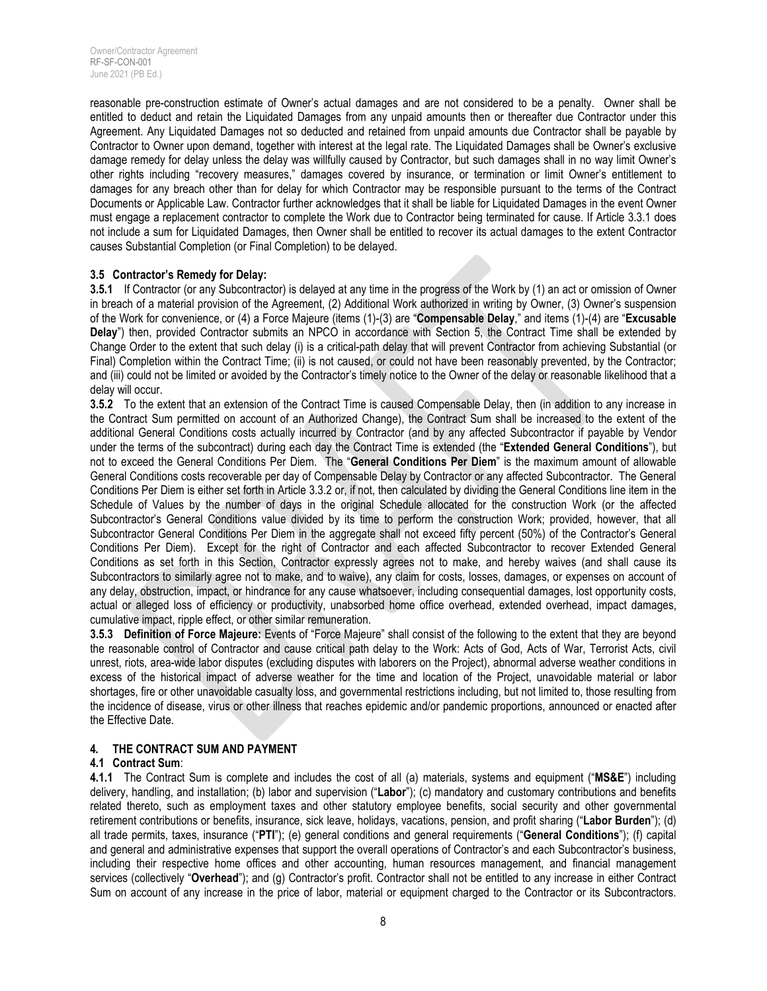reasonable pre-construction estimate of Owner's actual damages and are not considered to be a penalty. Owner shall be entitled to deduct and retain the Liquidated Damages from any unpaid amounts then or thereafter due Contractor under this Agreement. Any Liquidated Damages not so deducted and retained from unpaid amounts due Contractor shall be payable by Contractor to Owner upon demand, together with interest at the legal rate. The Liquidated Damages shall be Owner's exclusive damage remedy for delay unless the delay was willfully caused by Contractor, but such damages shall in no way limit Owner's other rights including "recovery measures," damages covered by insurance, or termination or limit Owner's entitlement to damages for any breach other than for delay for which Contractor may be responsible pursuant to the terms of the Contract Documents or Applicable Law. Contractor further acknowledges that it shall be liable for Liquidated Damages in the event Owner must engage a replacement contractor to complete the Work due to Contractor being terminated for cause. If Article 3.3.1 does not include a sum for Liquidated Damages, then Owner shall be entitled to recover its actual damages to the extent Contractor causes Substantial Completion (or Final Completion) to be delayed.

#### **3.5 Contractor's Remedy for Delay:**

**3.5.1** If Contractor (or any Subcontractor) is delayed at any time in the progress of the Work by (1) an act or omission of Owner in breach of a material provision of the Agreement, (2) Additional Work authorized in writing by Owner, (3) Owner's suspension of the Work for convenience, or (4) a Force Majeure (items (1)-(3) are "**Compensable Delay**," and items (1)-(4) are "**Excusable Delay**") then, provided Contractor submits an NPCO in accordance with Section 5, the Contract Time shall be extended by Change Order to the extent that such delay (i) is a critical-path delay that will prevent Contractor from achieving Substantial (or Final) Completion within the Contract Time; (ii) is not caused, or could not have been reasonably prevented, by the Contractor; and (iii) could not be limited or avoided by the Contractor's timely notice to the Owner of the delay or reasonable likelihood that a delay will occur.

**3.5.2** To the extent that an extension of the Contract Time is caused Compensable Delay, then (in addition to any increase in the Contract Sum permitted on account of an Authorized Change), the Contract Sum shall be increased to the extent of the additional General Conditions costs actually incurred by Contractor (and by any affected Subcontractor if payable by Vendor under the terms of the subcontract) during each day the Contract Time is extended (the "**Extended General Conditions**"), but not to exceed the General Conditions Per Diem. The "**General Conditions Per Diem**" is the maximum amount of allowable General Conditions costs recoverable per day of Compensable Delay by Contractor or any affected Subcontractor. The General Conditions Per Diem is either set forth in Article 3.3.2 or, if not, then calculated by dividing the General Conditions line item in the Schedule of Values by the number of days in the original Schedule allocated for the construction Work (or the affected Subcontractor's General Conditions value divided by its time to perform the construction Work; provided, however, that all Subcontractor General Conditions Per Diem in the aggregate shall not exceed fifty percent (50%) of the Contractor's General Conditions Per Diem). Except for the right of Contractor and each affected Subcontractor to recover Extended General Conditions as set forth in this Section, Contractor expressly agrees not to make, and hereby waives (and shall cause its Subcontractors to similarly agree not to make, and to waive), any claim for costs, losses, damages, or expenses on account of any delay, obstruction, impact, or hindrance for any cause whatsoever, including consequential damages, lost opportunity costs, actual or alleged loss of efficiency or productivity, unabsorbed home office overhead, extended overhead, impact damages, cumulative impact, ripple effect, or other similar remuneration.

**3.5.3 Definition of Force Majeure:** Events of "Force Majeure" shall consist of the following to the extent that they are beyond the reasonable control of Contractor and cause critical path delay to the Work: Acts of God, Acts of War, Terrorist Acts, civil unrest, riots, area-wide labor disputes (excluding disputes with laborers on the Project), abnormal adverse weather conditions in excess of the historical impact of adverse weather for the time and location of the Project, unavoidable material or labor shortages, fire or other unavoidable casualty loss, and governmental restrictions including, but not limited to, those resulting from the incidence of disease, virus or other illness that reaches epidemic and/or pandemic proportions, announced or enacted after the Effective Date.

#### **4. THE CONTRACT SUM AND PAYMENT**

#### **4.1 Contract Sum**:

**4.1.1** The Contract Sum is complete and includes the cost of all (a) materials, systems and equipment ("**MS&E**") including delivery, handling, and installation; (b) labor and supervision ("**Labor**"); (c) mandatory and customary contributions and benefits related thereto, such as employment taxes and other statutory employee benefits, social security and other governmental retirement contributions or benefits, insurance, sick leave, holidays, vacations, pension, and profit sharing ("**Labor Burden**"); (d) all trade permits, taxes, insurance ("**PTI**"); (e) general conditions and general requirements ("**General Conditions**"); (f) capital and general and administrative expenses that support the overall operations of Contractor's and each Subcontractor's business, including their respective home offices and other accounting, human resources management, and financial management services (collectively "**Overhead**"); and (g) Contractor's profit. Contractor shall not be entitled to any increase in either Contract Sum on account of any increase in the price of labor, material or equipment charged to the Contractor or its Subcontractors.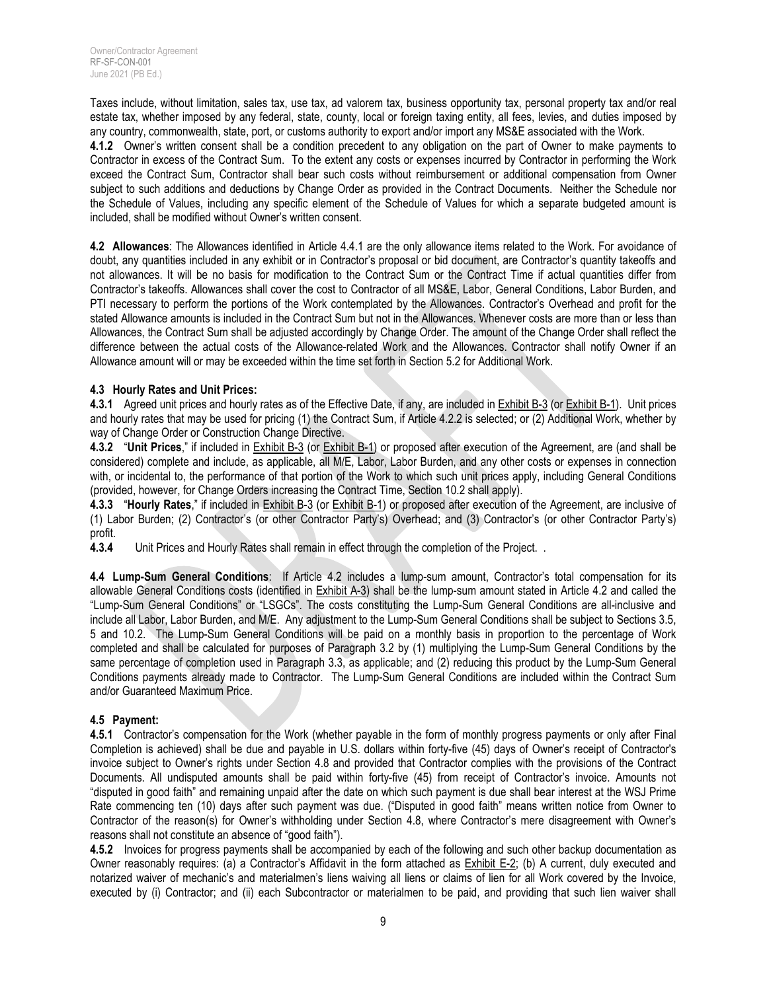Taxes include, without limitation, sales tax, use tax, ad valorem tax, business opportunity tax, personal property tax and/or real estate tax, whether imposed by any federal, state, county, local or foreign taxing entity, all fees, levies, and duties imposed by any country, commonwealth, state, port, or customs authority to export and/or import any MS&E associated with the Work.

**4.1.2** Owner's written consent shall be a condition precedent to any obligation on the part of Owner to make payments to Contractor in excess of the Contract Sum. To the extent any costs or expenses incurred by Contractor in performing the Work exceed the Contract Sum, Contractor shall bear such costs without reimbursement or additional compensation from Owner subject to such additions and deductions by Change Order as provided in the Contract Documents. Neither the Schedule nor the Schedule of Values, including any specific element of the Schedule of Values for which a separate budgeted amount is included, shall be modified without Owner's written consent.

**4.2 Allowances**: The Allowances identified in Article 4.4.1 are the only allowance items related to the Work. For avoidance of doubt, any quantities included in any exhibit or in Contractor's proposal or bid document, are Contractor's quantity takeoffs and not allowances. It will be no basis for modification to the Contract Sum or the Contract Time if actual quantities differ from Contractor's takeoffs. Allowances shall cover the cost to Contractor of all MS&E, Labor, General Conditions, Labor Burden, and PTI necessary to perform the portions of the Work contemplated by the Allowances. Contractor's Overhead and profit for the stated Allowance amounts is included in the Contract Sum but not in the Allowances. Whenever costs are more than or less than Allowances, the Contract Sum shall be adjusted accordingly by Change Order. The amount of the Change Order shall reflect the difference between the actual costs of the Allowance-related Work and the Allowances. Contractor shall notify Owner if an Allowance amount will or may be exceeded within the time set forth in Section 5.2 for Additional Work.

## **4.3 Hourly Rates and Unit Prices:**

**4.3.1** Agreed unit prices and hourly rates as of the Effective Date, if any, are included in Exhibit B-3 (or Exhibit B-1). Unit prices and hourly rates that may be used for pricing (1) the Contract Sum, if Article 4.2.2 is selected; or (2) Additional Work, whether by way of Change Order or Construction Change Directive.

**4.3.2** "**Unit Prices**," if included in Exhibit B-3 (or Exhibit B-1) or proposed after execution of the Agreement, are (and shall be considered) complete and include, as applicable, all M/E, Labor, Labor Burden, and any other costs or expenses in connection with, or incidental to, the performance of that portion of the Work to which such unit prices apply, including General Conditions (provided, however, for Change Orders increasing the Contract Time, Section 10.2 shall apply).

**4.3.3** "**Hourly Rates**," if included in Exhibit B-3 (or Exhibit B-1) or proposed after execution of the Agreement, are inclusive of (1) Labor Burden; (2) Contractor's (or other Contractor Party's) Overhead; and (3) Contractor's (or other Contractor Party's) profit.<br>4.3.4

Unit Prices and Hourly Rates shall remain in effect through the completion of the Project. .

**4.4 Lump-Sum General Conditions**: If Article 4.2 includes a lump-sum amount, Contractor's total compensation for its allowable General Conditions costs (identified in Exhibit A-3) shall be the lump-sum amount stated in Article 4.2 and called the "Lump-Sum General Conditions" or "LSGCs". The costs constituting the Lump-Sum General Conditions are all-inclusive and include all Labor, Labor Burden, and M/E. Any adjustment to the Lump-Sum General Conditions shall be subject to Sections 3.5, 5 and 10.2. The Lump-Sum General Conditions will be paid on a monthly basis in proportion to the percentage of Work completed and shall be calculated for purposes of Paragraph 3.2 by (1) multiplying the Lump-Sum General Conditions by the same percentage of completion used in Paragraph 3.3, as applicable; and (2) reducing this product by the Lump-Sum General Conditions payments already made to Contractor. The Lump-Sum General Conditions are included within the Contract Sum and/or Guaranteed Maximum Price.

## **4.5 Payment:**

**4.5.1** Contractor's compensation for the Work (whether payable in the form of monthly progress payments or only after Final Completion is achieved) shall be due and payable in U.S. dollars within forty-five (45) days of Owner's receipt of Contractor's invoice subject to Owner's rights under Section 4.8 and provided that Contractor complies with the provisions of the Contract Documents. All undisputed amounts shall be paid within forty-five (45) from receipt of Contractor's invoice. Amounts not "disputed in good faith" and remaining unpaid after the date on which such payment is due shall bear interest at the WSJ Prime Rate commencing ten (10) days after such payment was due. ("Disputed in good faith" means written notice from Owner to Contractor of the reason(s) for Owner's withholding under Section 4.8, where Contractor's mere disagreement with Owner's reasons shall not constitute an absence of "good faith").

**4.5.2** Invoices for progress payments shall be accompanied by each of the following and such other backup documentation as Owner reasonably requires: (a) a Contractor's Affidavit in the form attached as Exhibit E-2; (b) A current, duly executed and notarized waiver of mechanic's and materialmen's liens waiving all liens or claims of lien for all Work covered by the Invoice, executed by (i) Contractor; and (ii) each Subcontractor or materialmen to be paid, and providing that such lien waiver shall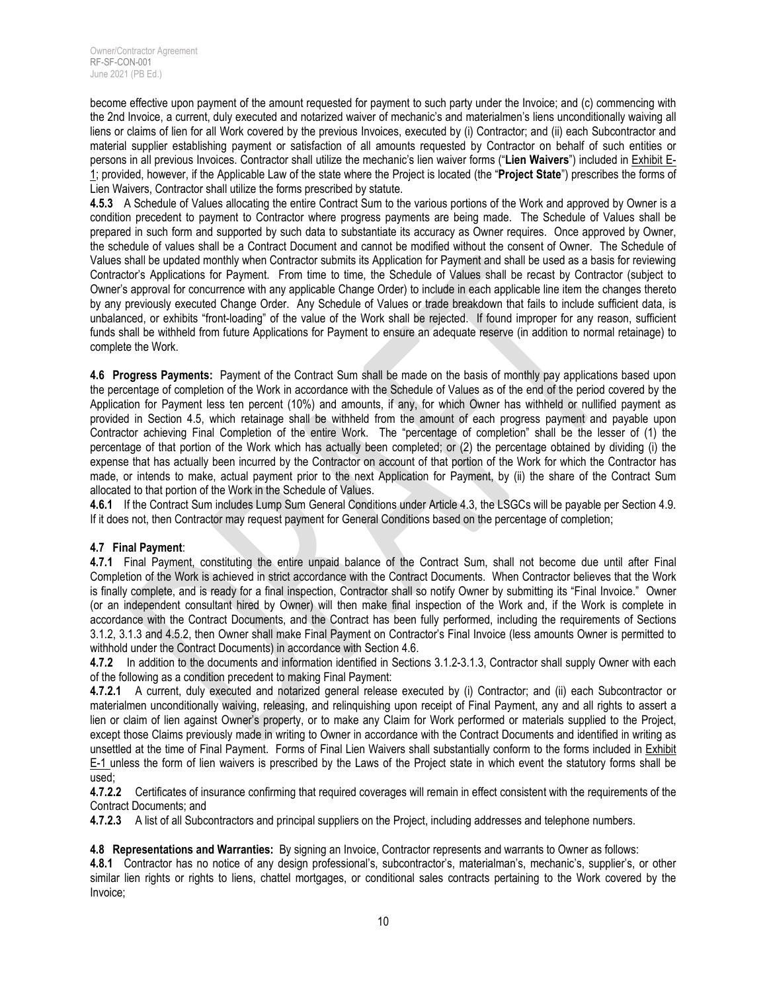become effective upon payment of the amount requested for payment to such party under the Invoice; and (c) commencing with the 2nd Invoice, a current, duly executed and notarized waiver of mechanic's and materialmen's liens unconditionally waiving all liens or claims of lien for all Work covered by the previous Invoices, executed by (i) Contractor; and (ii) each Subcontractor and material supplier establishing payment or satisfaction of all amounts requested by Contractor on behalf of such entities or persons in all previous Invoices. Contractor shall utilize the mechanic's lien waiver forms ("**Lien Waivers**") included in Exhibit E-1; provided, however, if the Applicable Law of the state where the Project is located (the "**Project State**") prescribes the forms of Lien Waivers, Contractor shall utilize the forms prescribed by statute.

**4.5.3** A Schedule of Values allocating the entire Contract Sum to the various portions of the Work and approved by Owner is a condition precedent to payment to Contractor where progress payments are being made. The Schedule of Values shall be prepared in such form and supported by such data to substantiate its accuracy as Owner requires. Once approved by Owner, the schedule of values shall be a Contract Document and cannot be modified without the consent of Owner. The Schedule of Values shall be updated monthly when Contractor submits its Application for Payment and shall be used as a basis for reviewing Contractor's Applications for Payment. From time to time, the Schedule of Values shall be recast by Contractor (subject to Owner's approval for concurrence with any applicable Change Order) to include in each applicable line item the changes thereto by any previously executed Change Order. Any Schedule of Values or trade breakdown that fails to include sufficient data, is unbalanced, or exhibits "front-loading" of the value of the Work shall be rejected. If found improper for any reason, sufficient funds shall be withheld from future Applications for Payment to ensure an adequate reserve (in addition to normal retainage) to complete the Work.

**4.6 Progress Payments:** Payment of the Contract Sum shall be made on the basis of monthly pay applications based upon the percentage of completion of the Work in accordance with the Schedule of Values as of the end of the period covered by the Application for Payment less ten percent (10%) and amounts, if any, for which Owner has withheld or nullified payment as provided in Section 4.5, which retainage shall be withheld from the amount of each progress payment and payable upon Contractor achieving Final Completion of the entire Work. The "percentage of completion" shall be the lesser of (1) the percentage of that portion of the Work which has actually been completed; or (2) the percentage obtained by dividing (i) the expense that has actually been incurred by the Contractor on account of that portion of the Work for which the Contractor has made, or intends to make, actual payment prior to the next Application for Payment, by (ii) the share of the Contract Sum allocated to that portion of the Work in the Schedule of Values.

**4.6.1** If the Contract Sum includes Lump Sum General Conditions under Article 4.3, the LSGCs will be payable per Section 4.9. If it does not, then Contractor may request payment for General Conditions based on the percentage of completion;

## **4.7 Final Payment**:

**4.7.1** Final Payment, constituting the entire unpaid balance of the Contract Sum, shall not become due until after Final Completion of the Work is achieved in strict accordance with the Contract Documents. When Contractor believes that the Work is finally complete, and is ready for a final inspection, Contractor shall so notify Owner by submitting its "Final Invoice." Owner (or an independent consultant hired by Owner) will then make final inspection of the Work and, if the Work is complete in accordance with the Contract Documents, and the Contract has been fully performed, including the requirements of Sections 3.1.2, 3.1.3 and 4.5.2, then Owner shall make Final Payment on Contractor's Final Invoice (less amounts Owner is permitted to withhold under the Contract Documents) in accordance with Section 4.6.

**4.7.2** In addition to the documents and information identified in Sections 3.1.2-3.1.3, Contractor shall supply Owner with each of the following as a condition precedent to making Final Payment:

**4.7.2.1** A current, duly executed and notarized general release executed by (i) Contractor; and (ii) each Subcontractor or materialmen unconditionally waiving, releasing, and relinquishing upon receipt of Final Payment, any and all rights to assert a lien or claim of lien against Owner's property, or to make any Claim for Work performed or materials supplied to the Project, except those Claims previously made in writing to Owner in accordance with the Contract Documents and identified in writing as unsettled at the time of Final Payment. Forms of Final Lien Waivers shall substantially conform to the forms included in Exhibit E-1 unless the form of lien waivers is prescribed by the Laws of the Project state in which event the statutory forms shall be used;

**4.7.2.2** Certificates of insurance confirming that required coverages will remain in effect consistent with the requirements of the Contract Documents; and

**4.7.2.3** A list of all Subcontractors and principal suppliers on the Project, including addresses and telephone numbers.

**4.8 Representations and Warranties:** By signing an Invoice, Contractor represents and warrants to Owner as follows:

**4.8.1** Contractor has no notice of any design professional's, subcontractor's, materialman's, mechanic's, supplier's, or other similar lien rights or rights to liens, chattel mortgages, or conditional sales contracts pertaining to the Work covered by the Invoice;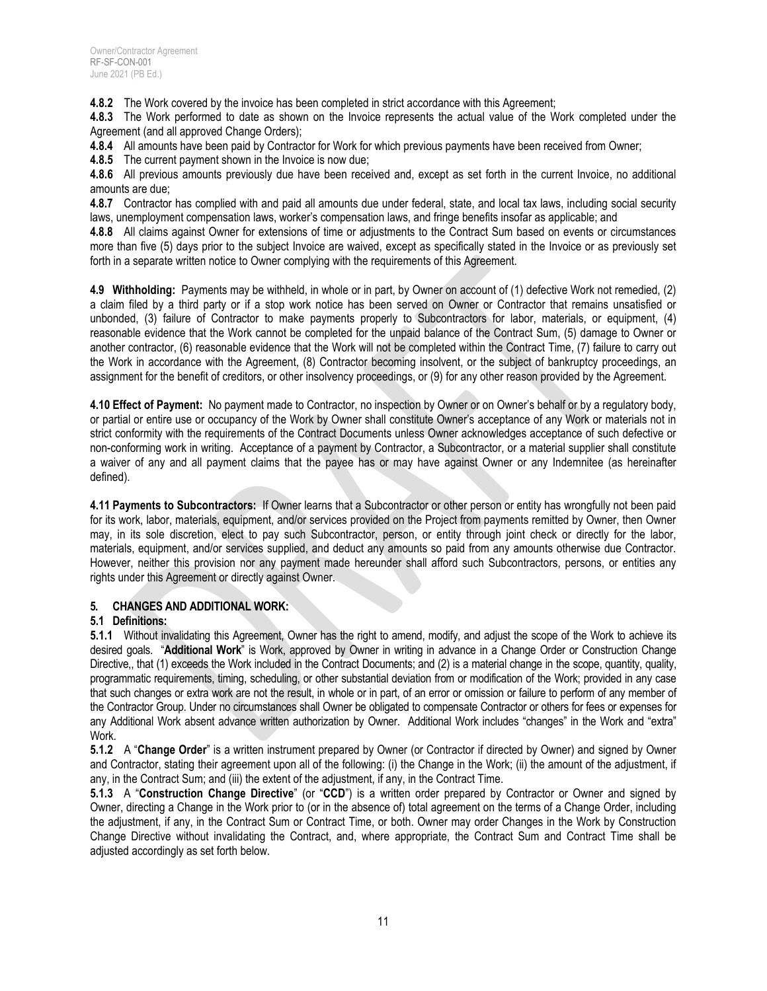**4.8.2** The Work covered by the invoice has been completed in strict accordance with this Agreement;

**4.8.3** The Work performed to date as shown on the Invoice represents the actual value of the Work completed under the Agreement (and all approved Change Orders);

**4.8.4** All amounts have been paid by Contractor for Work for which previous payments have been received from Owner;

**4.8.5** The current payment shown in the Invoice is now due;

**4.8.6** All previous amounts previously due have been received and, except as set forth in the current Invoice, no additional amounts are due;

**4.8.7** Contractor has complied with and paid all amounts due under federal, state, and local tax laws, including social security laws, unemployment compensation laws, worker's compensation laws, and fringe benefits insofar as applicable; and

**4.8.8** All claims against Owner for extensions of time or adjustments to the Contract Sum based on events or circumstances more than five (5) days prior to the subject Invoice are waived, except as specifically stated in the Invoice or as previously set forth in a separate written notice to Owner complying with the requirements of this Agreement.

**4.9 Withholding:** Payments may be withheld, in whole or in part, by Owner on account of (1) defective Work not remedied, (2) a claim filed by a third party or if a stop work notice has been served on Owner or Contractor that remains unsatisfied or unbonded, (3) failure of Contractor to make payments properly to Subcontractors for labor, materials, or equipment, (4) reasonable evidence that the Work cannot be completed for the unpaid balance of the Contract Sum, (5) damage to Owner or another contractor, (6) reasonable evidence that the Work will not be completed within the Contract Time, (7) failure to carry out the Work in accordance with the Agreement, (8) Contractor becoming insolvent, or the subject of bankruptcy proceedings, an assignment for the benefit of creditors, or other insolvency proceedings, or (9) for any other reason provided by the Agreement.

**4.10 Effect of Payment:** No payment made to Contractor, no inspection by Owner or on Owner's behalf or by a regulatory body, or partial or entire use or occupancy of the Work by Owner shall constitute Owner's acceptance of any Work or materials not in strict conformity with the requirements of the Contract Documents unless Owner acknowledges acceptance of such defective or non-conforming work in writing. Acceptance of a payment by Contractor, a Subcontractor, or a material supplier shall constitute a waiver of any and all payment claims that the payee has or may have against Owner or any Indemnitee (as hereinafter defined).

**4.11 Payments to Subcontractors:** If Owner learns that a Subcontractor or other person or entity has wrongfully not been paid for its work, labor, materials, equipment, and/or services provided on the Project from payments remitted by Owner, then Owner may, in its sole discretion, elect to pay such Subcontractor, person, or entity through joint check or directly for the labor, materials, equipment, and/or services supplied, and deduct any amounts so paid from any amounts otherwise due Contractor. However, neither this provision nor any payment made hereunder shall afford such Subcontractors, persons, or entities any rights under this Agreement or directly against Owner.

## **5. CHANGES AND ADDITIONAL WORK:**

## **5.1 Definitions:**

**5.1.1** Without invalidating this Agreement, Owner has the right to amend, modify, and adjust the scope of the Work to achieve its desired goals. "**Additional Work**" is Work, approved by Owner in writing in advance in a Change Order or Construction Change Directive,, that (1) exceeds the Work included in the Contract Documents; and (2) is a material change in the scope, quantity, quality, programmatic requirements, timing, scheduling, or other substantial deviation from or modification of the Work; provided in any case that such changes or extra work are not the result, in whole or in part, of an error or omission or failure to perform of any member of the Contractor Group. Under no circumstances shall Owner be obligated to compensate Contractor or others for fees or expenses for any Additional Work absent advance written authorization by Owner. Additional Work includes "changes" in the Work and "extra" Work.

**5.1.2** A "**Change Order**" is a written instrument prepared by Owner (or Contractor if directed by Owner) and signed by Owner and Contractor, stating their agreement upon all of the following: (i) the Change in the Work; (ii) the amount of the adjustment, if any, in the Contract Sum; and (iii) the extent of the adjustment, if any, in the Contract Time.

**5.1.3** A "**Construction Change Directive**" (or "**CCD**") is a written order prepared by Contractor or Owner and signed by Owner, directing a Change in the Work prior to (or in the absence of) total agreement on the terms of a Change Order, including the adjustment, if any, in the Contract Sum or Contract Time, or both. Owner may order Changes in the Work by Construction Change Directive without invalidating the Contract, and, where appropriate, the Contract Sum and Contract Time shall be adjusted accordingly as set forth below.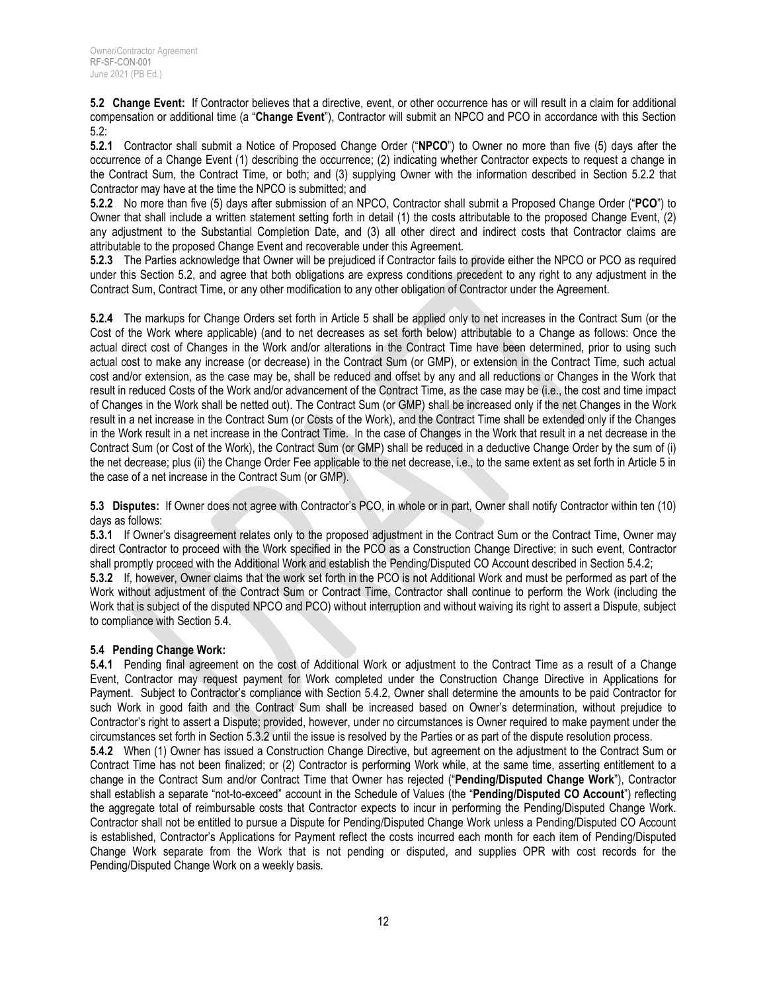**5.2 Change Event:** If Contractor believes that a directive, event, or other occurrence has or will result in a claim for additional compensation or additional time (a "**Change Event**"), Contractor will submit an NPCO and PCO in accordance with this Section 5.2:

**5.2.1** Contractor shall submit a Notice of Proposed Change Order ("**NPCO**") to Owner no more than five (5) days after the occurrence of a Change Event (1) describing the occurrence; (2) indicating whether Contractor expects to request a change in the Contract Sum, the Contract Time, or both; and (3) supplying Owner with the information described in Section 5.2.2 that Contractor may have at the time the NPCO is submitted; and

**5.2.2** No more than five (5) days after submission of an NPCO, Contractor shall submit a Proposed Change Order ("**PCO**") to Owner that shall include a written statement setting forth in detail (1) the costs attributable to the proposed Change Event, (2) any adjustment to the Substantial Completion Date, and (3) all other direct and indirect costs that Contractor claims are attributable to the proposed Change Event and recoverable under this Agreement.

**5.2.3** The Parties acknowledge that Owner will be prejudiced if Contractor fails to provide either the NPCO or PCO as required under this Section 5.2, and agree that both obligations are express conditions precedent to any right to any adjustment in the Contract Sum, Contract Time, or any other modification to any other obligation of Contractor under the Agreement.

**5.2.4** The markups for Change Orders set forth in Article 5 shall be applied only to net increases in the Contract Sum (or the Cost of the Work where applicable) (and to net decreases as set forth below) attributable to a Change as follows: Once the actual direct cost of Changes in the Work and/or alterations in the Contract Time have been determined, prior to using such actual cost to make any increase (or decrease) in the Contract Sum (or GMP), or extension in the Contract Time, such actual cost and/or extension, as the case may be, shall be reduced and offset by any and all reductions or Changes in the Work that result in reduced Costs of the Work and/or advancement of the Contract Time, as the case may be (i.e., the cost and time impact of Changes in the Work shall be netted out). The Contract Sum (or GMP) shall be increased only if the net Changes in the Work result in a net increase in the Contract Sum (or Costs of the Work), and the Contract Time shall be extended only if the Changes in the Work result in a net increase in the Contract Time. In the case of Changes in the Work that result in a net decrease in the Contract Sum (or Cost of the Work), the Contract Sum (or GMP) shall be reduced in a deductive Change Order by the sum of (i) the net decrease; plus (ii) the Change Order Fee applicable to the net decrease, i.e., to the same extent as set forth in Article 5 in the case of a net increase in the Contract Sum (or GMP).

**5.3 Disputes:** If Owner does not agree with Contractor's PCO, in whole or in part, Owner shall notify Contractor within ten (10) days as follows:

**5.3.1** If Owner's disagreement relates only to the proposed adjustment in the Contract Sum or the Contract Time, Owner may direct Contractor to proceed with the Work specified in the PCO as a Construction Change Directive; in such event, Contractor shall promptly proceed with the Additional Work and establish the Pending/Disputed CO Account described in Section 5.4.2;

**5.3.2** If, however, Owner claims that the work set forth in the PCO is not Additional Work and must be performed as part of the Work without adjustment of the Contract Sum or Contract Time, Contractor shall continue to perform the Work (including the Work that is subject of the disputed NPCO and PCO) without interruption and without waiving its right to assert a Dispute, subject to compliance with Section 5.4.

## **5.4 Pending Change Work:**

**5.4.1** Pending final agreement on the cost of Additional Work or adjustment to the Contract Time as a result of a Change Event, Contractor may request payment for Work completed under the Construction Change Directive in Applications for Payment. Subject to Contractor's compliance with Section 5.4.2, Owner shall determine the amounts to be paid Contractor for such Work in good faith and the Contract Sum shall be increased based on Owner's determination, without prejudice to Contractor's right to assert a Dispute; provided, however, under no circumstances is Owner required to make payment under the circumstances set forth in Section 5.3.2 until the issue is resolved by the Parties or as part of the dispute resolution process.

**5.4.2** When (1) Owner has issued a Construction Change Directive, but agreement on the adjustment to the Contract Sum or Contract Time has not been finalized; or (2) Contractor is performing Work while, at the same time, asserting entitlement to a change in the Contract Sum and/or Contract Time that Owner has rejected ("**Pending/Disputed Change Work**"), Contractor shall establish a separate "not-to-exceed" account in the Schedule of Values (the "**Pending/Disputed CO Account**") reflecting the aggregate total of reimbursable costs that Contractor expects to incur in performing the Pending/Disputed Change Work. Contractor shall not be entitled to pursue a Dispute for Pending/Disputed Change Work unless a Pending/Disputed CO Account is established, Contractor's Applications for Payment reflect the costs incurred each month for each item of Pending/Disputed Change Work separate from the Work that is not pending or disputed, and supplies OPR with cost records for the Pending/Disputed Change Work on a weekly basis.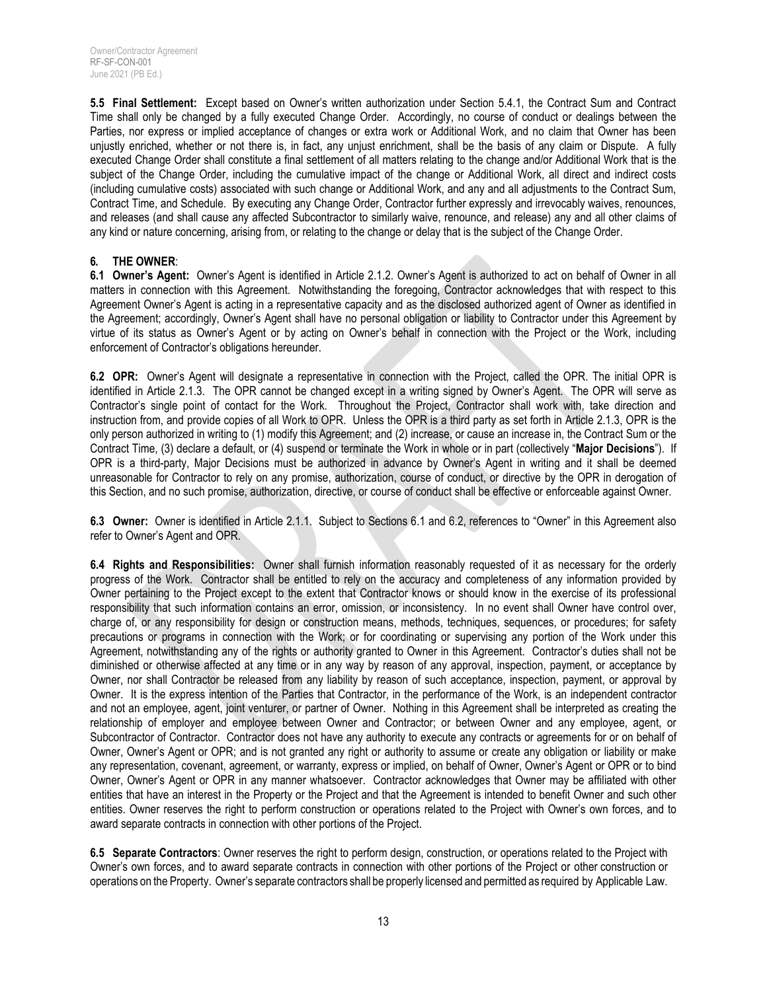**5.5 Final Settlement:** Except based on Owner's written authorization under Section 5.4.1, the Contract Sum and Contract Time shall only be changed by a fully executed Change Order. Accordingly, no course of conduct or dealings between the Parties, nor express or implied acceptance of changes or extra work or Additional Work, and no claim that Owner has been unjustly enriched, whether or not there is, in fact, any unjust enrichment, shall be the basis of any claim or Dispute. A fully executed Change Order shall constitute a final settlement of all matters relating to the change and/or Additional Work that is the subject of the Change Order, including the cumulative impact of the change or Additional Work, all direct and indirect costs (including cumulative costs) associated with such change or Additional Work, and any and all adjustments to the Contract Sum, Contract Time, and Schedule. By executing any Change Order, Contractor further expressly and irrevocably waives, renounces, and releases (and shall cause any affected Subcontractor to similarly waive, renounce, and release) any and all other claims of any kind or nature concerning, arising from, or relating to the change or delay that is the subject of the Change Order.

#### **6. THE OWNER**:

**6.1 Owner's Agent:** Owner's Agent is identified in Article 2.1.2. Owner's Agent is authorized to act on behalf of Owner in all matters in connection with this Agreement. Notwithstanding the foregoing, Contractor acknowledges that with respect to this Agreement Owner's Agent is acting in a representative capacity and as the disclosed authorized agent of Owner as identified in the Agreement; accordingly, Owner's Agent shall have no personal obligation or liability to Contractor under this Agreement by virtue of its status as Owner's Agent or by acting on Owner's behalf in connection with the Project or the Work, including enforcement of Contractor's obligations hereunder.

**6.2 OPR:** Owner's Agent will designate a representative in connection with the Project, called the OPR. The initial OPR is identified in Article 2.1.3. The OPR cannot be changed except in a writing signed by Owner's Agent. The OPR will serve as Contractor's single point of contact for the Work. Throughout the Project, Contractor shall work with, take direction and instruction from, and provide copies of all Work to OPR. Unless the OPR is a third party as set forth in Article 2.1.3, OPR is the only person authorized in writing to (1) modify this Agreement; and (2) increase, or cause an increase in, the Contract Sum or the Contract Time, (3) declare a default, or (4) suspend or terminate the Work in whole or in part (collectively "**Major Decisions**"). If OPR is a third-party, Major Decisions must be authorized in advance by Owner's Agent in writing and it shall be deemed unreasonable for Contractor to rely on any promise, authorization, course of conduct, or directive by the OPR in derogation of this Section, and no such promise, authorization, directive, or course of conduct shall be effective or enforceable against Owner.

**6.3 Owner:** Owner is identified in Article 2.1.1. Subject to Sections 6.1 and 6.2, references to "Owner" in this Agreement also refer to Owner's Agent and OPR.

**6.4 Rights and Responsibilities:** Owner shall furnish information reasonably requested of it as necessary for the orderly progress of the Work. Contractor shall be entitled to rely on the accuracy and completeness of any information provided by Owner pertaining to the Project except to the extent that Contractor knows or should know in the exercise of its professional responsibility that such information contains an error, omission, or inconsistency. In no event shall Owner have control over, charge of, or any responsibility for design or construction means, methods, techniques, sequences, or procedures; for safety precautions or programs in connection with the Work; or for coordinating or supervising any portion of the Work under this Agreement, notwithstanding any of the rights or authority granted to Owner in this Agreement. Contractor's duties shall not be diminished or otherwise affected at any time or in any way by reason of any approval, inspection, payment, or acceptance by Owner, nor shall Contractor be released from any liability by reason of such acceptance, inspection, payment, or approval by Owner. It is the express intention of the Parties that Contractor, in the performance of the Work, is an independent contractor and not an employee, agent, joint venturer, or partner of Owner. Nothing in this Agreement shall be interpreted as creating the relationship of employer and employee between Owner and Contractor; or between Owner and any employee, agent, or Subcontractor of Contractor. Contractor does not have any authority to execute any contracts or agreements for or on behalf of Owner, Owner's Agent or OPR; and is not granted any right or authority to assume or create any obligation or liability or make any representation, covenant, agreement, or warranty, express or implied, on behalf of Owner, Owner's Agent or OPR or to bind Owner, Owner's Agent or OPR in any manner whatsoever. Contractor acknowledges that Owner may be affiliated with other entities that have an interest in the Property or the Project and that the Agreement is intended to benefit Owner and such other entities. Owner reserves the right to perform construction or operations related to the Project with Owner's own forces, and to award separate contracts in connection with other portions of the Project.

**6.5 Separate Contractors**: Owner reserves the right to perform design, construction, or operations related to the Project with Owner's own forces, and to award separate contracts in connection with other portions of the Project or other construction or operations on the Property. Owner's separate contractors shall be properly licensed and permitted as required by Applicable Law.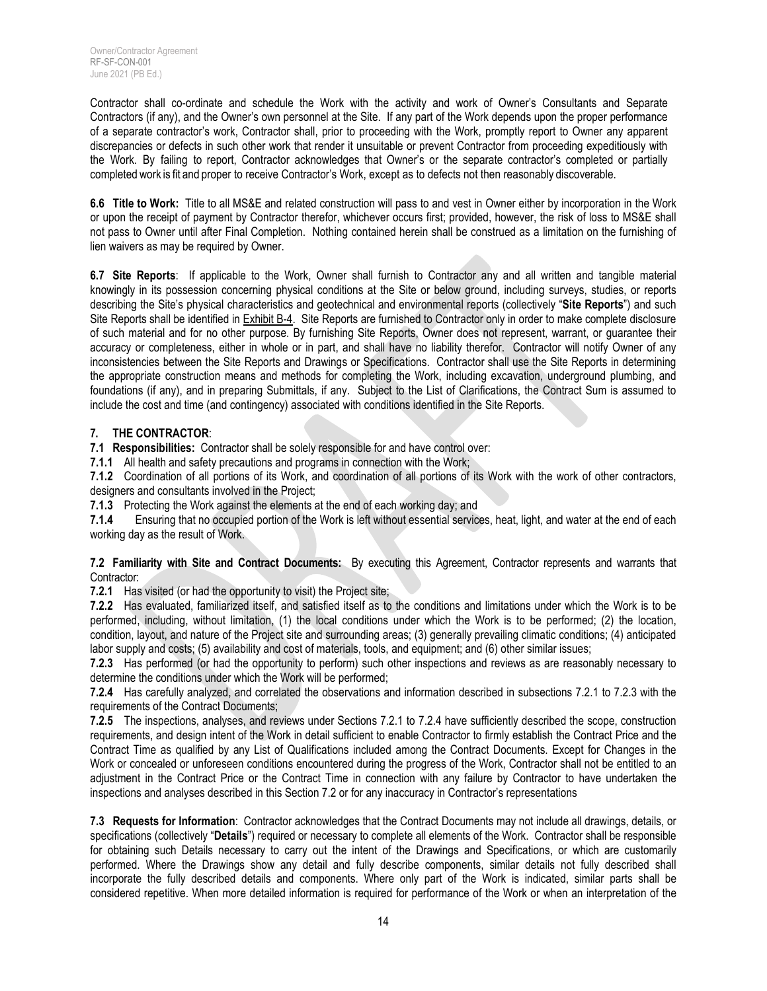Contractor shall co-ordinate and schedule the Work with the activity and work of Owner's Consultants and Separate Contractors (if any), and the Owner's own personnel at the Site. If any part of the Work depends upon the proper performance of a separate contractor's work, Contractor shall, prior to proceeding with the Work, promptly report to Owner any apparent discrepancies or defects in such other work that render it unsuitable or prevent Contractor from proceeding expeditiously with the Work. By failing to report, Contractor acknowledges that Owner's or the separate contractor's completed or partially completed work is fit and proper to receive Contractor's Work, except as to defects not then reasonably discoverable.

**6.6 Title to Work:** Title to all MS&E and related construction will pass to and vest in Owner either by incorporation in the Work or upon the receipt of payment by Contractor therefor, whichever occurs first; provided, however, the risk of loss to MS&E shall not pass to Owner until after Final Completion. Nothing contained herein shall be construed as a limitation on the furnishing of lien waivers as may be required by Owner.

**6.7 Site Reports**: If applicable to the Work, Owner shall furnish to Contractor any and all written and tangible material knowingly in its possession concerning physical conditions at the Site or below ground, including surveys, studies, or reports describing the Site's physical characteristics and geotechnical and environmental reports (collectively "**Site Reports**") and such Site Reports shall be identified in Exhibit B-4. Site Reports are furnished to Contractor only in order to make complete disclosure of such material and for no other purpose. By furnishing Site Reports, Owner does not represent, warrant, or guarantee their accuracy or completeness, either in whole or in part, and shall have no liability therefor. Contractor will notify Owner of any inconsistencies between the Site Reports and Drawings or Specifications. Contractor shall use the Site Reports in determining the appropriate construction means and methods for completing the Work, including excavation, underground plumbing, and foundations (if any), and in preparing Submittals, if any. Subject to the List of Clarifications, the Contract Sum is assumed to include the cost and time (and contingency) associated with conditions identified in the Site Reports.

## **7. THE CONTRACTOR**:

**7.1 Responsibilities:** Contractor shall be solely responsible for and have control over:

**7.1.1** All health and safety precautions and programs in connection with the Work;

**7.1.2** Coordination of all portions of its Work, and coordination of all portions of its Work with the work of other contractors, designers and consultants involved in the Project;

**7.1.3** Protecting the Work against the elements at the end of each working day; and

**7.1.4** Ensuring that no occupied portion of the Work is left without essential services, heat, light, and water at the end of each working day as the result of Work.

#### **7.2 Familiarity with Site and Contract Documents:** By executing this Agreement, Contractor represents and warrants that Contractor:

**7.2.1** Has visited (or had the opportunity to visit) the Project site;

**7.2.2** Has evaluated, familiarized itself, and satisfied itself as to the conditions and limitations under which the Work is to be performed, including, without limitation, (1) the local conditions under which the Work is to be performed; (2) the location, condition, layout, and nature of the Project site and surrounding areas; (3) generally prevailing climatic conditions; (4) anticipated labor supply and costs; (5) availability and cost of materials, tools, and equipment; and (6) other similar issues;

**7.2.3** Has performed (or had the opportunity to perform) such other inspections and reviews as are reasonably necessary to determine the conditions under which the Work will be performed;

**7.2.4** Has carefully analyzed, and correlated the observations and information described in subsections 7.2.1 to 7.2.3 with the requirements of the Contract Documents;

**7.2.5** The inspections, analyses, and reviews under Sections 7.2.1 to 7.2.4 have sufficiently described the scope, construction requirements, and design intent of the Work in detail sufficient to enable Contractor to firmly establish the Contract Price and the Contract Time as qualified by any List of Qualifications included among the Contract Documents. Except for Changes in the Work or concealed or unforeseen conditions encountered during the progress of the Work, Contractor shall not be entitled to an adjustment in the Contract Price or the Contract Time in connection with any failure by Contractor to have undertaken the inspections and analyses described in this Section 7.2 or for any inaccuracy in Contractor's representations

**7.3 Requests for Information**: Contractor acknowledges that the Contract Documents may not include all drawings, details, or specifications (collectively "**Details**") required or necessary to complete all elements of the Work. Contractor shall be responsible for obtaining such Details necessary to carry out the intent of the Drawings and Specifications, or which are customarily performed. Where the Drawings show any detail and fully describe components, similar details not fully described shall incorporate the fully described details and components. Where only part of the Work is indicated, similar parts shall be considered repetitive. When more detailed information is required for performance of the Work or when an interpretation of the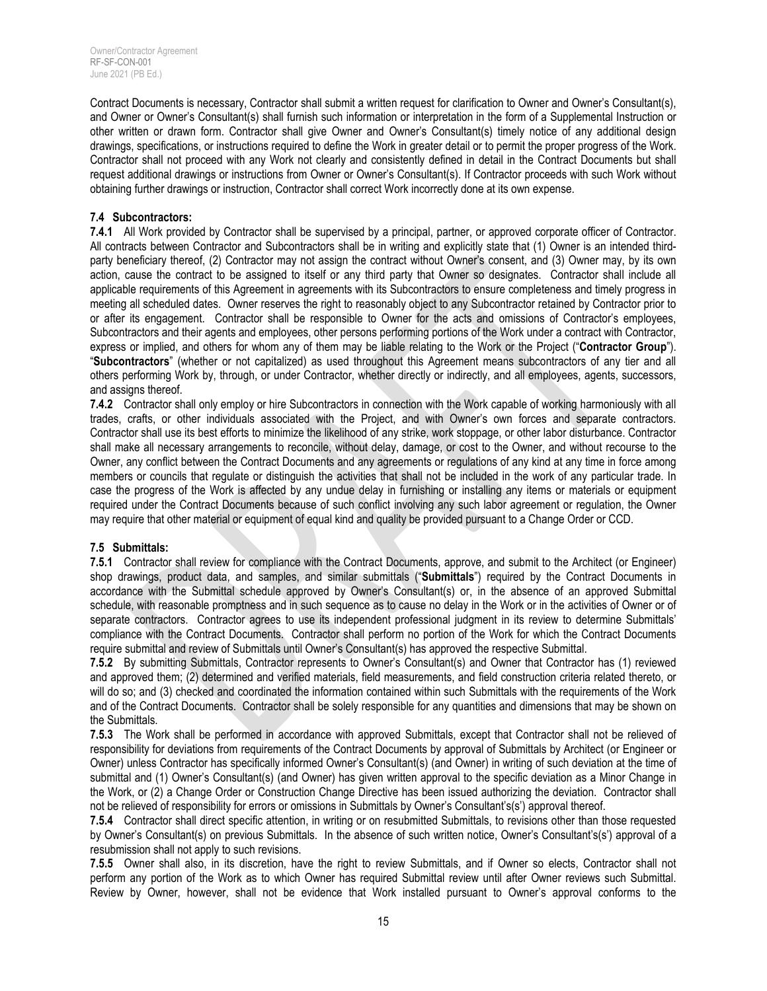Contract Documents is necessary, Contractor shall submit a written request for clarification to Owner and Owner's Consultant(s), and Owner or Owner's Consultant(s) shall furnish such information or interpretation in the form of a Supplemental Instruction or other written or drawn form. Contractor shall give Owner and Owner's Consultant(s) timely notice of any additional design drawings, specifications, or instructions required to define the Work in greater detail or to permit the proper progress of the Work. Contractor shall not proceed with any Work not clearly and consistently defined in detail in the Contract Documents but shall request additional drawings or instructions from Owner or Owner's Consultant(s). If Contractor proceeds with such Work without obtaining further drawings or instruction, Contractor shall correct Work incorrectly done at its own expense.

#### **7.4 Subcontractors:**

**7.4.1** All Work provided by Contractor shall be supervised by a principal, partner, or approved corporate officer of Contractor. All contracts between Contractor and Subcontractors shall be in writing and explicitly state that (1) Owner is an intended thirdparty beneficiary thereof, (2) Contractor may not assign the contract without Owner's consent, and (3) Owner may, by its own action, cause the contract to be assigned to itself or any third party that Owner so designates. Contractor shall include all applicable requirements of this Agreement in agreements with its Subcontractors to ensure completeness and timely progress in meeting all scheduled dates. Owner reserves the right to reasonably object to any Subcontractor retained by Contractor prior to or after its engagement. Contractor shall be responsible to Owner for the acts and omissions of Contractor's employees, Subcontractors and their agents and employees, other persons performing portions of the Work under a contract with Contractor, express or implied, and others for whom any of them may be liable relating to the Work or the Project ("**Contractor Group**"). "**Subcontractors**" (whether or not capitalized) as used throughout this Agreement means subcontractors of any tier and all others performing Work by, through, or under Contractor, whether directly or indirectly, and all employees, agents, successors, and assigns thereof.

**7.4.2** Contractor shall only employ or hire Subcontractors in connection with the Work capable of working harmoniously with all trades, crafts, or other individuals associated with the Project, and with Owner's own forces and separate contractors. Contractor shall use its best efforts to minimize the likelihood of any strike, work stoppage, or other labor disturbance. Contractor shall make all necessary arrangements to reconcile, without delay, damage, or cost to the Owner, and without recourse to the Owner, any conflict between the Contract Documents and any agreements or regulations of any kind at any time in force among members or councils that regulate or distinguish the activities that shall not be included in the work of any particular trade. In case the progress of the Work is affected by any undue delay in furnishing or installing any items or materials or equipment required under the Contract Documents because of such conflict involving any such labor agreement or regulation, the Owner may require that other material or equipment of equal kind and quality be provided pursuant to a Change Order or CCD.

## **7.5 Submittals:**

**7.5.1** Contractor shall review for compliance with the Contract Documents, approve, and submit to the Architect (or Engineer) shop drawings, product data, and samples, and similar submittals ("**Submittals**") required by the Contract Documents in accordance with the Submittal schedule approved by Owner's Consultant(s) or, in the absence of an approved Submittal schedule, with reasonable promptness and in such sequence as to cause no delay in the Work or in the activities of Owner or of separate contractors. Contractor agrees to use its independent professional judgment in its review to determine Submittals' compliance with the Contract Documents. Contractor shall perform no portion of the Work for which the Contract Documents require submittal and review of Submittals until Owner's Consultant(s) has approved the respective Submittal.

**7.5.2** By submitting Submittals, Contractor represents to Owner's Consultant(s) and Owner that Contractor has (1) reviewed and approved them; (2) determined and verified materials, field measurements, and field construction criteria related thereto, or will do so; and (3) checked and coordinated the information contained within such Submittals with the requirements of the Work and of the Contract Documents. Contractor shall be solely responsible for any quantities and dimensions that may be shown on the Submittals.

**7.5.3** The Work shall be performed in accordance with approved Submittals, except that Contractor shall not be relieved of responsibility for deviations from requirements of the Contract Documents by approval of Submittals by Architect (or Engineer or Owner) unless Contractor has specifically informed Owner's Consultant(s) (and Owner) in writing of such deviation at the time of submittal and (1) Owner's Consultant(s) (and Owner) has given written approval to the specific deviation as a Minor Change in the Work, or (2) a Change Order or Construction Change Directive has been issued authorizing the deviation. Contractor shall not be relieved of responsibility for errors or omissions in Submittals by Owner's Consultant's(s') approval thereof.

**7.5.4** Contractor shall direct specific attention, in writing or on resubmitted Submittals, to revisions other than those requested by Owner's Consultant(s) on previous Submittals. In the absence of such written notice, Owner's Consultant's(s') approval of a resubmission shall not apply to such revisions.

**7.5.5** Owner shall also, in its discretion, have the right to review Submittals, and if Owner so elects, Contractor shall not perform any portion of the Work as to which Owner has required Submittal review until after Owner reviews such Submittal. Review by Owner, however, shall not be evidence that Work installed pursuant to Owner's approval conforms to the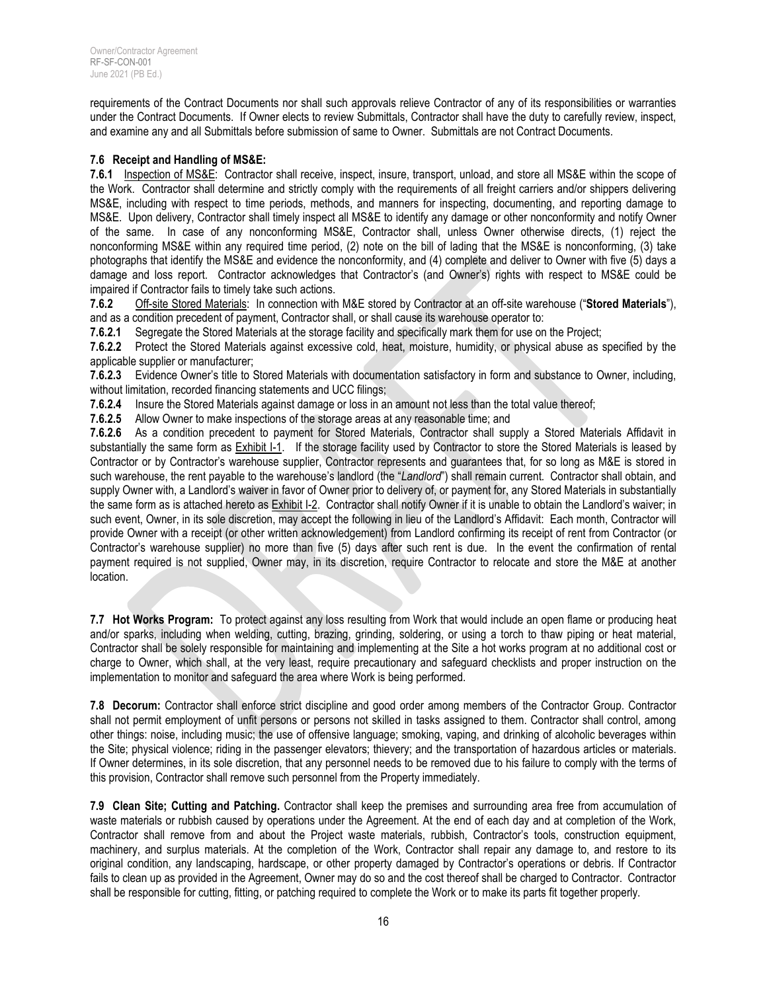requirements of the Contract Documents nor shall such approvals relieve Contractor of any of its responsibilities or warranties under the Contract Documents. If Owner elects to review Submittals, Contractor shall have the duty to carefully review, inspect, and examine any and all Submittals before submission of same to Owner. Submittals are not Contract Documents.

#### **7.6 Receipt and Handling of MS&E:**

**7.6.1** Inspection of MS&E: Contractor shall receive, inspect, insure, transport, unload, and store all MS&E within the scope of the Work. Contractor shall determine and strictly comply with the requirements of all freight carriers and/or shippers delivering MS&E, including with respect to time periods, methods, and manners for inspecting, documenting, and reporting damage to MS&E. Upon delivery, Contractor shall timely inspect all MS&E to identify any damage or other nonconformity and notify Owner of the same. In case of any nonconforming MS&E, Contractor shall, unless Owner otherwise directs, (1) reject the nonconforming MS&E within any required time period, (2) note on the bill of lading that the MS&E is nonconforming, (3) take photographs that identify the MS&E and evidence the nonconformity, and (4) complete and deliver to Owner with five (5) days a damage and loss report. Contractor acknowledges that Contractor's (and Owner's) rights with respect to MS&E could be impaired if Contractor fails to timely take such actions.

**7.6.2** Off-site Stored Materials: In connection with M&E stored by Contractor at an off-site warehouse ("**Stored Materials**"), and as a condition precedent of payment, Contractor shall, or shall cause its warehouse operator to:

**7.6.2.1** Segregate the Stored Materials at the storage facility and specifically mark them for use on the Project;

**7.6.2.2** Protect the Stored Materials against excessive cold, heat, moisture, humidity, or physical abuse as specified by the applicable supplier or manufacturer;

**7.6.2.3** Evidence Owner's title to Stored Materials with documentation satisfactory in form and substance to Owner, including, without limitation, recorded financing statements and UCC filings;

**7.6.2.4** Insure the Stored Materials against damage or loss in an amount not less than the total value thereof;

**7.6.2.5** Allow Owner to make inspections of the storage areas at any reasonable time; and

**7.6.2.6** As a condition precedent to payment for Stored Materials, Contractor shall supply a Stored Materials Affidavit in substantially the same form as **Exhibit I-1.** If the storage facility used by Contractor to store the Stored Materials is leased by Contractor or by Contractor's warehouse supplier, Contractor represents and guarantees that, for so long as M&E is stored in such warehouse, the rent payable to the warehouse's landlord (the "*Landlord*") shall remain current. Contractor shall obtain, and supply Owner with, a Landlord's waiver in favor of Owner prior to delivery of, or payment for, any Stored Materials in substantially the same form as is attached hereto as Exhibit I-2. Contractor shall notify Owner if it is unable to obtain the Landlord's waiver; in such event, Owner, in its sole discretion, may accept the following in lieu of the Landlord's Affidavit: Each month, Contractor will provide Owner with a receipt (or other written acknowledgement) from Landlord confirming its receipt of rent from Contractor (or Contractor's warehouse supplier) no more than five (5) days after such rent is due. In the event the confirmation of rental payment required is not supplied, Owner may, in its discretion, require Contractor to relocate and store the M&E at another location.

**7.7 Hot Works Program:** To protect against any loss resulting from Work that would include an open flame or producing heat and/or sparks, including when welding, cutting, brazing, grinding, soldering, or using a torch to thaw piping or heat material, Contractor shall be solely responsible for maintaining and implementing at the Site a hot works program at no additional cost or charge to Owner, which shall, at the very least, require precautionary and safeguard checklists and proper instruction on the implementation to monitor and safeguard the area where Work is being performed.

**7.8 Decorum:** Contractor shall enforce strict discipline and good order among members of the Contractor Group. Contractor shall not permit employment of unfit persons or persons not skilled in tasks assigned to them. Contractor shall control, among other things: noise, including music; the use of offensive language; smoking, vaping, and drinking of alcoholic beverages within the Site; physical violence; riding in the passenger elevators; thievery; and the transportation of hazardous articles or materials. If Owner determines, in its sole discretion, that any personnel needs to be removed due to his failure to comply with the terms of this provision, Contractor shall remove such personnel from the Property immediately.

**7.9 Clean Site; Cutting and Patching.** Contractor shall keep the premises and surrounding area free from accumulation of waste materials or rubbish caused by operations under the Agreement. At the end of each day and at completion of the Work, Contractor shall remove from and about the Project waste materials, rubbish, Contractor's tools, construction equipment, machinery, and surplus materials. At the completion of the Work, Contractor shall repair any damage to, and restore to its original condition, any landscaping, hardscape, or other property damaged by Contractor's operations or debris. If Contractor fails to clean up as provided in the Agreement, Owner may do so and the cost thereof shall be charged to Contractor. Contractor shall be responsible for cutting, fitting, or patching required to complete the Work or to make its parts fit together properly.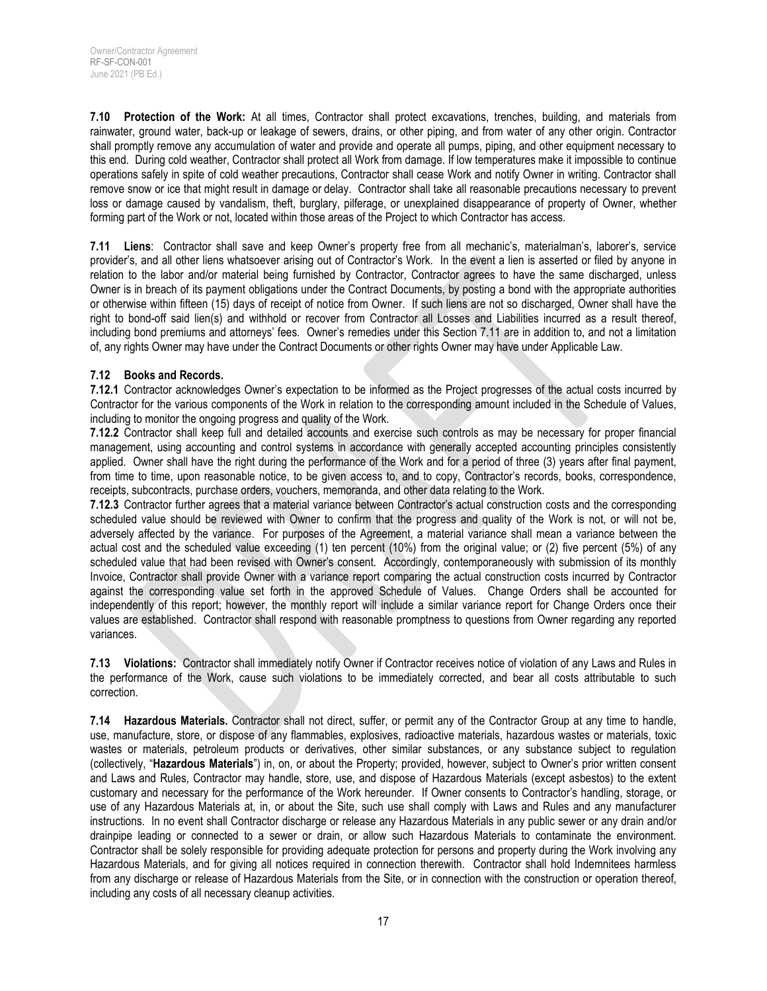**7.10 Protection of the Work:** At all times, Contractor shall protect excavations, trenches, building, and materials from rainwater, ground water, back-up or leakage of sewers, drains, or other piping, and from water of any other origin. Contractor shall promptly remove any accumulation of water and provide and operate all pumps, piping, and other equipment necessary to this end. During cold weather, Contractor shall protect all Work from damage. If low temperatures make it impossible to continue operations safely in spite of cold weather precautions, Contractor shall cease Work and notify Owner in writing. Contractor shall remove snow or ice that might result in damage or delay. Contractor shall take all reasonable precautions necessary to prevent loss or damage caused by vandalism, theft, burglary, pilferage, or unexplained disappearance of property of Owner, whether forming part of the Work or not, located within those areas of the Project to which Contractor has access.

**7.11 Liens**: Contractor shall save and keep Owner's property free from all mechanic's, materialman's, laborer's, service provider's, and all other liens whatsoever arising out of Contractor's Work. In the event a lien is asserted or filed by anyone in relation to the labor and/or material being furnished by Contractor, Contractor agrees to have the same discharged, unless Owner is in breach of its payment obligations under the Contract Documents, by posting a bond with the appropriate authorities or otherwise within fifteen (15) days of receipt of notice from Owner. If such liens are not so discharged, Owner shall have the right to bond-off said lien(s) and withhold or recover from Contractor all Losses and Liabilities incurred as a result thereof, including bond premiums and attorneys' fees. Owner's remedies under this Section 7.11 are in addition to, and not a limitation of, any rights Owner may have under the Contract Documents or other rights Owner may have under Applicable Law.

#### **7.12 Books and Records.**

**7.12.1** Contractor acknowledges Owner's expectation to be informed as the Project progresses of the actual costs incurred by Contractor for the various components of the Work in relation to the corresponding amount included in the Schedule of Values, including to monitor the ongoing progress and quality of the Work.

**7.12.2** Contractor shall keep full and detailed accounts and exercise such controls as may be necessary for proper financial management, using accounting and control systems in accordance with generally accepted accounting principles consistently applied. Owner shall have the right during the performance of the Work and for a period of three (3) years after final payment, from time to time, upon reasonable notice, to be given access to, and to copy, Contractor's records, books, correspondence, receipts, subcontracts, purchase orders, vouchers, memoranda, and other data relating to the Work.

**7.12.3** Contractor further agrees that a material variance between Contractor's actual construction costs and the corresponding scheduled value should be reviewed with Owner to confirm that the progress and quality of the Work is not, or will not be, adversely affected by the variance. For purposes of the Agreement, a material variance shall mean a variance between the actual cost and the scheduled value exceeding (1) ten percent (10%) from the original value; or (2) five percent (5%) of any scheduled value that had been revised with Owner's consent. Accordingly, contemporaneously with submission of its monthly Invoice, Contractor shall provide Owner with a variance report comparing the actual construction costs incurred by Contractor against the corresponding value set forth in the approved Schedule of Values. Change Orders shall be accounted for independently of this report; however, the monthly report will include a similar variance report for Change Orders once their values are established. Contractor shall respond with reasonable promptness to questions from Owner regarding any reported variances.

**7.13 Violations:** Contractor shall immediately notify Owner if Contractor receives notice of violation of any Laws and Rules in the performance of the Work, cause such violations to be immediately corrected, and bear all costs attributable to such correction.

**7.14 Hazardous Materials.** Contractor shall not direct, suffer, or permit any of the Contractor Group at any time to handle, use, manufacture, store, or dispose of any flammables, explosives, radioactive materials, hazardous wastes or materials, toxic wastes or materials, petroleum products or derivatives, other similar substances, or any substance subject to regulation (collectively, "**Hazardous Materials**") in, on, or about the Property; provided, however, subject to Owner's prior written consent and Laws and Rules, Contractor may handle, store, use, and dispose of Hazardous Materials (except asbestos) to the extent customary and necessary for the performance of the Work hereunder. If Owner consents to Contractor's handling, storage, or use of any Hazardous Materials at, in, or about the Site, such use shall comply with Laws and Rules and any manufacturer instructions. In no event shall Contractor discharge or release any Hazardous Materials in any public sewer or any drain and/or drainpipe leading or connected to a sewer or drain, or allow such Hazardous Materials to contaminate the environment. Contractor shall be solely responsible for providing adequate protection for persons and property during the Work involving any Hazardous Materials, and for giving all notices required in connection therewith. Contractor shall hold Indemnitees harmless from any discharge or release of Hazardous Materials from the Site, or in connection with the construction or operation thereof, including any costs of all necessary cleanup activities.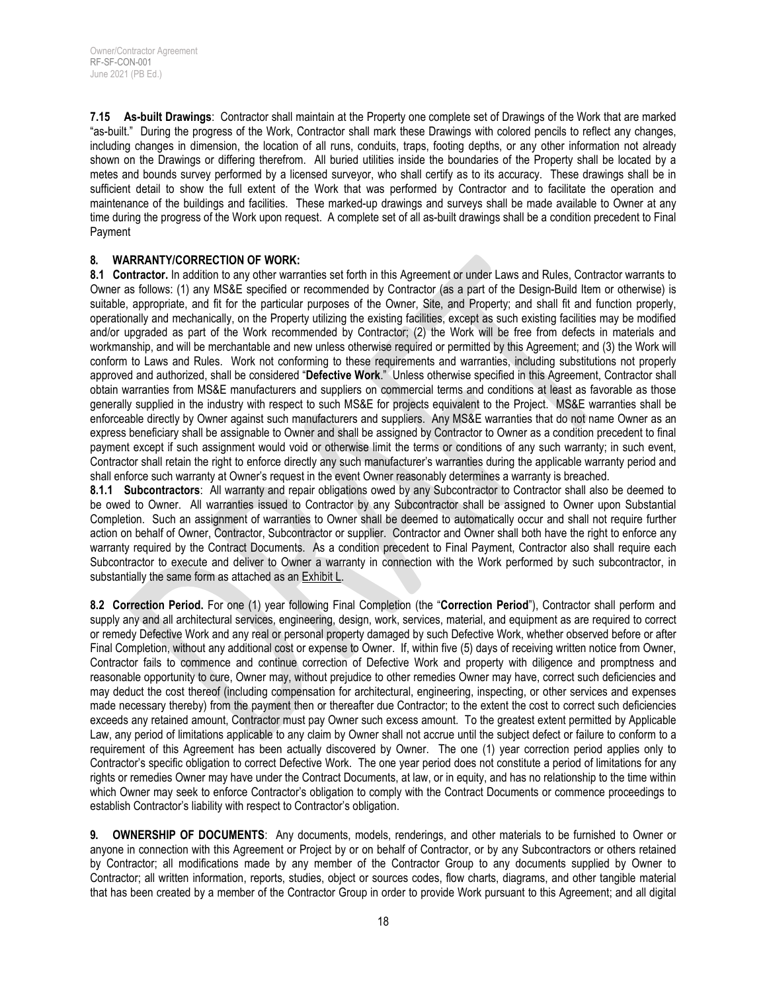**7.15 As-built Drawings**: Contractor shall maintain at the Property one complete set of Drawings of the Work that are marked "as-built." During the progress of the Work, Contractor shall mark these Drawings with colored pencils to reflect any changes, including changes in dimension, the location of all runs, conduits, traps, footing depths, or any other information not already shown on the Drawings or differing therefrom. All buried utilities inside the boundaries of the Property shall be located by a metes and bounds survey performed by a licensed surveyor, who shall certify as to its accuracy. These drawings shall be in sufficient detail to show the full extent of the Work that was performed by Contractor and to facilitate the operation and maintenance of the buildings and facilities. These marked-up drawings and surveys shall be made available to Owner at any time during the progress of the Work upon request. A complete set of all as-built drawings shall be a condition precedent to Final Payment

#### **8. WARRANTY/CORRECTION OF WORK:**

**8.1 Contractor.** In addition to any other warranties set forth in this Agreement or under Laws and Rules, Contractor warrants to Owner as follows: (1) any MS&E specified or recommended by Contractor (as a part of the Design-Build Item or otherwise) is suitable, appropriate, and fit for the particular purposes of the Owner, Site, and Property; and shall fit and function properly, operationally and mechanically, on the Property utilizing the existing facilities, except as such existing facilities may be modified and/or upgraded as part of the Work recommended by Contractor; (2) the Work will be free from defects in materials and workmanship, and will be merchantable and new unless otherwise required or permitted by this Agreement; and (3) the Work will conform to Laws and Rules. Work not conforming to these requirements and warranties, including substitutions not properly approved and authorized, shall be considered "**Defective Work**." Unless otherwise specified in this Agreement, Contractor shall obtain warranties from MS&E manufacturers and suppliers on commercial terms and conditions at least as favorable as those generally supplied in the industry with respect to such MS&E for projects equivalent to the Project. MS&E warranties shall be enforceable directly by Owner against such manufacturers and suppliers. Any MS&E warranties that do not name Owner as an express beneficiary shall be assignable to Owner and shall be assigned by Contractor to Owner as a condition precedent to final payment except if such assignment would void or otherwise limit the terms or conditions of any such warranty; in such event, Contractor shall retain the right to enforce directly any such manufacturer's warranties during the applicable warranty period and shall enforce such warranty at Owner's request in the event Owner reasonably determines a warranty is breached.

**8.1.1 Subcontractors**: All warranty and repair obligations owed by any Subcontractor to Contractor shall also be deemed to be owed to Owner. All warranties issued to Contractor by any Subcontractor shall be assigned to Owner upon Substantial Completion. Such an assignment of warranties to Owner shall be deemed to automatically occur and shall not require further action on behalf of Owner, Contractor, Subcontractor or supplier. Contractor and Owner shall both have the right to enforce any warranty required by the Contract Documents. As a condition precedent to Final Payment, Contractor also shall require each Subcontractor to execute and deliver to Owner a warranty in connection with the Work performed by such subcontractor, in substantially the same form as attached as an Exhibit L.

**8.2 Correction Period.** For one (1) year following Final Completion (the "**Correction Period**"), Contractor shall perform and supply any and all architectural services, engineering, design, work, services, material, and equipment as are required to correct or remedy Defective Work and any real or personal property damaged by such Defective Work, whether observed before or after Final Completion, without any additional cost or expense to Owner. If, within five (5) days of receiving written notice from Owner, Contractor fails to commence and continue correction of Defective Work and property with diligence and promptness and reasonable opportunity to cure, Owner may, without prejudice to other remedies Owner may have, correct such deficiencies and may deduct the cost thereof (including compensation for architectural, engineering, inspecting, or other services and expenses made necessary thereby) from the payment then or thereafter due Contractor; to the extent the cost to correct such deficiencies exceeds any retained amount, Contractor must pay Owner such excess amount. To the greatest extent permitted by Applicable Law, any period of limitations applicable to any claim by Owner shall not accrue until the subject defect or failure to conform to a requirement of this Agreement has been actually discovered by Owner. The one (1) year correction period applies only to Contractor's specific obligation to correct Defective Work. The one year period does not constitute a period of limitations for any rights or remedies Owner may have under the Contract Documents, at law, or in equity, and has no relationship to the time within which Owner may seek to enforce Contractor's obligation to comply with the Contract Documents or commence proceedings to establish Contractor's liability with respect to Contractor's obligation.

**9. OWNERSHIP OF DOCUMENTS**: Any documents, models, renderings, and other materials to be furnished to Owner or anyone in connection with this Agreement or Project by or on behalf of Contractor, or by any Subcontractors or others retained by Contractor; all modifications made by any member of the Contractor Group to any documents supplied by Owner to Contractor; all written information, reports, studies, object or sources codes, flow charts, diagrams, and other tangible material that has been created by a member of the Contractor Group in order to provide Work pursuant to this Agreement; and all digital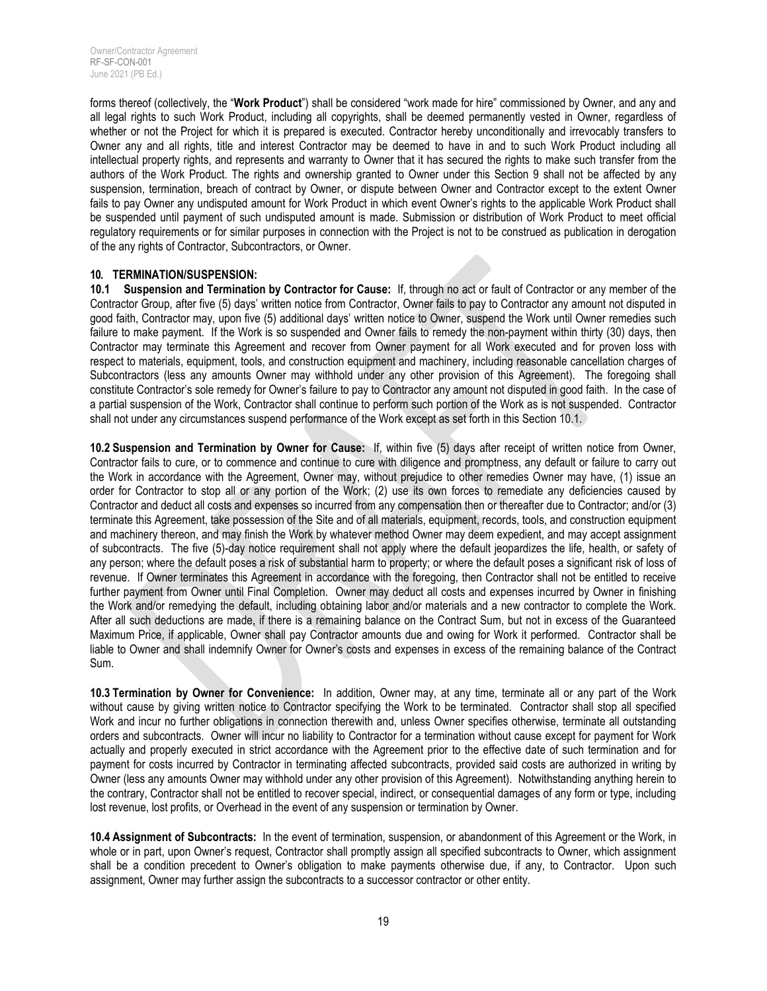forms thereof (collectively, the "**Work Product**") shall be considered "work made for hire" commissioned by Owner, and any and all legal rights to such Work Product, including all copyrights, shall be deemed permanently vested in Owner, regardless of whether or not the Project for which it is prepared is executed. Contractor hereby unconditionally and irrevocably transfers to Owner any and all rights, title and interest Contractor may be deemed to have in and to such Work Product including all intellectual property rights, and represents and warranty to Owner that it has secured the rights to make such transfer from the authors of the Work Product. The rights and ownership granted to Owner under this Section 9 shall not be affected by any suspension, termination, breach of contract by Owner, or dispute between Owner and Contractor except to the extent Owner fails to pay Owner any undisputed amount for Work Product in which event Owner's rights to the applicable Work Product shall be suspended until payment of such undisputed amount is made. Submission or distribution of Work Product to meet official regulatory requirements or for similar purposes in connection with the Project is not to be construed as publication in derogation of the any rights of Contractor, Subcontractors, or Owner.

#### **10. TERMINATION/SUSPENSION:**

**10.1 Suspension and Termination by Contractor for Cause:** If, through no act or fault of Contractor or any member of the Contractor Group, after five (5) days' written notice from Contractor, Owner fails to pay to Contractor any amount not disputed in good faith, Contractor may, upon five (5) additional days' written notice to Owner, suspend the Work until Owner remedies such failure to make payment. If the Work is so suspended and Owner fails to remedy the non-payment within thirty (30) days, then Contractor may terminate this Agreement and recover from Owner payment for all Work executed and for proven loss with respect to materials, equipment, tools, and construction equipment and machinery, including reasonable cancellation charges of Subcontractors (less any amounts Owner may withhold under any other provision of this Agreement). The foregoing shall constitute Contractor's sole remedy for Owner's failure to pay to Contractor any amount not disputed in good faith. In the case of a partial suspension of the Work, Contractor shall continue to perform such portion of the Work as is not suspended. Contractor shall not under any circumstances suspend performance of the Work except as set forth in this Section 10.1.

**10.2 Suspension and Termination by Owner for Cause:** If, within five (5) days after receipt of written notice from Owner, Contractor fails to cure, or to commence and continue to cure with diligence and promptness, any default or failure to carry out the Work in accordance with the Agreement, Owner may, without prejudice to other remedies Owner may have, (1) issue an order for Contractor to stop all or any portion of the Work; (2) use its own forces to remediate any deficiencies caused by Contractor and deduct all costs and expenses so incurred from any compensation then or thereafter due to Contractor; and/or (3) terminate this Agreement, take possession of the Site and of all materials, equipment, records, tools, and construction equipment and machinery thereon, and may finish the Work by whatever method Owner may deem expedient, and may accept assignment of subcontracts. The five (5)-day notice requirement shall not apply where the default jeopardizes the life, health, or safety of any person; where the default poses a risk of substantial harm to property; or where the default poses a significant risk of loss of revenue. If Owner terminates this Agreement in accordance with the foregoing, then Contractor shall not be entitled to receive further payment from Owner until Final Completion. Owner may deduct all costs and expenses incurred by Owner in finishing the Work and/or remedying the default, including obtaining labor and/or materials and a new contractor to complete the Work. After all such deductions are made, if there is a remaining balance on the Contract Sum, but not in excess of the Guaranteed Maximum Price, if applicable, Owner shall pay Contractor amounts due and owing for Work it performed. Contractor shall be liable to Owner and shall indemnify Owner for Owner's costs and expenses in excess of the remaining balance of the Contract Sum.

**10.3 Termination by Owner for Convenience:** In addition, Owner may, at any time, terminate all or any part of the Work without cause by giving written notice to Contractor specifying the Work to be terminated. Contractor shall stop all specified Work and incur no further obligations in connection therewith and, unless Owner specifies otherwise, terminate all outstanding orders and subcontracts. Owner will incur no liability to Contractor for a termination without cause except for payment for Work actually and properly executed in strict accordance with the Agreement prior to the effective date of such termination and for payment for costs incurred by Contractor in terminating affected subcontracts, provided said costs are authorized in writing by Owner (less any amounts Owner may withhold under any other provision of this Agreement). Notwithstanding anything herein to the contrary, Contractor shall not be entitled to recover special, indirect, or consequential damages of any form or type, including lost revenue, lost profits, or Overhead in the event of any suspension or termination by Owner.

**10.4 Assignment of Subcontracts:** In the event of termination, suspension, or abandonment of this Agreement or the Work, in whole or in part, upon Owner's request, Contractor shall promptly assign all specified subcontracts to Owner, which assignment shall be a condition precedent to Owner's obligation to make payments otherwise due, if any, to Contractor. Upon such assignment, Owner may further assign the subcontracts to a successor contractor or other entity.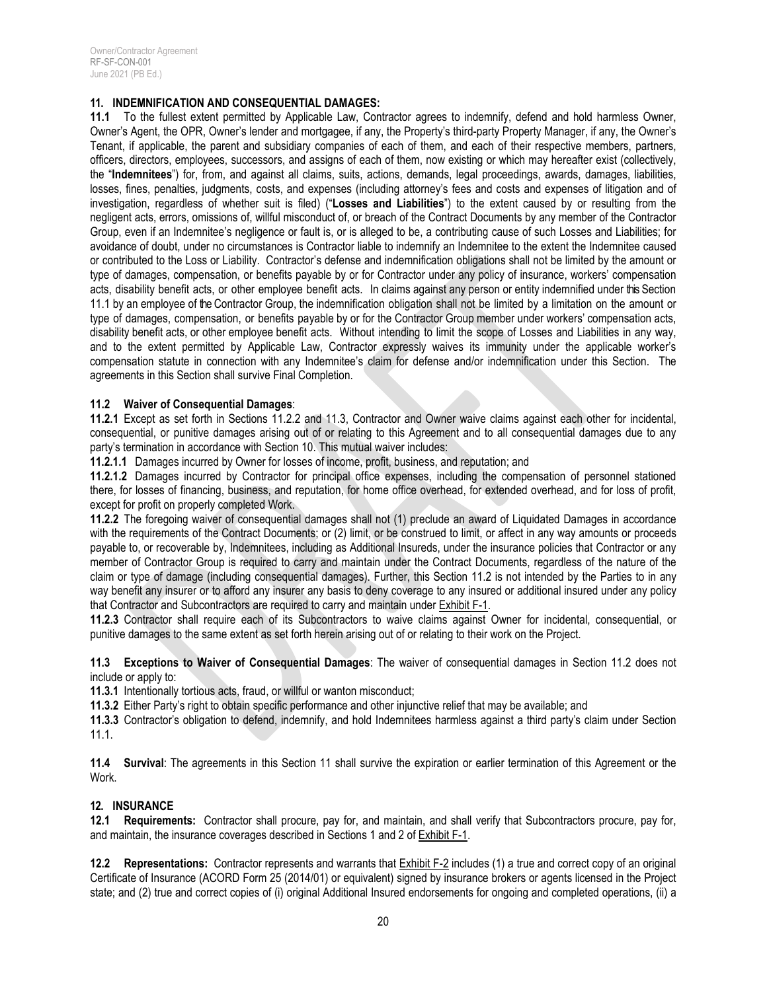#### **11. INDEMNIFICATION AND CONSEQUENTIAL DAMAGES:**

**11.1** To the fullest extent permitted by Applicable Law, Contractor agrees to indemnify, defend and hold harmless Owner, Owner's Agent, the OPR, Owner's lender and mortgagee, if any, the Property's third-party Property Manager, if any, the Owner's Tenant, if applicable, the parent and subsidiary companies of each of them, and each of their respective members, partners, officers, directors, employees, successors, and assigns of each of them, now existing or which may hereafter exist (collectively, the "**Indemnitees**") for, from, and against all claims, suits, actions, demands, legal proceedings, awards, damages, liabilities, losses, fines, penalties, judgments, costs, and expenses (including attorney's fees and costs and expenses of litigation and of investigation, regardless of whether suit is filed) ("**Losses and Liabilities**") to the extent caused by or resulting from the negligent acts, errors, omissions of, willful misconduct of, or breach of the Contract Documents by any member of the Contractor Group, even if an Indemnitee's negligence or fault is, or is alleged to be, a contributing cause of such Losses and Liabilities; for avoidance of doubt, under no circumstances is Contractor liable to indemnify an Indemnitee to the extent the Indemnitee caused or contributed to the Loss or Liability. Contractor's defense and indemnification obligations shall not be limited by the amount or type of damages, compensation, or benefits payable by or for Contractor under any policy of insurance, workers' compensation acts, disability benefit acts, or other employee benefit acts. In claims against any person or entity indemnified under this Section 11.1 by an employee of the Contractor Group, the indemnification obligation shall not be limited by a limitation on the amount or type of damages, compensation, or benefits payable by or for the Contractor Group member under workers' compensation acts, disability benefit acts, or other employee benefit acts. Without intending to limit the scope of Losses and Liabilities in any way, and to the extent permitted by Applicable Law, Contractor expressly waives its immunity under the applicable worker's compensation statute in connection with any Indemnitee's claim for defense and/or indemnification under this Section. The agreements in this Section shall survive Final Completion.

#### **11.2 Waiver of Consequential Damages**:

**11.2.1** Except as set forth in Sections 11.2.2 and 11.3, Contractor and Owner waive claims against each other for incidental, consequential, or punitive damages arising out of or relating to this Agreement and to all consequential damages due to any party's termination in accordance with Section 10. This mutual waiver includes:

**11.2.1.1** Damages incurred by Owner for losses of income, profit, business, and reputation; and

**11.2.1.2** Damages incurred by Contractor for principal office expenses, including the compensation of personnel stationed there, for losses of financing, business, and reputation, for home office overhead, for extended overhead, and for loss of profit, except for profit on properly completed Work.

**11.2.2** The foregoing waiver of consequential damages shall not (1) preclude an award of Liquidated Damages in accordance with the requirements of the Contract Documents; or (2) limit, or be construed to limit, or affect in any way amounts or proceeds payable to, or recoverable by, Indemnitees, including as Additional Insureds, under the insurance policies that Contractor or any member of Contractor Group is required to carry and maintain under the Contract Documents, regardless of the nature of the claim or type of damage (including consequential damages). Further, this Section 11.2 is not intended by the Parties to in any way benefit any insurer or to afford any insurer any basis to deny coverage to any insured or additional insured under any policy that Contractor and Subcontractors are required to carry and maintain under Exhibit F-1.

**11.2.3** Contractor shall require each of its Subcontractors to waive claims against Owner for incidental, consequential, or punitive damages to the same extent as set forth herein arising out of or relating to their work on the Project.

**11.3 Exceptions to Waiver of Consequential Damages**: The waiver of consequential damages in Section 11.2 does not include or apply to:

**11.3.1** Intentionally tortious acts, fraud, or willful or wanton misconduct;

**11.3.2** Either Party's right to obtain specific performance and other injunctive relief that may be available; and

**11.3.3** Contractor's obligation to defend, indemnify, and hold Indemnitees harmless against a third party's claim under Section 11.1.

**11.4 Survival**: The agreements in this Section 11 shall survive the expiration or earlier termination of this Agreement or the Work.

## **12. INSURANCE**

**12.1 Requirements:** Contractor shall procure, pay for, and maintain, and shall verify that Subcontractors procure, pay for, and maintain, the insurance coverages described in Sections 1 and 2 of Exhibit F-1.

**12.2 Representations:** Contractor represents and warrants that Exhibit F-2 includes (1) a true and correct copy of an original Certificate of Insurance (ACORD Form 25 (2014/01) or equivalent) signed by insurance brokers or agents licensed in the Project state; and (2) true and correct copies of (i) original Additional Insured endorsements for ongoing and completed operations, (ii) a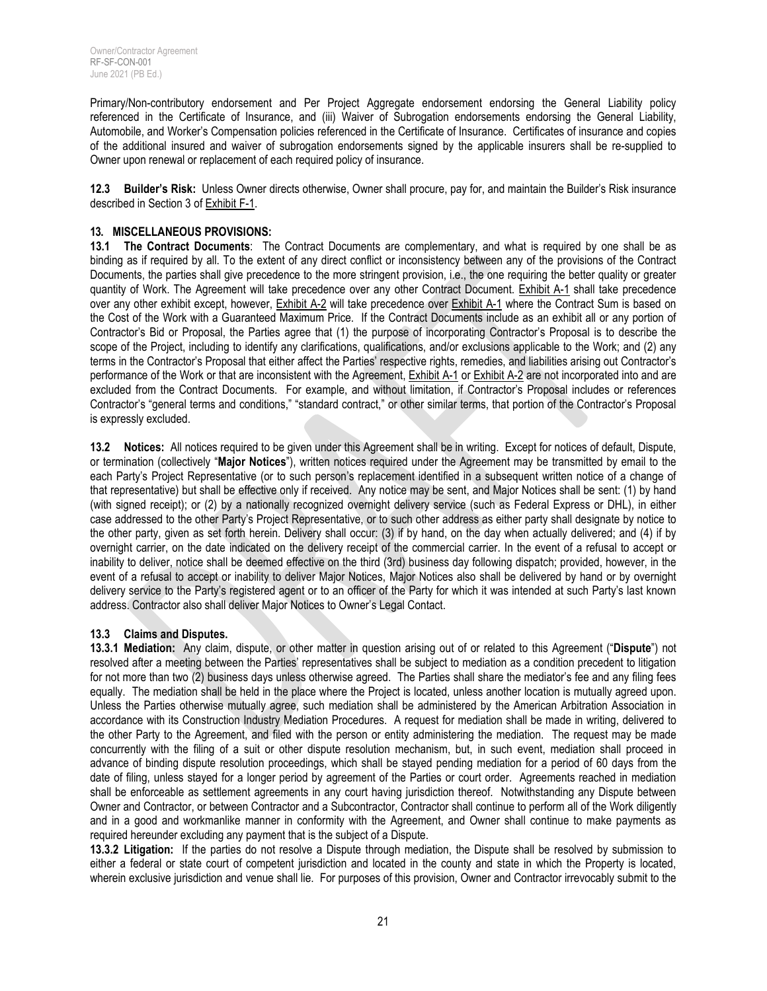Primary/Non-contributory endorsement and Per Project Aggregate endorsement endorsing the General Liability policy referenced in the Certificate of Insurance, and (iii) Waiver of Subrogation endorsements endorsing the General Liability, Automobile, and Worker's Compensation policies referenced in the Certificate of Insurance. Certificates of insurance and copies of the additional insured and waiver of subrogation endorsements signed by the applicable insurers shall be re-supplied to Owner upon renewal or replacement of each required policy of insurance.

**12.3 Builder's Risk:** Unless Owner directs otherwise, Owner shall procure, pay for, and maintain the Builder's Risk insurance described in Section 3 of Exhibit F-1.

#### **13. MISCELLANEOUS PROVISIONS:**

**13.1 The Contract Documents**: The Contract Documents are complementary, and what is required by one shall be as binding as if required by all. To the extent of any direct conflict or inconsistency between any of the provisions of the Contract Documents, the parties shall give precedence to the more stringent provision, i.e., the one requiring the better quality or greater quantity of Work. The Agreement will take precedence over any other Contract Document. Exhibit A-1 shall take precedence over any other exhibit except, however, Exhibit A-2 will take precedence over Exhibit A-1 where the Contract Sum is based on the Cost of the Work with a Guaranteed Maximum Price. If the Contract Documents include as an exhibit all or any portion of Contractor's Bid or Proposal, the Parties agree that (1) the purpose of incorporating Contractor's Proposal is to describe the scope of the Project, including to identify any clarifications, qualifications, and/or exclusions applicable to the Work; and (2) any terms in the Contractor's Proposal that either affect the Parties' respective rights, remedies, and liabilities arising out Contractor's performance of the Work or that are inconsistent with the Agreement, Exhibit A-1 or Exhibit A-2 are not incorporated into and are excluded from the Contract Documents. For example, and without limitation, if Contractor's Proposal includes or references Contractor's "general terms and conditions," "standard contract," or other similar terms, that portion of the Contractor's Proposal is expressly excluded.

**13.2 Notices:** All notices required to be given under this Agreement shall be in writing. Except for notices of default, Dispute, or termination (collectively "**Major Notices**"), written notices required under the Agreement may be transmitted by email to the each Party's Project Representative (or to such person's replacement identified in a subsequent written notice of a change of that representative) but shall be effective only if received. Any notice may be sent, and Major Notices shall be sent: (1) by hand (with signed receipt); or (2) by a nationally recognized overnight delivery service (such as Federal Express or DHL), in either case addressed to the other Party's Project Representative, or to such other address as either party shall designate by notice to the other party, given as set forth herein. Delivery shall occur: (3) if by hand, on the day when actually delivered; and (4) if by overnight carrier, on the date indicated on the delivery receipt of the commercial carrier. In the event of a refusal to accept or inability to deliver, notice shall be deemed effective on the third (3rd) business day following dispatch; provided, however, in the event of a refusal to accept or inability to deliver Major Notices, Major Notices also shall be delivered by hand or by overnight delivery service to the Party's registered agent or to an officer of the Party for which it was intended at such Party's last known address. Contractor also shall deliver Major Notices to Owner's Legal Contact.

#### **13.3 Claims and Disputes.**

**13.3.1 Mediation:** Any claim, dispute, or other matter in question arising out of or related to this Agreement ("**Dispute**") not resolved after a meeting between the Parties' representatives shall be subject to mediation as a condition precedent to litigation for not more than two (2) business days unless otherwise agreed. The Parties shall share the mediator's fee and any filing fees equally. The mediation shall be held in the place where the Project is located, unless another location is mutually agreed upon. Unless the Parties otherwise mutually agree, such mediation shall be administered by the American Arbitration Association in accordance with its Construction Industry Mediation Procedures. A request for mediation shall be made in writing, delivered to the other Party to the Agreement, and filed with the person or entity administering the mediation. The request may be made concurrently with the filing of a suit or other dispute resolution mechanism, but, in such event, mediation shall proceed in advance of binding dispute resolution proceedings, which shall be stayed pending mediation for a period of 60 days from the date of filing, unless stayed for a longer period by agreement of the Parties or court order. Agreements reached in mediation shall be enforceable as settlement agreements in any court having jurisdiction thereof. Notwithstanding any Dispute between Owner and Contractor, or between Contractor and a Subcontractor, Contractor shall continue to perform all of the Work diligently and in a good and workmanlike manner in conformity with the Agreement, and Owner shall continue to make payments as required hereunder excluding any payment that is the subject of a Dispute.

**13.3.2 Litigation:** If the parties do not resolve a Dispute through mediation, the Dispute shall be resolved by submission to either a federal or state court of competent jurisdiction and located in the county and state in which the Property is located, wherein exclusive jurisdiction and venue shall lie. For purposes of this provision, Owner and Contractor irrevocably submit to the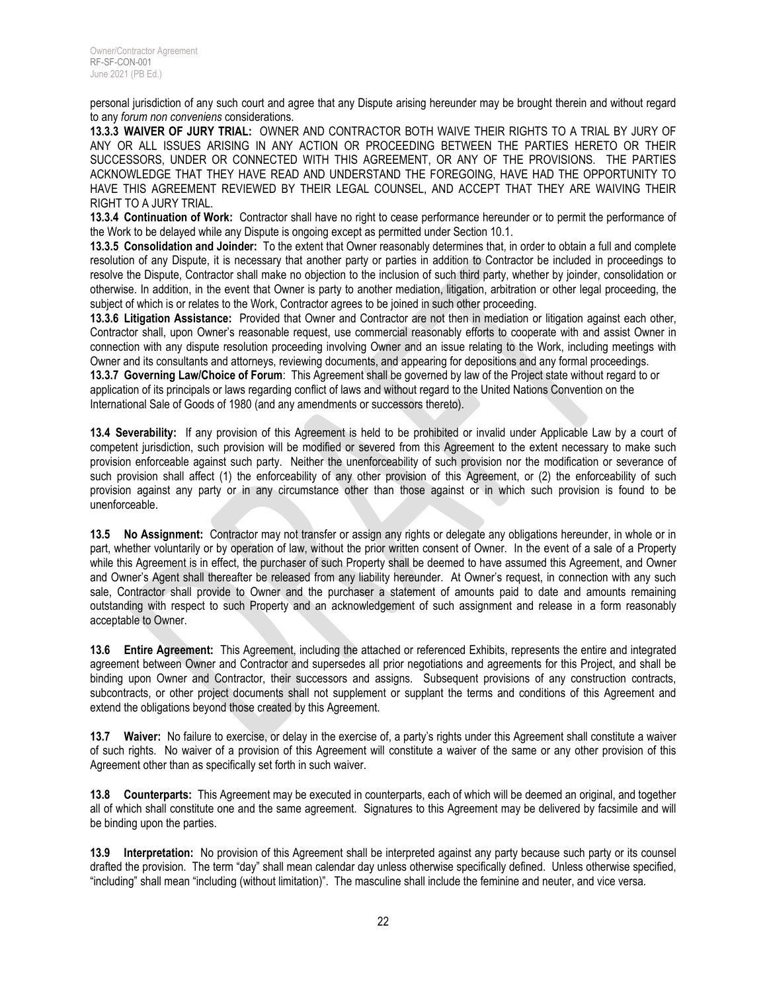personal jurisdiction of any such court and agree that any Dispute arising hereunder may be brought therein and without regard to any *forum non conveniens* considerations.

**13.3.3 WAIVER OF JURY TRIAL:** OWNER AND CONTRACTOR BOTH WAIVE THEIR RIGHTS TO A TRIAL BY JURY OF ANY OR ALL ISSUES ARISING IN ANY ACTION OR PROCEEDING BETWEEN THE PARTIES HERETO OR THEIR SUCCESSORS, UNDER OR CONNECTED WITH THIS AGREEMENT, OR ANY OF THE PROVISIONS. THE PARTIES ACKNOWLEDGE THAT THEY HAVE READ AND UNDERSTAND THE FOREGOING, HAVE HAD THE OPPORTUNITY TO HAVE THIS AGREEMENT REVIEWED BY THEIR LEGAL COUNSEL, AND ACCEPT THAT THEY ARE WAIVING THEIR RIGHT TO A JURY TRIAL.

**13.3.4 Continuation of Work:** Contractor shall have no right to cease performance hereunder or to permit the performance of the Work to be delayed while any Dispute is ongoing except as permitted under Section 10.1.

**13.3.5 Consolidation and Joinder:** To the extent that Owner reasonably determines that, in order to obtain a full and complete resolution of any Dispute, it is necessary that another party or parties in addition to Contractor be included in proceedings to resolve the Dispute, Contractor shall make no objection to the inclusion of such third party, whether by joinder, consolidation or otherwise. In addition, in the event that Owner is party to another mediation, litigation, arbitration or other legal proceeding, the subject of which is or relates to the Work, Contractor agrees to be joined in such other proceeding.

**13.3.6 Litigation Assistance:** Provided that Owner and Contractor are not then in mediation or litigation against each other, Contractor shall, upon Owner's reasonable request, use commercial reasonably efforts to cooperate with and assist Owner in connection with any dispute resolution proceeding involving Owner and an issue relating to the Work, including meetings with Owner and its consultants and attorneys, reviewing documents, and appearing for depositions and any formal proceedings. **13.3.7 Governing Law/Choice of Forum**: This Agreement shall be governed by law of the Project state without regard to or

application of its principals or laws regarding conflict of laws and without regard to the United Nations Convention on the International Sale of Goods of 1980 (and any amendments or successors thereto).

**13.4 Severability:** If any provision of this Agreement is held to be prohibited or invalid under Applicable Law by a court of competent jurisdiction, such provision will be modified or severed from this Agreement to the extent necessary to make such provision enforceable against such party. Neither the unenforceability of such provision nor the modification or severance of such provision shall affect (1) the enforceability of any other provision of this Agreement, or (2) the enforceability of such provision against any party or in any circumstance other than those against or in which such provision is found to be unenforceable.

**13.5 No Assignment:** Contractor may not transfer or assign any rights or delegate any obligations hereunder, in whole or in part, whether voluntarily or by operation of law, without the prior written consent of Owner. In the event of a sale of a Property while this Agreement is in effect, the purchaser of such Property shall be deemed to have assumed this Agreement, and Owner and Owner's Agent shall thereafter be released from any liability hereunder. At Owner's request, in connection with any such sale, Contractor shall provide to Owner and the purchaser a statement of amounts paid to date and amounts remaining outstanding with respect to such Property and an acknowledgement of such assignment and release in a form reasonably acceptable to Owner.

**13.6 Entire Agreement:** This Agreement, including the attached or referenced Exhibits, represents the entire and integrated agreement between Owner and Contractor and supersedes all prior negotiations and agreements for this Project, and shall be binding upon Owner and Contractor, their successors and assigns. Subsequent provisions of any construction contracts, subcontracts, or other project documents shall not supplement or supplant the terms and conditions of this Agreement and extend the obligations beyond those created by this Agreement.

**13.7 Waiver:** No failure to exercise, or delay in the exercise of, a party's rights under this Agreement shall constitute a waiver of such rights. No waiver of a provision of this Agreement will constitute a waiver of the same or any other provision of this Agreement other than as specifically set forth in such waiver.

**13.8 Counterparts:** This Agreement may be executed in counterparts, each of which will be deemed an original, and together all of which shall constitute one and the same agreement. Signatures to this Agreement may be delivered by facsimile and will be binding upon the parties.

**13.9 Interpretation:** No provision of this Agreement shall be interpreted against any party because such party or its counsel drafted the provision. The term "day" shall mean calendar day unless otherwise specifically defined. Unless otherwise specified, "including" shall mean "including (without limitation)". The masculine shall include the feminine and neuter, and vice versa.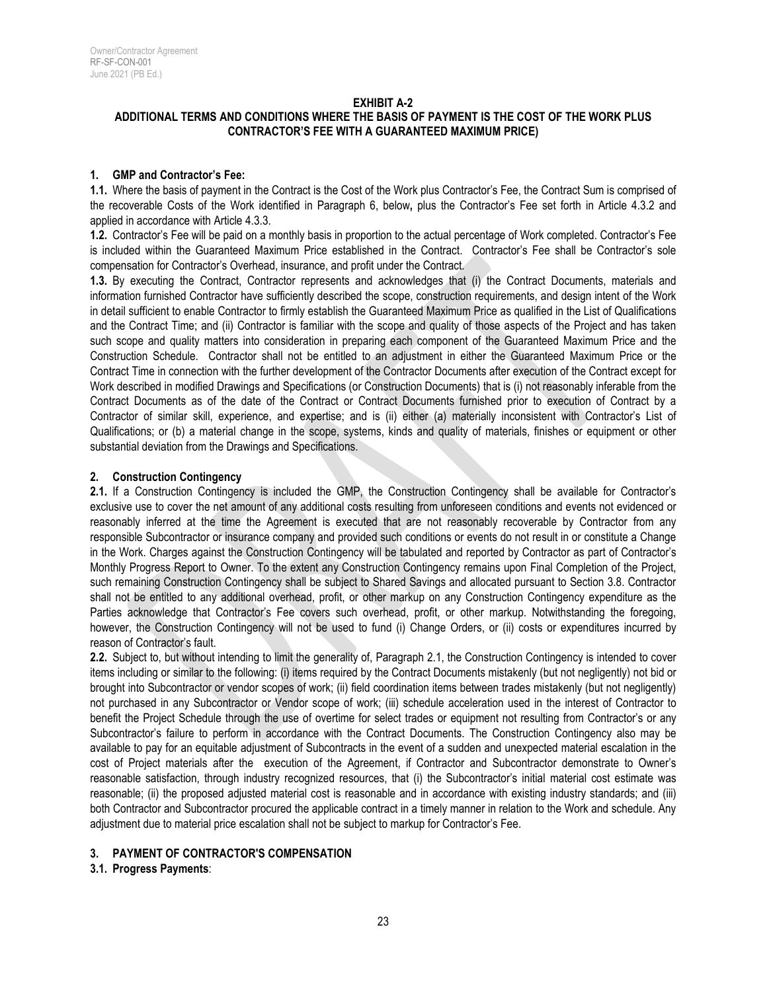#### **EXHIBIT A-2**

## **ADDITIONAL TERMS AND CONDITIONS WHERE THE BASIS OF PAYMENT IS THE COST OF THE WORK PLUS CONTRACTOR'S FEE WITH A GUARANTEED MAXIMUM PRICE)**

#### **1. GMP and Contractor's Fee:**

**1.1.** Where the basis of payment in the Contract is the Cost of the Work plus Contractor's Fee, the Contract Sum is comprised of the recoverable Costs of the Work identified in Paragraph 6, below**,** plus the Contractor's Fee set forth in Article 4.3.2 and applied in accordance with Article 4.3.3.

**1.2.** Contractor's Fee will be paid on a monthly basis in proportion to the actual percentage of Work completed. Contractor's Fee is included within the Guaranteed Maximum Price established in the Contract. Contractor's Fee shall be Contractor's sole compensation for Contractor's Overhead, insurance, and profit under the Contract.

**1.3.** By executing the Contract, Contractor represents and acknowledges that (i) the Contract Documents, materials and information furnished Contractor have sufficiently described the scope, construction requirements, and design intent of the Work in detail sufficient to enable Contractor to firmly establish the Guaranteed Maximum Price as qualified in the List of Qualifications and the Contract Time; and (ii) Contractor is familiar with the scope and quality of those aspects of the Project and has taken such scope and quality matters into consideration in preparing each component of the Guaranteed Maximum Price and the Construction Schedule. Contractor shall not be entitled to an adjustment in either the Guaranteed Maximum Price or the Contract Time in connection with the further development of the Contractor Documents after execution of the Contract except for Work described in modified Drawings and Specifications (or Construction Documents) that is (i) not reasonably inferable from the Contract Documents as of the date of the Contract or Contract Documents furnished prior to execution of Contract by a Contractor of similar skill, experience, and expertise; and is (ii) either (a) materially inconsistent with Contractor's List of Qualifications; or (b) a material change in the scope, systems, kinds and quality of materials, finishes or equipment or other substantial deviation from the Drawings and Specifications.

#### **2. Construction Contingency**

**2.1.** If a Construction Contingency is included the GMP, the Construction Contingency shall be available for Contractor's exclusive use to cover the net amount of any additional costs resulting from unforeseen conditions and events not evidenced or reasonably inferred at the time the Agreement is executed that are not reasonably recoverable by Contractor from any responsible Subcontractor or insurance company and provided such conditions or events do not result in or constitute a Change in the Work. Charges against the Construction Contingency will be tabulated and reported by Contractor as part of Contractor's Monthly Progress Report to Owner. To the extent any Construction Contingency remains upon Final Completion of the Project, such remaining Construction Contingency shall be subject to Shared Savings and allocated pursuant to Section 3.8. Contractor shall not be entitled to any additional overhead, profit, or other markup on any Construction Contingency expenditure as the Parties acknowledge that Contractor's Fee covers such overhead, profit, or other markup. Notwithstanding the foregoing, however, the Construction Contingency will not be used to fund (i) Change Orders, or (ii) costs or expenditures incurred by reason of Contractor's fault.

**2.2.** Subject to, but without intending to limit the generality of, Paragraph 2.1, the Construction Contingency is intended to cover items including or similar to the following: (i) items required by the Contract Documents mistakenly (but not negligently) not bid or brought into Subcontractor or vendor scopes of work; (ii) field coordination items between trades mistakenly (but not negligently) not purchased in any Subcontractor or Vendor scope of work; (iii) schedule acceleration used in the interest of Contractor to benefit the Project Schedule through the use of overtime for select trades or equipment not resulting from Contractor's or any Subcontractor's failure to perform in accordance with the Contract Documents. The Construction Contingency also may be available to pay for an equitable adjustment of Subcontracts in the event of a sudden and unexpected material escalation in the cost of Project materials after the execution of the Agreement, if Contractor and Subcontractor demonstrate to Owner's reasonable satisfaction, through industry recognized resources, that (i) the Subcontractor's initial material cost estimate was reasonable; (ii) the proposed adjusted material cost is reasonable and in accordance with existing industry standards; and (iii) both Contractor and Subcontractor procured the applicable contract in a timely manner in relation to the Work and schedule. Any adjustment due to material price escalation shall not be subject to markup for Contractor's Fee.

## **3. PAYMENT OF CONTRACTOR'S COMPENSATION**

#### **3.1. Progress Payments**: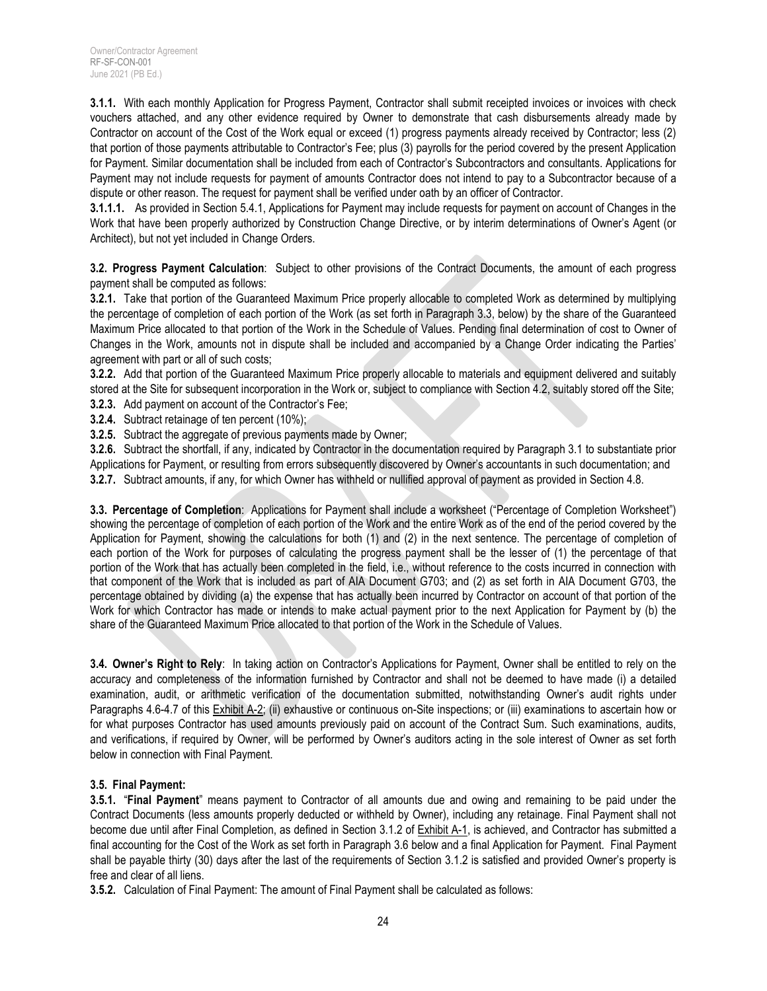**3.1.1.** With each monthly Application for Progress Payment, Contractor shall submit receipted invoices or invoices with check vouchers attached, and any other evidence required by Owner to demonstrate that cash disbursements already made by Contractor on account of the Cost of the Work equal or exceed (1) progress payments already received by Contractor; less (2) that portion of those payments attributable to Contractor's Fee; plus (3) payrolls for the period covered by the present Application for Payment. Similar documentation shall be included from each of Contractor's Subcontractors and consultants. Applications for Payment may not include requests for payment of amounts Contractor does not intend to pay to a Subcontractor because of a dispute or other reason. The request for payment shall be verified under oath by an officer of Contractor.

**3.1.1.1.** As provided in Section 5.4.1, Applications for Payment may include requests for payment on account of Changes in the Work that have been properly authorized by Construction Change Directive, or by interim determinations of Owner's Agent (or Architect), but not yet included in Change Orders.

**3.2. Progress Payment Calculation**: Subject to other provisions of the Contract Documents, the amount of each progress payment shall be computed as follows:

**3.2.1.** Take that portion of the Guaranteed Maximum Price properly allocable to completed Work as determined by multiplying the percentage of completion of each portion of the Work (as set forth in Paragraph 3.3, below) by the share of the Guaranteed Maximum Price allocated to that portion of the Work in the Schedule of Values. Pending final determination of cost to Owner of Changes in the Work, amounts not in dispute shall be included and accompanied by a Change Order indicating the Parties' agreement with part or all of such costs;

**3.2.2.** Add that portion of the Guaranteed Maximum Price properly allocable to materials and equipment delivered and suitably stored at the Site for subsequent incorporation in the Work or, subject to compliance with Section 4.2, suitably stored off the Site; **3.2.3.** Add payment on account of the Contractor's Fee;

- **3.2.4.** Subtract retainage of ten percent (10%);
- 
- **3.2.5.** Subtract the aggregate of previous payments made by Owner;

**3.2.6.** Subtract the shortfall, if any, indicated by Contractor in the documentation required by Paragraph 3.1 to substantiate prior Applications for Payment, or resulting from errors subsequently discovered by Owner's accountants in such documentation; and **3.2.7.** Subtract amounts, if any, for which Owner has withheld or nullified approval of payment as provided in Section 4.8.

**3.3. Percentage of Completion**: Applications for Payment shall include a worksheet ("Percentage of Completion Worksheet") showing the percentage of completion of each portion of the Work and the entire Work as of the end of the period covered by the Application for Payment, showing the calculations for both (1) and (2) in the next sentence. The percentage of completion of each portion of the Work for purposes of calculating the progress payment shall be the lesser of (1) the percentage of that portion of the Work that has actually been completed in the field, i.e., without reference to the costs incurred in connection with that component of the Work that is included as part of AIA Document G703; and (2) as set forth in AIA Document G703, the percentage obtained by dividing (a) the expense that has actually been incurred by Contractor on account of that portion of the Work for which Contractor has made or intends to make actual payment prior to the next Application for Payment by (b) the share of the Guaranteed Maximum Price allocated to that portion of the Work in the Schedule of Values.

**3.4. Owner's Right to Rely**: In taking action on Contractor's Applications for Payment, Owner shall be entitled to rely on the accuracy and completeness of the information furnished by Contractor and shall not be deemed to have made (i) a detailed examination, audit, or arithmetic verification of the documentation submitted, notwithstanding Owner's audit rights under Paragraphs 4.6-4.7 of this Exhibit A-2; (ii) exhaustive or continuous on-Site inspections; or (iii) examinations to ascertain how or for what purposes Contractor has used amounts previously paid on account of the Contract Sum. Such examinations, audits, and verifications, if required by Owner, will be performed by Owner's auditors acting in the sole interest of Owner as set forth below in connection with Final Payment.

## **3.5. Final Payment:**

**3.5.1.** "**Final Payment**" means payment to Contractor of all amounts due and owing and remaining to be paid under the Contract Documents (less amounts properly deducted or withheld by Owner), including any retainage. Final Payment shall not become due until after Final Completion, as defined in Section 3.1.2 of Exhibit A-1, is achieved, and Contractor has submitted a final accounting for the Cost of the Work as set forth in Paragraph 3.6 below and a final Application for Payment. Final Payment shall be payable thirty (30) days after the last of the requirements of Section 3.1.2 is satisfied and provided Owner's property is free and clear of all liens.

**3.5.2.** Calculation of Final Payment: The amount of Final Payment shall be calculated as follows: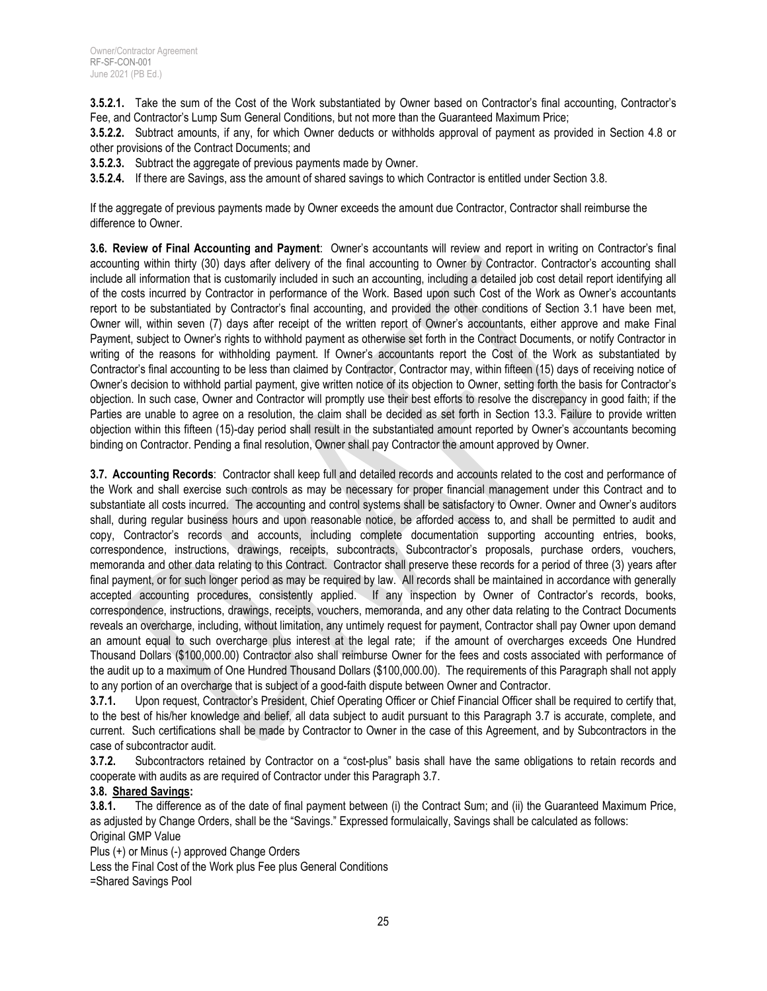**3.5.2.1.** Take the sum of the Cost of the Work substantiated by Owner based on Contractor's final accounting, Contractor's Fee, and Contractor's Lump Sum General Conditions, but not more than the Guaranteed Maximum Price;

**3.5.2.2.** Subtract amounts, if any, for which Owner deducts or withholds approval of payment as provided in Section 4.8 or other provisions of the Contract Documents; and

**3.5.2.3.** Subtract the aggregate of previous payments made by Owner.

**3.5.2.4.** If there are Savings, ass the amount of shared savings to which Contractor is entitled under Section 3.8.

If the aggregate of previous payments made by Owner exceeds the amount due Contractor, Contractor shall reimburse the difference to Owner.

**3.6. Review of Final Accounting and Payment**: Owner's accountants will review and report in writing on Contractor's final accounting within thirty (30) days after delivery of the final accounting to Owner by Contractor. Contractor's accounting shall include all information that is customarily included in such an accounting, including a detailed job cost detail report identifying all of the costs incurred by Contractor in performance of the Work. Based upon such Cost of the Work as Owner's accountants report to be substantiated by Contractor's final accounting, and provided the other conditions of Section 3.1 have been met, Owner will, within seven (7) days after receipt of the written report of Owner's accountants, either approve and make Final Payment, subject to Owner's rights to withhold payment as otherwise set forth in the Contract Documents, or notify Contractor in writing of the reasons for withholding payment. If Owner's accountants report the Cost of the Work as substantiated by Contractor's final accounting to be less than claimed by Contractor, Contractor may, within fifteen (15) days of receiving notice of Owner's decision to withhold partial payment, give written notice of its objection to Owner, setting forth the basis for Contractor's objection. In such case, Owner and Contractor will promptly use their best efforts to resolve the discrepancy in good faith; if the Parties are unable to agree on a resolution, the claim shall be decided as set forth in Section 13.3. Failure to provide written objection within this fifteen (15)-day period shall result in the substantiated amount reported by Owner's accountants becoming binding on Contractor. Pending a final resolution, Owner shall pay Contractor the amount approved by Owner.

**3.7. Accounting Records**: Contractor shall keep full and detailed records and accounts related to the cost and performance of the Work and shall exercise such controls as may be necessary for proper financial management under this Contract and to substantiate all costs incurred. The accounting and control systems shall be satisfactory to Owner. Owner and Owner's auditors shall, during regular business hours and upon reasonable notice, be afforded access to, and shall be permitted to audit and copy, Contractor's records and accounts, including complete documentation supporting accounting entries, books, correspondence, instructions, drawings, receipts, subcontracts, Subcontractor's proposals, purchase orders, vouchers, memoranda and other data relating to this Contract. Contractor shall preserve these records for a period of three (3) years after final payment, or for such longer period as may be required by law. All records shall be maintained in accordance with generally accepted accounting procedures, consistently applied. If any inspection by Owner of Contractor's records, books, correspondence, instructions, drawings, receipts, vouchers, memoranda, and any other data relating to the Contract Documents reveals an overcharge, including, without limitation, any untimely request for payment, Contractor shall pay Owner upon demand an amount equal to such overcharge plus interest at the legal rate; if the amount of overcharges exceeds One Hundred Thousand Dollars (\$100,000.00) Contractor also shall reimburse Owner for the fees and costs associated with performance of the audit up to a maximum of One Hundred Thousand Dollars (\$100,000.00). The requirements of this Paragraph shall not apply to any portion of an overcharge that is subject of a good-faith dispute between Owner and Contractor.

**3.7.1.** Upon request, Contractor's President, Chief Operating Officer or Chief Financial Officer shall be required to certify that, to the best of his/her knowledge and belief, all data subject to audit pursuant to this Paragraph 3.7 is accurate, complete, and current. Such certifications shall be made by Contractor to Owner in the case of this Agreement, and by Subcontractors in the case of subcontractor audit.

**3.7.2.** Subcontractors retained by Contractor on a "cost-plus" basis shall have the same obligations to retain records and cooperate with audits as are required of Contractor under this Paragraph 3.7.

#### **3.8. Shared Savings:**

**3.8.1.** The difference as of the date of final payment between (i) the Contract Sum; and (ii) the Guaranteed Maximum Price, as adjusted by Change Orders, shall be the "Savings." Expressed formulaically, Savings shall be calculated as follows: Original GMP Value

Plus (+) or Minus (-) approved Change Orders

Less the Final Cost of the Work plus Fee plus General Conditions

=Shared Savings Pool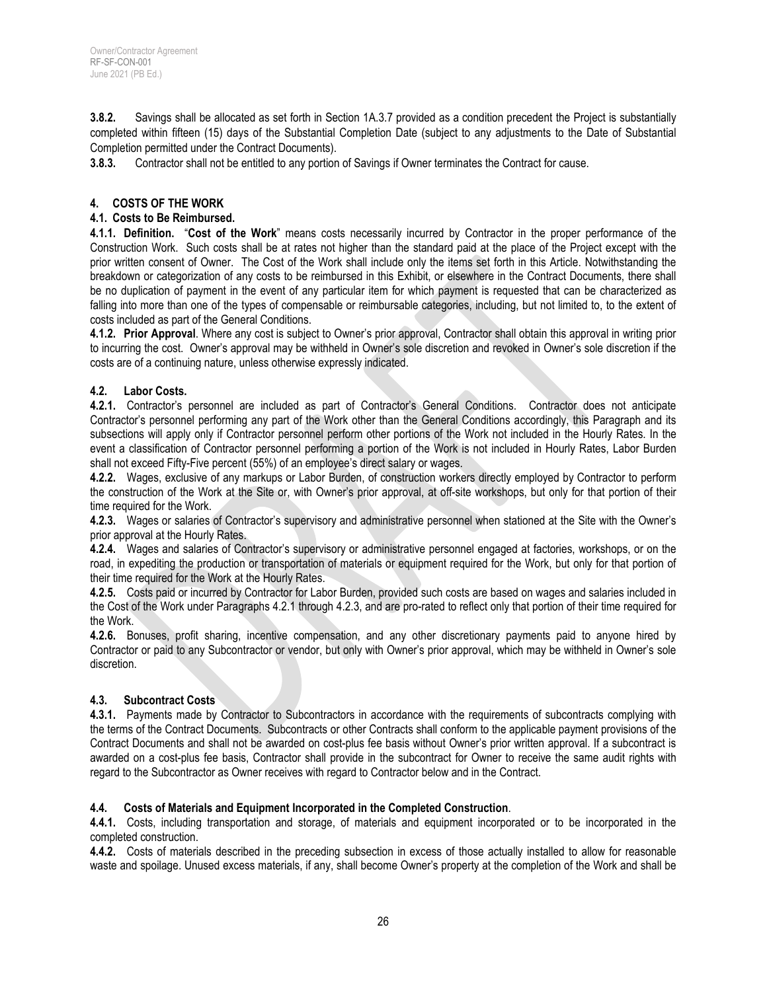**3.8.2.** Savings shall be allocated as set forth in Section 1A.3.7 provided as a condition precedent the Project is substantially completed within fifteen (15) days of the Substantial Completion Date (subject to any adjustments to the Date of Substantial Completion permitted under the Contract Documents).

**3.8.3.** Contractor shall not be entitled to any portion of Savings if Owner terminates the Contract for cause.

## **4. COSTS OF THE WORK**

#### **4.1. Costs to Be Reimbursed.**

**4.1.1. Definition.** "**Cost of the Work**" means costs necessarily incurred by Contractor in the proper performance of the Construction Work. Such costs shall be at rates not higher than the standard paid at the place of the Project except with the prior written consent of Owner. The Cost of the Work shall include only the items set forth in this Article. Notwithstanding the breakdown or categorization of any costs to be reimbursed in this Exhibit, or elsewhere in the Contract Documents, there shall be no duplication of payment in the event of any particular item for which payment is requested that can be characterized as falling into more than one of the types of compensable or reimbursable categories, including, but not limited to, to the extent of costs included as part of the General Conditions.

**4.1.2. Prior Approval**. Where any cost is subject to Owner's prior approval, Contractor shall obtain this approval in writing prior to incurring the cost. Owner's approval may be withheld in Owner's sole discretion and revoked in Owner's sole discretion if the costs are of a continuing nature, unless otherwise expressly indicated.

#### **4.2. Labor Costs.**

**4.2.1.** Contractor's personnel are included as part of Contractor's General Conditions. Contractor does not anticipate Contractor's personnel performing any part of the Work other than the General Conditions accordingly, this Paragraph and its subsections will apply only if Contractor personnel perform other portions of the Work not included in the Hourly Rates. In the event a classification of Contractor personnel performing a portion of the Work is not included in Hourly Rates, Labor Burden shall not exceed Fifty-Five percent (55%) of an employee's direct salary or wages.

**4.2.2.** Wages, exclusive of any markups or Labor Burden, of construction workers directly employed by Contractor to perform the construction of the Work at the Site or, with Owner's prior approval, at off-site workshops, but only for that portion of their time required for the Work.

**4.2.3.** Wages or salaries of Contractor's supervisory and administrative personnel when stationed at the Site with the Owner's prior approval at the Hourly Rates.

**4.2.4.** Wages and salaries of Contractor's supervisory or administrative personnel engaged at factories, workshops, or on the road, in expediting the production or transportation of materials or equipment required for the Work, but only for that portion of their time required for the Work at the Hourly Rates.

**4.2.5.** Costs paid or incurred by Contractor for Labor Burden, provided such costs are based on wages and salaries included in the Cost of the Work under Paragraphs 4.2.1 through 4.2.3, and are pro-rated to reflect only that portion of their time required for the Work.

**4.2.6.** Bonuses, profit sharing, incentive compensation, and any other discretionary payments paid to anyone hired by Contractor or paid to any Subcontractor or vendor, but only with Owner's prior approval, which may be withheld in Owner's sole discretion.

#### **4.3. Subcontract Costs**

**4.3.1.** Payments made by Contractor to Subcontractors in accordance with the requirements of subcontracts complying with the terms of the Contract Documents. Subcontracts or other Contracts shall conform to the applicable payment provisions of the Contract Documents and shall not be awarded on cost-plus fee basis without Owner's prior written approval. If a subcontract is awarded on a cost-plus fee basis, Contractor shall provide in the subcontract for Owner to receive the same audit rights with regard to the Subcontractor as Owner receives with regard to Contractor below and in the Contract.

#### **4.4. Costs of Materials and Equipment Incorporated in the Completed Construction**.

**4.4.1.** Costs, including transportation and storage, of materials and equipment incorporated or to be incorporated in the completed construction.

**4.4.2.** Costs of materials described in the preceding subsection in excess of those actually installed to allow for reasonable waste and spoilage. Unused excess materials, if any, shall become Owner's property at the completion of the Work and shall be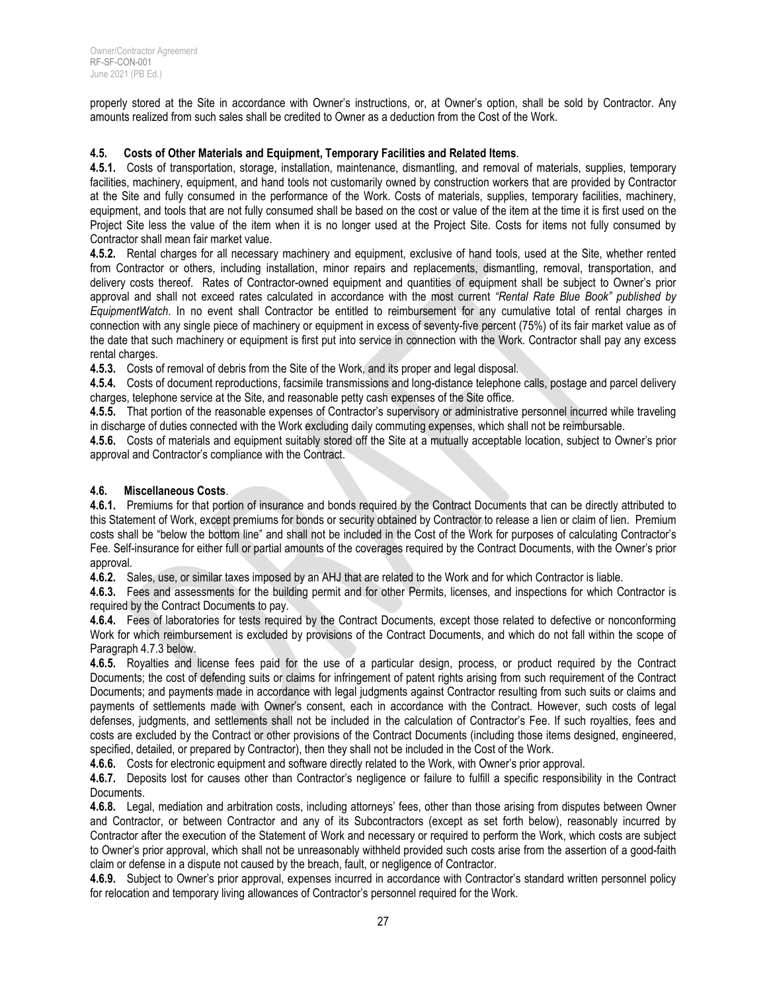properly stored at the Site in accordance with Owner's instructions, or, at Owner's option, shall be sold by Contractor. Any amounts realized from such sales shall be credited to Owner as a deduction from the Cost of the Work.

#### **4.5. Costs of Other Materials and Equipment, Temporary Facilities and Related Items**.

**4.5.1.** Costs of transportation, storage, installation, maintenance, dismantling, and removal of materials, supplies, temporary facilities, machinery, equipment, and hand tools not customarily owned by construction workers that are provided by Contractor at the Site and fully consumed in the performance of the Work. Costs of materials, supplies, temporary facilities, machinery, equipment, and tools that are not fully consumed shall be based on the cost or value of the item at the time it is first used on the Project Site less the value of the item when it is no longer used at the Project Site. Costs for items not fully consumed by Contractor shall mean fair market value.

**4.5.2.** Rental charges for all necessary machinery and equipment, exclusive of hand tools, used at the Site, whether rented from Contractor or others, including installation, minor repairs and replacements, dismantling, removal, transportation, and delivery costs thereof. Rates of Contractor-owned equipment and quantities of equipment shall be subject to Owner's prior approval and shall not exceed rates calculated in accordance with the most current *"Rental Rate Blue Book" published by EquipmentWatch*. In no event shall Contractor be entitled to reimbursement for any cumulative total of rental charges in connection with any single piece of machinery or equipment in excess of seventy-five percent (75%) of its fair market value as of the date that such machinery or equipment is first put into service in connection with the Work. Contractor shall pay any excess rental charges.

**4.5.3.** Costs of removal of debris from the Site of the Work, and its proper and legal disposal.

**4.5.4.** Costs of document reproductions, facsimile transmissions and long-distance telephone calls, postage and parcel delivery charges, telephone service at the Site, and reasonable petty cash expenses of the Site office.

**4.5.5.** That portion of the reasonable expenses of Contractor's supervisory or administrative personnel incurred while traveling in discharge of duties connected with the Work excluding daily commuting expenses, which shall not be reimbursable.

**4.5.6.** Costs of materials and equipment suitably stored off the Site at a mutually acceptable location, subject to Owner's prior approval and Contractor's compliance with the Contract.

## **4.6. Miscellaneous Costs**.

**4.6.1.** Premiums for that portion of insurance and bonds required by the Contract Documents that can be directly attributed to this Statement of Work, except premiums for bonds or security obtained by Contractor to release a lien or claim of lien. Premium costs shall be "below the bottom line" and shall not be included in the Cost of the Work for purposes of calculating Contractor's Fee. Self-insurance for either full or partial amounts of the coverages required by the Contract Documents, with the Owner's prior approval.

**4.6.2.** Sales, use, or similar taxes imposed by an AHJ that are related to the Work and for which Contractor is liable.

**4.6.3.** Fees and assessments for the building permit and for other Permits, licenses, and inspections for which Contractor is required by the Contract Documents to pay.

**4.6.4.** Fees of laboratories for tests required by the Contract Documents, except those related to defective or nonconforming Work for which reimbursement is excluded by provisions of the Contract Documents, and which do not fall within the scope of Paragraph 4.7.3 below.

**4.6.5.** Royalties and license fees paid for the use of a particular design, process, or product required by the Contract Documents; the cost of defending suits or claims for infringement of patent rights arising from such requirement of the Contract Documents; and payments made in accordance with legal judgments against Contractor resulting from such suits or claims and payments of settlements made with Owner's consent, each in accordance with the Contract. However, such costs of legal defenses, judgments, and settlements shall not be included in the calculation of Contractor's Fee. If such royalties, fees and costs are excluded by the Contract or other provisions of the Contract Documents (including those items designed, engineered, specified, detailed, or prepared by Contractor), then they shall not be included in the Cost of the Work.

**4.6.6.** Costs for electronic equipment and software directly related to the Work, with Owner's prior approval.

**4.6.7.** Deposits lost for causes other than Contractor's negligence or failure to fulfill a specific responsibility in the Contract Documents.

**4.6.8.** Legal, mediation and arbitration costs, including attorneys' fees, other than those arising from disputes between Owner and Contractor, or between Contractor and any of its Subcontractors (except as set forth below), reasonably incurred by Contractor after the execution of the Statement of Work and necessary or required to perform the Work, which costs are subject to Owner's prior approval, which shall not be unreasonably withheld provided such costs arise from the assertion of a good-faith claim or defense in a dispute not caused by the breach, fault, or negligence of Contractor.

**4.6.9.** Subject to Owner's prior approval, expenses incurred in accordance with Contractor's standard written personnel policy for relocation and temporary living allowances of Contractor's personnel required for the Work.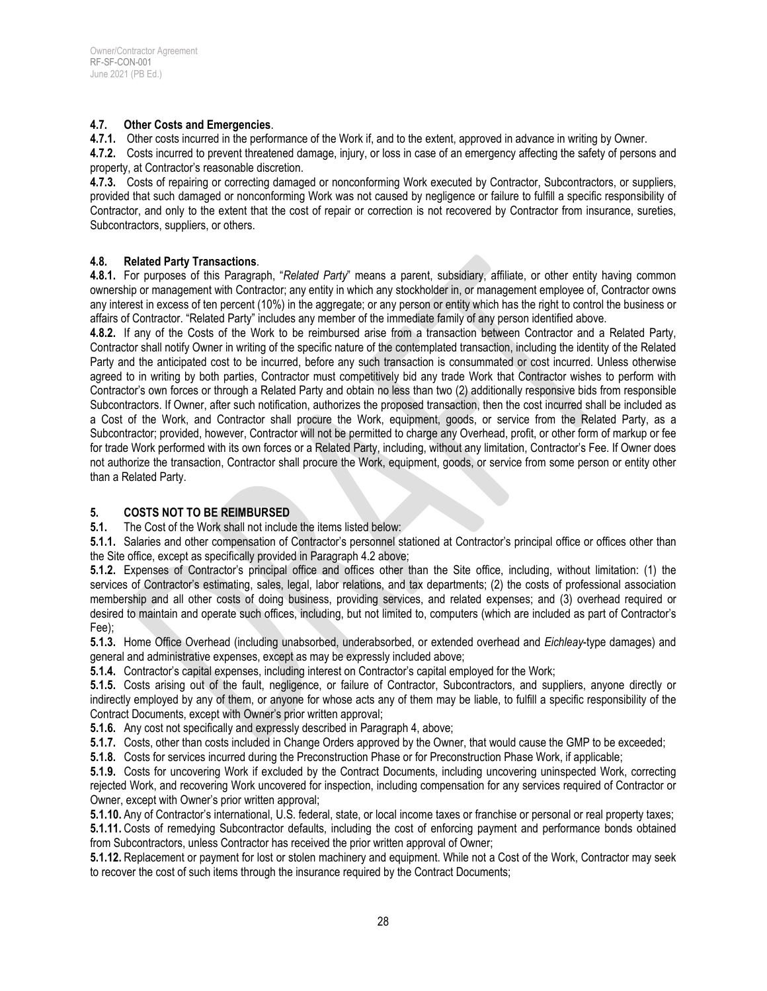#### **4.7. Other Costs and Emergencies**.

**4.7.1.** Other costs incurred in the performance of the Work if, and to the extent, approved in advance in writing by Owner.

**4.7.2.** Costs incurred to prevent threatened damage, injury, or loss in case of an emergency affecting the safety of persons and property, at Contractor's reasonable discretion.

**4.7.3.** Costs of repairing or correcting damaged or nonconforming Work executed by Contractor, Subcontractors, or suppliers, provided that such damaged or nonconforming Work was not caused by negligence or failure to fulfill a specific responsibility of Contractor, and only to the extent that the cost of repair or correction is not recovered by Contractor from insurance, sureties, Subcontractors, suppliers, or others.

#### **4.8. Related Party Transactions**.

**4.8.1.** For purposes of this Paragraph, "*Related Party*" means a parent, subsidiary, affiliate, or other entity having common ownership or management with Contractor; any entity in which any stockholder in, or management employee of, Contractor owns any interest in excess of ten percent (10%) in the aggregate; or any person or entity which has the right to control the business or affairs of Contractor. "Related Party" includes any member of the immediate family of any person identified above.

**4.8.2.** If any of the Costs of the Work to be reimbursed arise from a transaction between Contractor and a Related Party, Contractor shall notify Owner in writing of the specific nature of the contemplated transaction, including the identity of the Related Party and the anticipated cost to be incurred, before any such transaction is consummated or cost incurred. Unless otherwise agreed to in writing by both parties, Contractor must competitively bid any trade Work that Contractor wishes to perform with Contractor's own forces or through a Related Party and obtain no less than two (2) additionally responsive bids from responsible Subcontractors. If Owner, after such notification, authorizes the proposed transaction, then the cost incurred shall be included as a Cost of the Work, and Contractor shall procure the Work, equipment, goods, or service from the Related Party, as a Subcontractor; provided, however, Contractor will not be permitted to charge any Overhead, profit, or other form of markup or fee for trade Work performed with its own forces or a Related Party, including, without any limitation, Contractor's Fee. If Owner does not authorize the transaction, Contractor shall procure the Work, equipment, goods, or service from some person or entity other than a Related Party.

# **5. COSTS NOT TO BE REIMBURSED**

**5.1.** The Cost of the Work shall not include the items listed below:

**5.1.1.** Salaries and other compensation of Contractor's personnel stationed at Contractor's principal office or offices other than the Site office, except as specifically provided in Paragraph 4.2 above;

**5.1.2.** Expenses of Contractor's principal office and offices other than the Site office, including, without limitation: (1) the services of Contractor's estimating, sales, legal, labor relations, and tax departments; (2) the costs of professional association membership and all other costs of doing business, providing services, and related expenses; and (3) overhead required or desired to maintain and operate such offices, including, but not limited to, computers (which are included as part of Contractor's Fee);

**5.1.3.** Home Office Overhead (including unabsorbed, underabsorbed, or extended overhead and *Eichleay*-type damages) and general and administrative expenses, except as may be expressly included above;

**5.1.4.** Contractor's capital expenses, including interest on Contractor's capital employed for the Work;

**5.1.5.** Costs arising out of the fault, negligence, or failure of Contractor, Subcontractors, and suppliers, anyone directly or indirectly employed by any of them, or anyone for whose acts any of them may be liable, to fulfill a specific responsibility of the Contract Documents, except with Owner's prior written approval;

**5.1.6.** Any cost not specifically and expressly described in Paragraph 4, above;

**5.1.7.** Costs, other than costs included in Change Orders approved by the Owner, that would cause the GMP to be exceeded;

**5.1.8.** Costs for services incurred during the Preconstruction Phase or for Preconstruction Phase Work, if applicable;

**5.1.9.** Costs for uncovering Work if excluded by the Contract Documents, including uncovering uninspected Work, correcting rejected Work, and recovering Work uncovered for inspection, including compensation for any services required of Contractor or Owner, except with Owner's prior written approval;

**5.1.10.** Any of Contractor's international, U.S. federal, state, or local income taxes or franchise or personal or real property taxes; **5.1.11.** Costs of remedying Subcontractor defaults, including the cost of enforcing payment and performance bonds obtained from Subcontractors, unless Contractor has received the prior written approval of Owner;

**5.1.12.** Replacement or payment for lost or stolen machinery and equipment. While not a Cost of the Work, Contractor may seek to recover the cost of such items through the insurance required by the Contract Documents;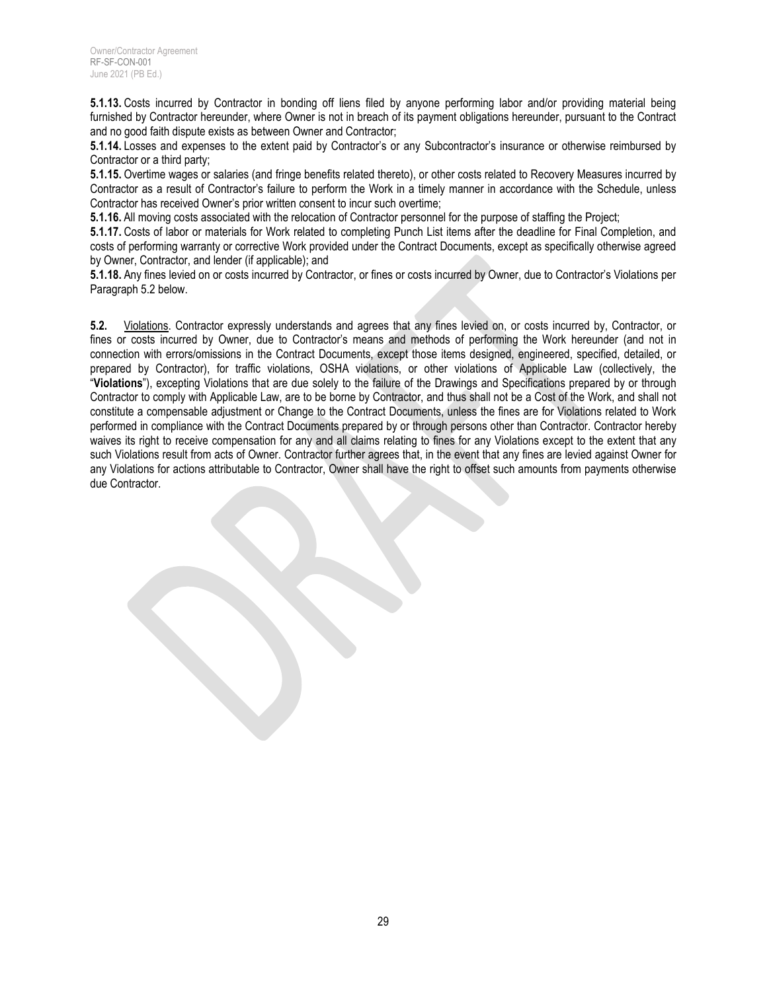**5.1.13.** Costs incurred by Contractor in bonding off liens filed by anyone performing labor and/or providing material being furnished by Contractor hereunder, where Owner is not in breach of its payment obligations hereunder, pursuant to the Contract and no good faith dispute exists as between Owner and Contractor;

**5.1.14.** Losses and expenses to the extent paid by Contractor's or any Subcontractor's insurance or otherwise reimbursed by Contractor or a third party;

**5.1.15.** Overtime wages or salaries (and fringe benefits related thereto), or other costs related to Recovery Measures incurred by Contractor as a result of Contractor's failure to perform the Work in a timely manner in accordance with the Schedule, unless Contractor has received Owner's prior written consent to incur such overtime;

**5.1.16.** All moving costs associated with the relocation of Contractor personnel for the purpose of staffing the Project;

**5.1.17.** Costs of labor or materials for Work related to completing Punch List items after the deadline for Final Completion, and costs of performing warranty or corrective Work provided under the Contract Documents, except as specifically otherwise agreed by Owner, Contractor, and lender (if applicable); and

**5.1.18.** Any fines levied on or costs incurred by Contractor, or fines or costs incurred by Owner, due to Contractor's Violations per Paragraph 5.2 below.

**5.2.** Violations. Contractor expressly understands and agrees that any fines levied on, or costs incurred by, Contractor, or fines or costs incurred by Owner, due to Contractor's means and methods of performing the Work hereunder (and not in connection with errors/omissions in the Contract Documents, except those items designed, engineered, specified, detailed, or prepared by Contractor), for traffic violations, OSHA violations, or other violations of Applicable Law (collectively, the "**Violations**"), excepting Violations that are due solely to the failure of the Drawings and Specifications prepared by or through Contractor to comply with Applicable Law, are to be borne by Contractor, and thus shall not be a Cost of the Work, and shall not constitute a compensable adjustment or Change to the Contract Documents, unless the fines are for Violations related to Work performed in compliance with the Contract Documents prepared by or through persons other than Contractor. Contractor hereby waives its right to receive compensation for any and all claims relating to fines for any Violations except to the extent that any such Violations result from acts of Owner. Contractor further agrees that, in the event that any fines are levied against Owner for any Violations for actions attributable to Contractor, Owner shall have the right to offset such amounts from payments otherwise due Contractor.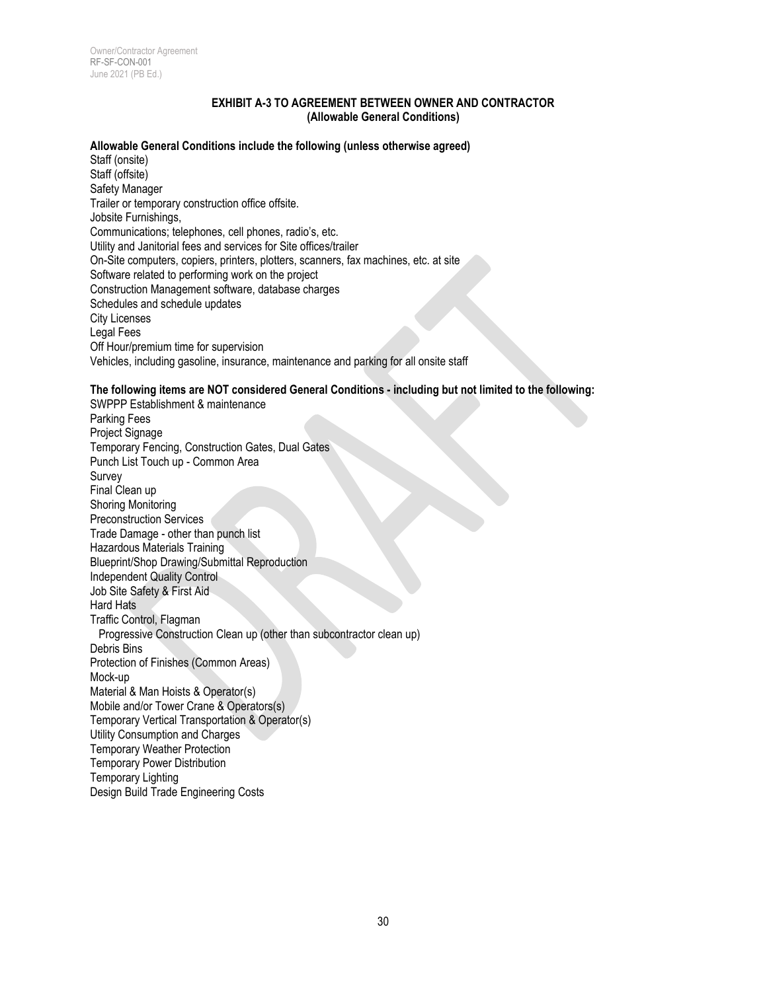#### **EXHIBIT A-3 TO AGREEMENT BETWEEN OWNER AND CONTRACTOR (Allowable General Conditions)**

#### **Allowable General Conditions include the following (unless otherwise agreed)**

Staff (onsite) Staff (offsite) Safety Manager Trailer or temporary construction office offsite. Jobsite Furnishings, Communications; telephones, cell phones, radio's, etc. Utility and Janitorial fees and services for Site offices/trailer On-Site computers, copiers, printers, plotters, scanners, fax machines, etc. at site Software related to performing work on the project Construction Management software, database charges Schedules and schedule updates City Licenses Legal Fees Off Hour/premium time for supervision Vehicles, including gasoline, insurance, maintenance and parking for all onsite staff

#### **The following items are NOT considered General Conditions - including but not limited to the following:**

SWPPP Establishment & maintenance Parking Fees Project Signage Temporary Fencing, Construction Gates, Dual Gates Punch List Touch up - Common Area Survey Final Clean up Shoring Monitoring Preconstruction Services Trade Damage - other than punch list Hazardous Materials Training Blueprint/Shop Drawing/Submittal Reproduction Independent Quality Control Job Site Safety & First Aid Hard Hats Traffic Control, Flagman Progressive Construction Clean up (other than subcontractor clean up) Debris Bins Protection of Finishes (Common Areas) Mock-up Material & Man Hoists & Operator(s) Mobile and/or Tower Crane & Operators(s) Temporary Vertical Transportation & Operator(s) Utility Consumption and Charges Temporary Weather Protection Temporary Power Distribution Temporary Lighting Design Build Trade Engineering Costs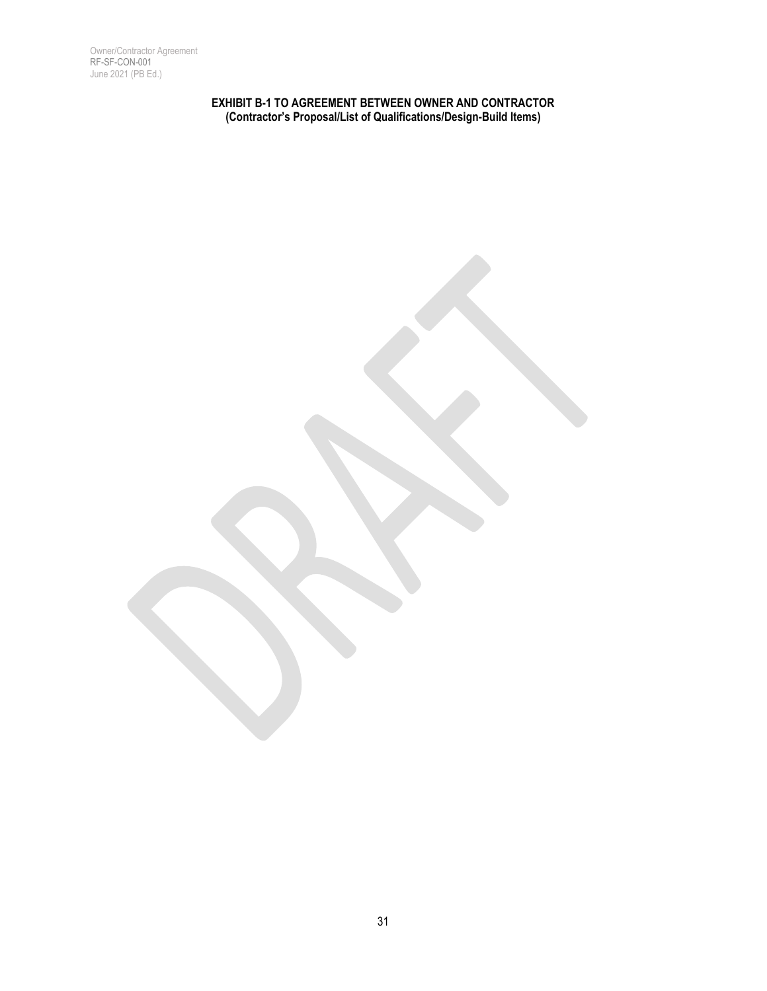Owner/Contractor Agreement RF-SF-CON-001 June 2021 (PB Ed.)

> **EXHIBIT B-1 TO AGREEMENT BETWEEN OWNER AND CONTRACTOR (Contractor's Proposal/List of Qualifications/Design-Build Items)**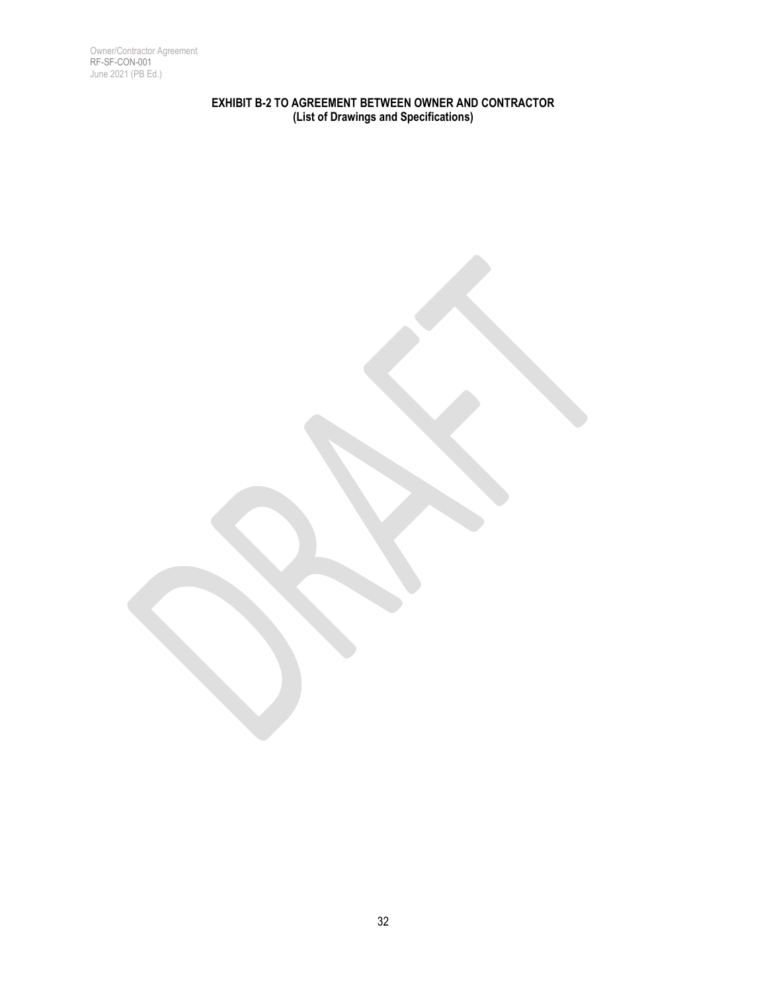Owner/Contractor Agreement RF-SF-CON-001 June 2021 (PB Ed.)

> **EXHIBIT B-2 TO AGREEMENT BETWEEN OWNER AND CONTRACTOR (List of Drawings and Specifications)**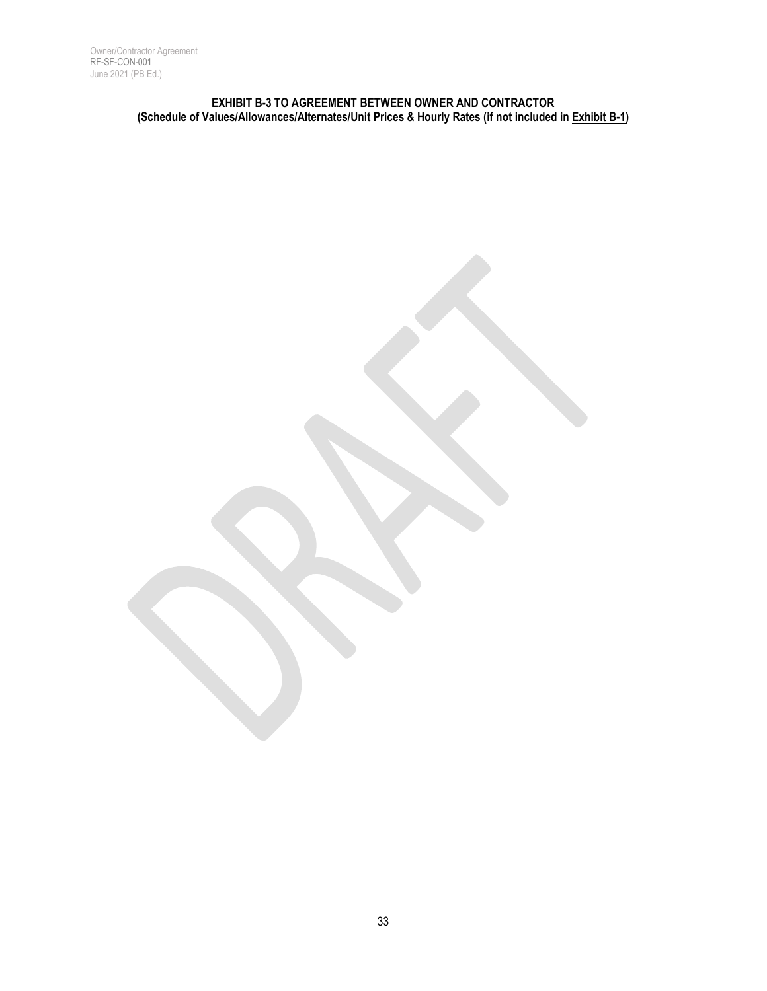#### **EXHIBIT B-3 TO AGREEMENT BETWEEN OWNER AND CONTRACTOR (Schedule of Values/Allowances/Alternates/Unit Prices & Hourly Rates (if not included in Exhibit B-1)**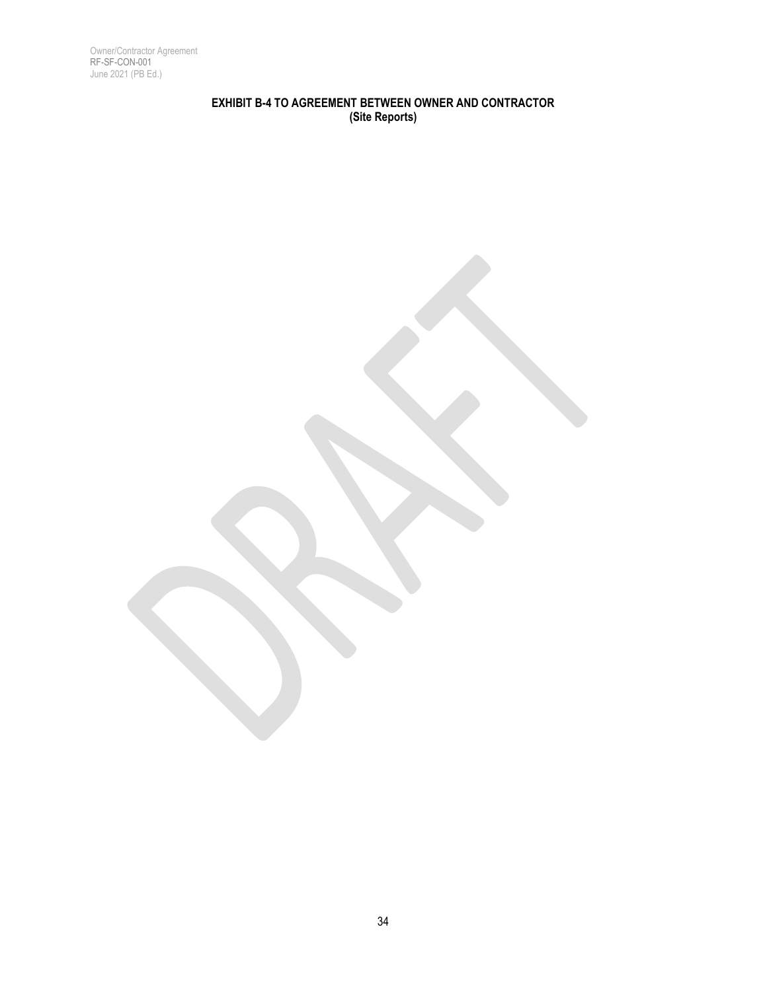Owner/Contractor Agreement RF-SF-CON-001 June 2021 (PB Ed.)

# **EXHIBIT B-4 TO AGREEMENT BETWEEN OWNER AND CONTRACTOR (Site Reports)**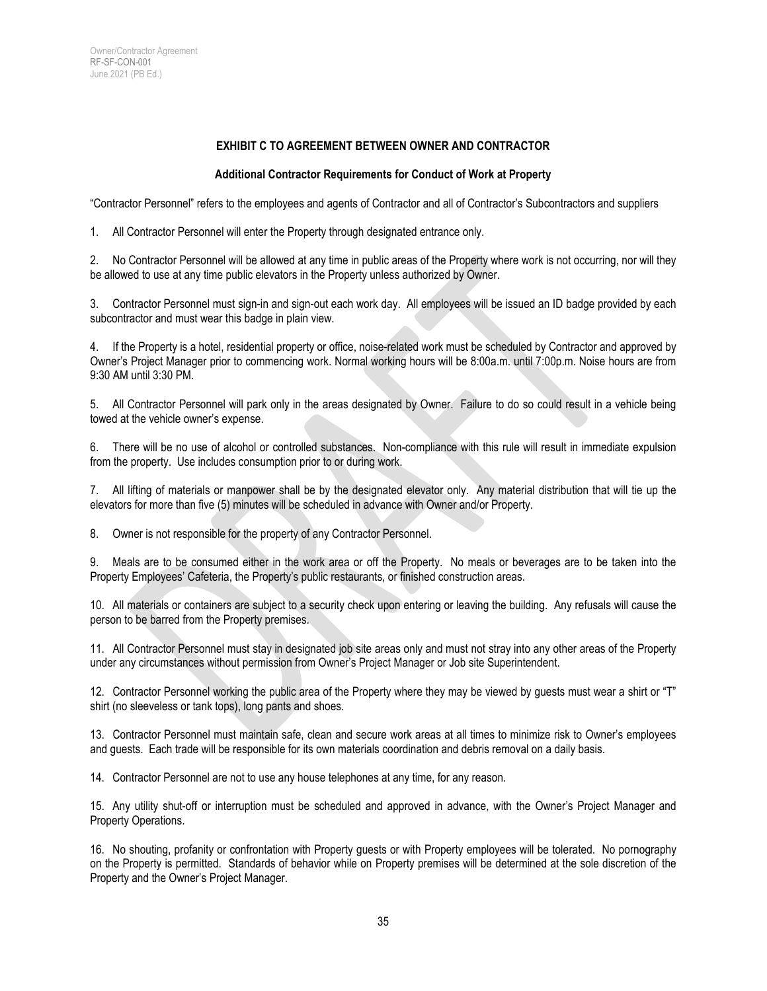## **EXHIBIT C TO AGREEMENT BETWEEN OWNER AND CONTRACTOR**

#### **Additional Contractor Requirements for Conduct of Work at Property**

"Contractor Personnel" refers to the employees and agents of Contractor and all of Contractor's Subcontractors and suppliers

1. All Contractor Personnel will enter the Property through designated entrance only.

2. No Contractor Personnel will be allowed at any time in public areas of the Property where work is not occurring, nor will they be allowed to use at any time public elevators in the Property unless authorized by Owner.

3. Contractor Personnel must sign-in and sign-out each work day. All employees will be issued an ID badge provided by each subcontractor and must wear this badge in plain view.

4. If the Property is a hotel, residential property or office, noise-related work must be scheduled by Contractor and approved by Owner's Project Manager prior to commencing work. Normal working hours will be 8:00a.m. until 7:00p.m. Noise hours are from 9:30 AM until 3:30 PM.

5. All Contractor Personnel will park only in the areas designated by Owner. Failure to do so could result in a vehicle being towed at the vehicle owner's expense.

6. There will be no use of alcohol or controlled substances. Non-compliance with this rule will result in immediate expulsion from the property. Use includes consumption prior to or during work.

7. All lifting of materials or manpower shall be by the designated elevator only. Any material distribution that will tie up the elevators for more than five (5) minutes will be scheduled in advance with Owner and/or Property.

8. Owner is not responsible for the property of any Contractor Personnel.

9. Meals are to be consumed either in the work area or off the Property. No meals or beverages are to be taken into the Property Employees' Cafeteria, the Property's public restaurants, or finished construction areas.

10. All materials or containers are subject to a security check upon entering or leaving the building. Any refusals will cause the person to be barred from the Property premises.

11. All Contractor Personnel must stay in designated job site areas only and must not stray into any other areas of the Property under any circumstances without permission from Owner's Project Manager or Job site Superintendent.

12. Contractor Personnel working the public area of the Property where they may be viewed by guests must wear a shirt or "T" shirt (no sleeveless or tank tops), long pants and shoes.

13. Contractor Personnel must maintain safe, clean and secure work areas at all times to minimize risk to Owner's employees and guests. Each trade will be responsible for its own materials coordination and debris removal on a daily basis.

14. Contractor Personnel are not to use any house telephones at any time, for any reason.

15. Any utility shut-off or interruption must be scheduled and approved in advance, with the Owner's Project Manager and Property Operations.

16. No shouting, profanity or confrontation with Property guests or with Property employees will be tolerated. No pornography on the Property is permitted. Standards of behavior while on Property premises will be determined at the sole discretion of the Property and the Owner's Project Manager.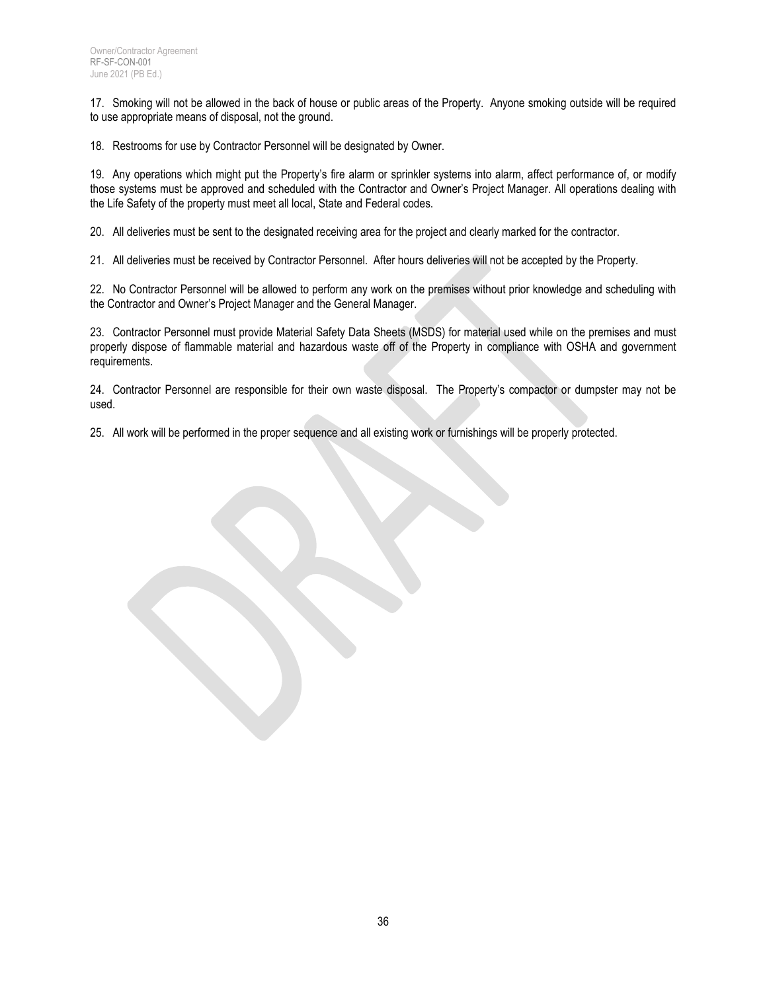17. Smoking will not be allowed in the back of house or public areas of the Property. Anyone smoking outside will be required to use appropriate means of disposal, not the ground.

18. Restrooms for use by Contractor Personnel will be designated by Owner.

19. Any operations which might put the Property's fire alarm or sprinkler systems into alarm, affect performance of, or modify those systems must be approved and scheduled with the Contractor and Owner's Project Manager. All operations dealing with the Life Safety of the property must meet all local, State and Federal codes.

20. All deliveries must be sent to the designated receiving area for the project and clearly marked for the contractor.

21. All deliveries must be received by Contractor Personnel. After hours deliveries will not be accepted by the Property.

22. No Contractor Personnel will be allowed to perform any work on the premises without prior knowledge and scheduling with the Contractor and Owner's Project Manager and the General Manager.

23. Contractor Personnel must provide Material Safety Data Sheets (MSDS) for material used while on the premises and must properly dispose of flammable material and hazardous waste off of the Property in compliance with OSHA and government requirements.

24. Contractor Personnel are responsible for their own waste disposal. The Property's compactor or dumpster may not be used.

25. All work will be performed in the proper sequence and all existing work or furnishings will be properly protected.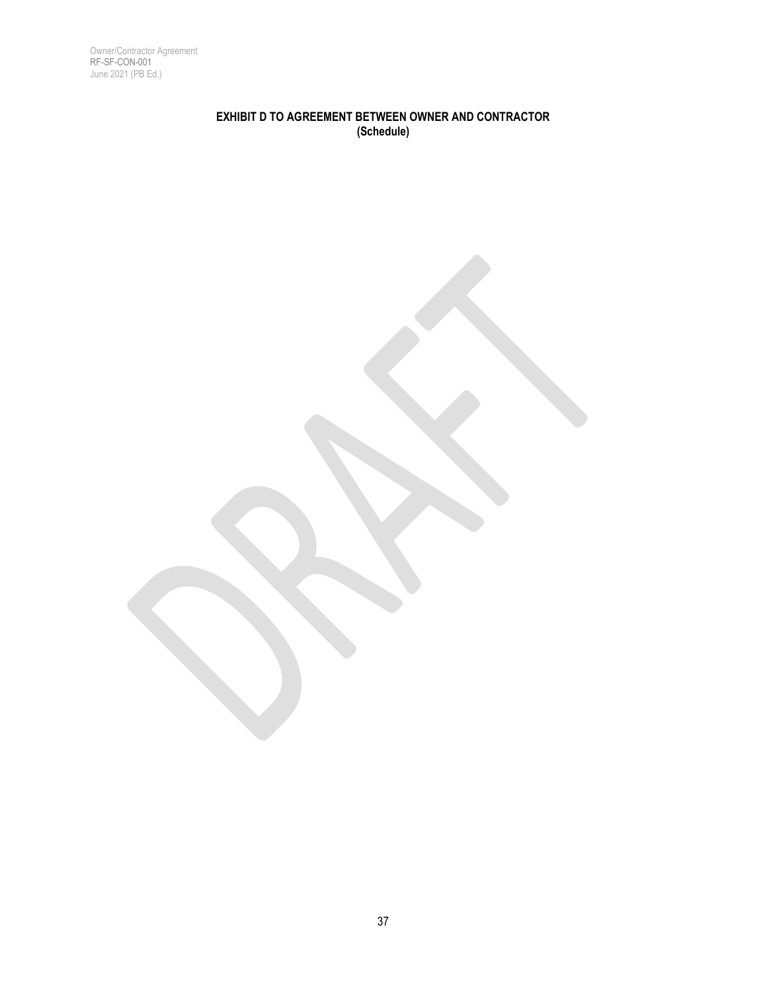Owner/Contractor Agreement RF-SF-CON-001 June 2021 (PB Ed.)

# **EXHIBIT D TO AGREEMENT BETWEEN OWNER AND CONTRACTOR (Schedule)**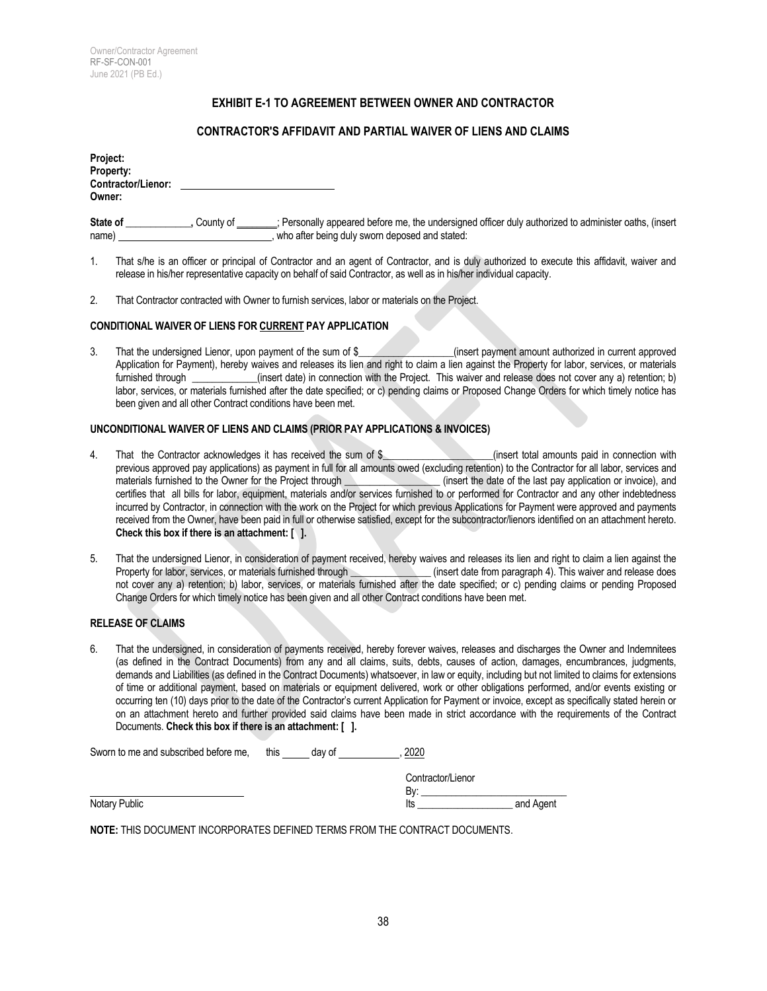#### **EXHIBIT E-1 TO AGREEMENT BETWEEN OWNER AND CONTRACTOR**

#### **CONTRACTOR'S AFFIDAVIT AND PARTIAL WAIVER OF LIENS AND CLAIMS**

| Project:<br>Property:<br><b>Contractor/Lienor:</b> |  |
|----------------------------------------------------|--|
| Owner:                                             |  |

**State of** <br> **State of** <br> **State of** <br> **State of** <br> **State of** <br> **State of** <br> **State of** <br> **State of** <br> **State of** <br> **State of** <br> **State of** <br> **State of** name) , who after being duly sworn deposed and stated:

- 1. That s/he is an officer or principal of Contractor and an agent of Contractor, and is duly authorized to execute this affidavit, waiver and release in his/her representative capacity on behalf of said Contractor, as well as in his/her individual capacity.
- 2. That Contractor contracted with Owner to furnish services, labor or materials on the Project.

#### **CONDITIONAL WAIVER OF LIENS FOR CURRENT PAY APPLICATION**

3. That the undersigned Lienor, upon payment of the sum of \$\_\_\_\_\_\_\_\_\_\_\_\_\_\_\_\_(insert payment amount authorized in current approved Application for Payment), hereby waives and releases its lien and right to claim a lien against the Property for labor, services, or materials furnished through \_\_\_\_\_\_\_\_\_\_\_(insert date) in connection with the Project. This (insert date) in connection with the Project. This waiver and release does not cover any a) retention; b) labor, services, or materials furnished after the date specified; or c) pending claims or Proposed Change Orders for which timely notice has been given and all other Contract conditions have been met.

#### **UNCONDITIONAL WAIVER OF LIENS AND CLAIMS (PRIOR PAY APPLICATIONS & INVOICES)**

- 4. That the Contractor acknowledges it has received the sum of \$\_\_\_\_\_\_\_\_\_\_\_\_\_\_\_\_\_(insert total amounts paid in connection with previous approved pay applications) as payment in full for all amounts owed (excluding retention) to the Contractor for all labor, services and materials furnished to the Owner for the Project through (insert the date of t materials furnished to the Owner for the Project through **waterials** furnished to the Owner for the Project through certifies that all bills for labor, equipment, materials and/or services furnished to or performed for Contractor and any other indebtedness incurred by Contractor, in connection with the work on the Project for which previous Applications for Payment were approved and payments received from the Owner, have been paid in full or otherwise satisfied, except for the subcontractor/lienors identified on an attachment hereto. **Check this box if there is an attachment: [ ].**
- 5. That the undersigned Lienor, in consideration of payment received, hereby waives and releases its lien and right to claim a lien against the Property for labor, services, or materials furnished through (insert date from  $\epsilon$  (insert date from paragraph 4). This waiver and release does not cover any a) retention; b) labor, services, or materials furnished after the date specified; or c) pending claims or pending Proposed Change Orders for which timely notice has been given and all other Contract conditions have been met.

#### **RELEASE OF CLAIMS**

6. That the undersigned, in consideration of payments received, hereby forever waives, releases and discharges the Owner and Indemnitees (as defined in the Contract Documents) from any and all claims, suits, debts, causes of action, damages, encumbrances, judgments, demands and Liabilities (as defined in the Contract Documents) whatsoever, in law or equity, including but not limited to claims for extensions of time or additional payment, based on materials or equipment delivered, work or other obligations performed, and/or events existing or occurring ten (10) days prior to the date of the Contractor's current Application for Payment or invoice, except as specifically stated herein or on an attachment hereto and further provided said claims have been made in strict accordance with the requirements of the Contract Documents. **Check this box if there is an attachment: [ ].**

| Sworn to me and subscribed before me. | this | dav of | 2020              |           |
|---------------------------------------|------|--------|-------------------|-----------|
|                                       |      |        | Contractor/Lienor |           |
|                                       |      |        | Bv:               |           |
| Notary Public                         |      |        | lts               | and Agent |

**NOTE:** THIS DOCUMENT INCORPORATES DEFINED TERMS FROM THE CONTRACT DOCUMENTS.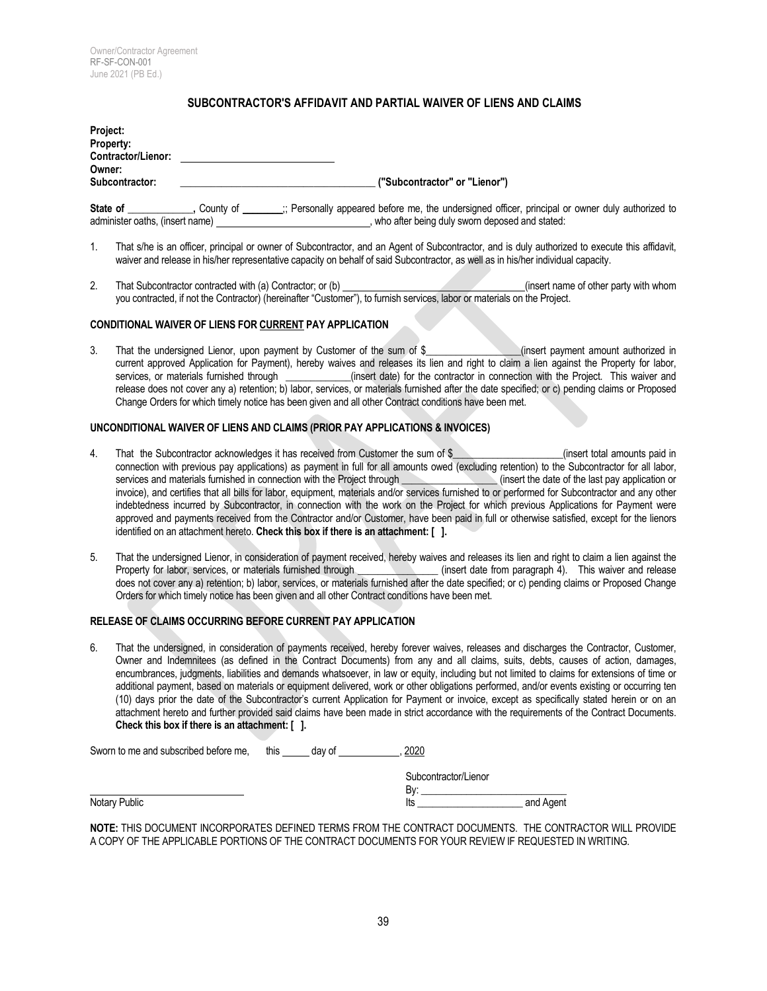#### **SUBCONTRACTOR'S AFFIDAVIT AND PARTIAL WAIVER OF LIENS AND CLAIMS**

| Project:<br><b>Property:</b><br><b>Contractor/Lienor:</b> |           |                                                                                                                                                   |
|-----------------------------------------------------------|-----------|---------------------------------------------------------------------------------------------------------------------------------------------------|
| Owner:<br>Subcontractor:                                  |           | ("Subcontractor" or "Lienor")                                                                                                                     |
|                                                           |           |                                                                                                                                                   |
| State of<br>administer oaths, (insert name)               | County of | ; Personally appeared before me, the undersigned officer, principal or owner duly authorized to<br>who after being duly sworn deposed and stated: |

- 1. That s/he is an officer, principal or owner of Subcontractor, and an Agent of Subcontractor, and is duly authorized to execute this affidavit, waiver and release in his/her representative capacity on behalf of said Subcontractor, as well as in his/her individual capacity.
- 2. That Subcontractor contracted with (a) Contractor; or (b) (insert name of other party with whom you contracted, if not the Contractor) (hereinafter "Customer"), to furnish services, labor or materials on the Project.

#### **CONDITIONAL WAIVER OF LIENS FOR CURRENT PAY APPLICATION**

3. That the undersigned Lienor, upon payment by Customer of the sum of \$\_\_\_\_\_\_\_\_\_\_\_\_\_\_\_\_\_\_\_(insert payment amount authorized in current approved Application for Payment), hereby waives and releases its lien and right to claim a lien against the Property for labor, services, or materials furnished through example insert date) for the contractor in connection with the Project. This waiver and release does not cover any a) retention; b) labor, services, or materials furnished after the date specified; or c) pending claims or Proposed Change Orders for which timely notice has been given and all other Contract conditions have been met.

#### **UNCONDITIONAL WAIVER OF LIENS AND CLAIMS (PRIOR PAY APPLICATIONS & INVOICES)**

- 4. That the Subcontractor acknowledges it has received from Customer the sum of \$\_\_\_\_\_\_\_\_\_\_\_\_\_\_\_\_(insert total amounts paid in connection with previous pay applications) as payment in full for all amounts owed (excluding retention) to the Subcontractor for all labor, services and materials furnished in connection with the Project through (insert t services and materials furnished in connection with the Project through \_\_\_\_\_\_\_\_\_ invoice), and certifies that all bills for labor, equipment, materials and/or services furnished to or performed for Subcontractor and any other indebtedness incurred by Subcontractor, in connection with the work on the Project for which previous Applications for Payment were approved and payments received from the Contractor and/or Customer, have been paid in full or otherwise satisfied, except for the lienors identified on an attachment hereto. **Check this box if there is an attachment: [ ].**
- 5. That the undersigned Lienor, in consideration of payment received, hereby waives and releases its lien and right to claim a lien against the Property for labor, services, or materials furnished through \_\_\_\_\_\_\_\_\_\_\_\_\_\_\_\_ (insert date from paragraph 4). This waiver and release does not cover any a) retention; b) labor, services, or materials furnished after the date specified; or c) pending claims or Proposed Change Orders for which timely notice has been given and all other Contract conditions have been met.

#### **RELEASE OF CLAIMS OCCURRING BEFORE CURRENT PAY APPLICATION**

6. That the undersigned, in consideration of payments received, hereby forever waives, releases and discharges the Contractor, Customer, Owner and Indemnitees (as defined in the Contract Documents) from any and all claims, suits, debts, causes of action, damages, encumbrances, judgments, liabilities and demands whatsoever, in law or equity, including but not limited to claims for extensions of time or additional payment, based on materials or equipment delivered, work or other obligations performed, and/or events existing or occurring ten (10) days prior the date of the Subcontractor's current Application for Payment or invoice, except as specifically stated herein or on an attachment hereto and further provided said claims have been made in strict accordance with the requirements of the Contract Documents. **Check this box if there is an attachment: [ ].**

| Sworn to me and subscribed before me, | this | dav of | 2020                 |           |
|---------------------------------------|------|--------|----------------------|-----------|
|                                       |      |        | Subcontractor/Lienor |           |
|                                       |      |        | Bv:                  |           |
| Notary Public                         |      |        | lts                  | and Agent |

**NOTE:** THIS DOCUMENT INCORPORATES DEFINED TERMS FROM THE CONTRACT DOCUMENTS. THE CONTRACTOR WILL PROVIDE A COPY OF THE APPLICABLE PORTIONS OF THE CONTRACT DOCUMENTS FOR YOUR REVIEW IF REQUESTED IN WRITING.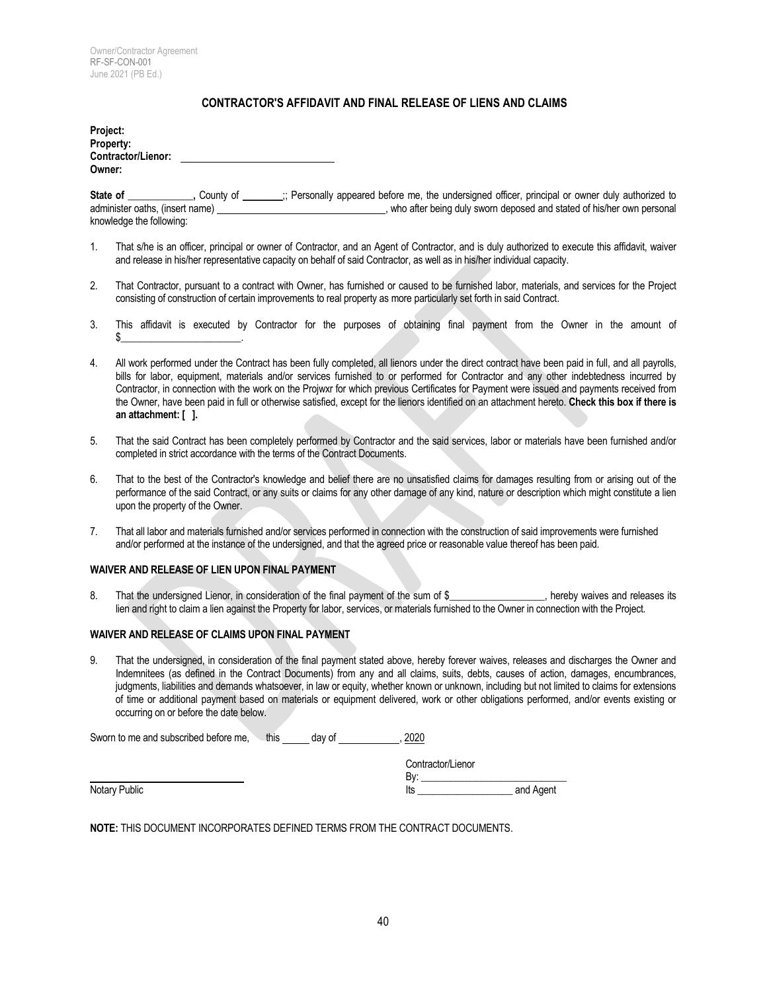#### **CONTRACTOR'S AFFIDAVIT AND FINAL RELEASE OF LIENS AND CLAIMS**

| <b>Contractor/Lienor:</b><br>Owner: |  |
|-------------------------------------|--|

**State of \_\_\_\_\_\_\_\_\_\_\_\_\_,** County of **\_\_\_\_\_\_\_\_**;; Personally appeared before me, the undersigned officer, principal or owner duly authorized to administer oaths, (insert name) administer oaths, (insert name)  $\sim$ , who after being duly sworn deposed and stated of his/her own personal knowledge the following:

- 1. That s/he is an officer, principal or owner of Contractor, and an Agent of Contractor, and is duly authorized to execute this affidavit, waiver and release in his/her representative capacity on behalf of said Contractor, as well as in his/her individual capacity.
- 2. That Contractor, pursuant to a contract with Owner, has furnished or caused to be furnished labor, materials, and services for the Project consisting of construction of certain improvements to real property as more particularly set forth in said Contract.
- 3. This affidavit is executed by Contractor for the purposes of obtaining final payment from the Owner in the amount of  $\frac{1}{2}$  . The set of the set of the set of the set of the set of the set of the set of the set of the set of the set of the set of the set of the set of the set of the set of the set of the set of the set of the set of
- 4. All work performed under the Contract has been fully completed, all lienors under the direct contract have been paid in full, and all payrolls, bills for labor, equipment, materials and/or services furnished to or performed for Contractor and any other indebtedness incurred by Contractor, in connection with the work on the Projwxr for which previous Certificates for Payment were issued and payments received from the Owner, have been paid in full or otherwise satisfied, except for the lienors identified on an attachment hereto. **Check this box if there is an attachment: [ ].**
- 5. That the said Contract has been completely performed by Contractor and the said services, labor or materials have been furnished and/or completed in strict accordance with the terms of the Contract Documents.
- 6. That to the best of the Contractor's knowledge and belief there are no unsatisfied claims for damages resulting from or arising out of the performance of the said Contract, or any suits or claims for any other damage of any kind, nature or description which might constitute a lien upon the property of the Owner.
- 7. That all labor and materials furnished and/or services performed in connection with the construction of said improvements were furnished and/or performed at the instance of the undersigned, and that the agreed price or reasonable value thereof has been paid.

#### **WAIVER AND RELEASE OF LIEN UPON FINAL PAYMENT**

8. That the undersigned Lienor, in consideration of the final payment of the sum of \$\_\_\_\_\_\_\_\_\_\_\_\_\_\_\_, hereby waives and releases its lien and right to claim a lien against the Property for labor, services, or materials furnished to the Owner in connection with the Project.

#### **WAIVER AND RELEASE OF CLAIMS UPON FINAL PAYMENT**

9. That the undersigned, in consideration of the final payment stated above, hereby forever waives, releases and discharges the Owner and Indemnitees (as defined in the Contract Documents) from any and all claims, suits, debts, causes of action, damages, encumbrances, judgments, liabilities and demands whatsoever, in law or equity, whether known or unknown, including but not limited to claims for extensions of time or additional payment based on materials or equipment delivered, work or other obligations performed, and/or events existing or occurring on or before the date below.

| Sworn to me and subscribed before me. | this | day of | 2020              |           |
|---------------------------------------|------|--------|-------------------|-----------|
|                                       |      |        | Contractor/Lienor |           |
|                                       |      |        | Bv:               |           |
| Notary Public                         |      |        | lts               | and Agent |

**NOTE:** THIS DOCUMENT INCORPORATES DEFINED TERMS FROM THE CONTRACT DOCUMENTS.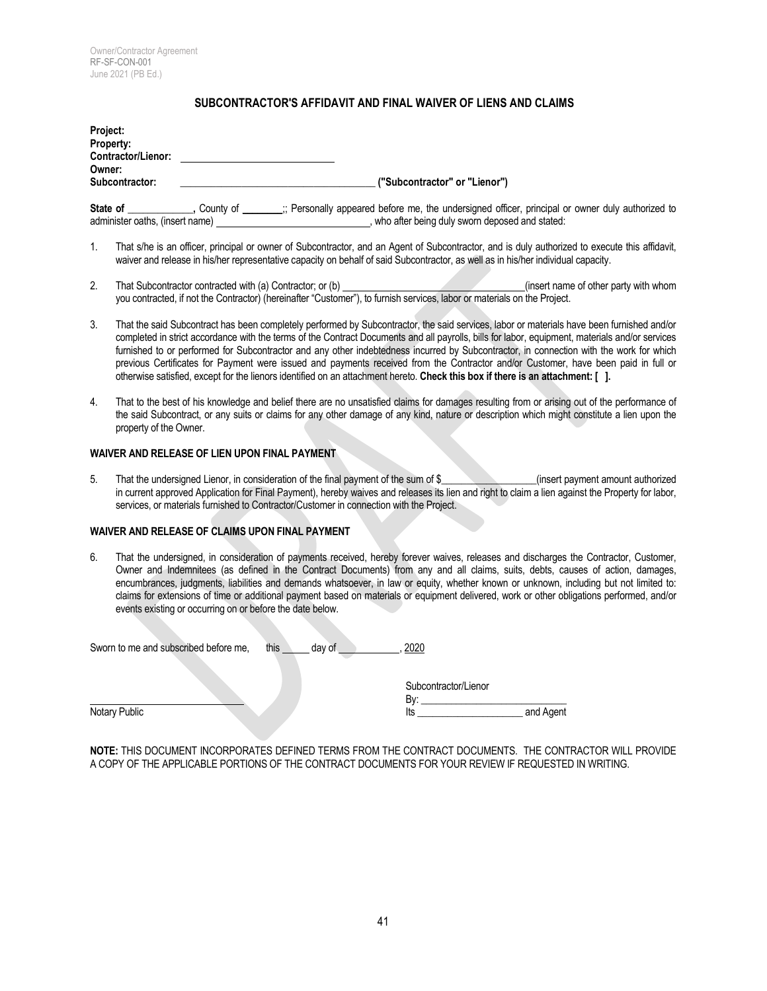#### **SUBCONTRACTOR'S AFFIDAVIT AND FINAL WAIVER OF LIENS AND CLAIMS**

| Project:<br>Property:<br><b>Contractor/Lienor:</b> |             |                                                                                                                                                     |
|----------------------------------------------------|-------------|-----------------------------------------------------------------------------------------------------------------------------------------------------|
| Owner:<br>Subcontractor:                           |             | ("Subcontractor" or "Lienor")                                                                                                                       |
| State of<br>administer oaths, (insert name) _      | . Countv of | ; Personally appeared before me, the undersigned officer, principal or owner duly authorized to<br>, who after being duly sworn deposed and stated: |

- 1. That s/he is an officer, principal or owner of Subcontractor, and an Agent of Subcontractor, and is duly authorized to execute this affidavit, waiver and release in his/her representative capacity on behalf of said Subcontractor, as well as in his/her individual capacity.
- 2. That Subcontractor contracted with (a) Contractor; or (b) (insert name of other party with whom you contracted, if not the Contractor) (hereinafter "Customer"), to furnish services, labor or materials on the Project.
- 3. That the said Subcontract has been completely performed by Subcontractor, the said services, labor or materials have been furnished and/or completed in strict accordance with the terms of the Contract Documents and all payrolls, bills for labor, equipment, materials and/or services furnished to or performed for Subcontractor and any other indebtedness incurred by Subcontractor, in connection with the work for which previous Certificates for Payment were issued and payments received from the Contractor and/or Customer, have been paid in full or otherwise satisfied, except for the lienors identified on an attachment hereto. **Check this box if there is an attachment: [ ].**
- 4. That to the best of his knowledge and belief there are no unsatisfied claims for damages resulting from or arising out of the performance of the said Subcontract, or any suits or claims for any other damage of any kind, nature or description which might constitute a lien upon the property of the Owner.

#### **WAIVER AND RELEASE OF LIEN UPON FINAL PAYMENT**

5. That the undersigned Lienor, in consideration of the final payment of the sum of \$\_\_\_\_\_\_\_\_\_\_\_\_\_\_\_\_\_\_\_(insert payment amount authorized in current approved Application for Final Payment), hereby waives and releases its lien and right to claim a lien against the Property for labor, services, or materials furnished to Contractor/Customer in connection with the Project.

#### **WAIVER AND RELEASE OF CLAIMS UPON FINAL PAYMENT**

6. That the undersigned, in consideration of payments received, hereby forever waives, releases and discharges the Contractor, Customer, Owner and Indemnitees (as defined in the Contract Documents) from any and all claims, suits, debts, causes of action, damages, encumbrances, judgments, liabilities and demands whatsoever, in law or equity, whether known or unknown, including but not limited to: claims for extensions of time or additional payment based on materials or equipment delivered, work or other obligations performed, and/or events existing or occurring on or before the date below.

| Sworn to me and subscribed before me. | this | day of | 2020                 |           |
|---------------------------------------|------|--------|----------------------|-----------|
|                                       |      |        |                      |           |
|                                       |      |        | Subcontractor/Lienor |           |
|                                       |      |        | Bv:                  |           |
| Notary Public                         |      |        | lts                  | and Agent |

|  |                                                                                                      | <b>NOTE:</b> THIS DOCUMENT INCORPORATES DEFINED TERMS FROM THE CONTRACT DOCUMENTS. THE CONTRACTOR WILL PROVIDE |
|--|------------------------------------------------------------------------------------------------------|----------------------------------------------------------------------------------------------------------------|
|  | A COPY OF THE APPLICABLE PORTIONS OF THE CONTRACT DOCUMENTS FOR YOUR REVIEW IF REQUESTED IN WRITING. |                                                                                                                |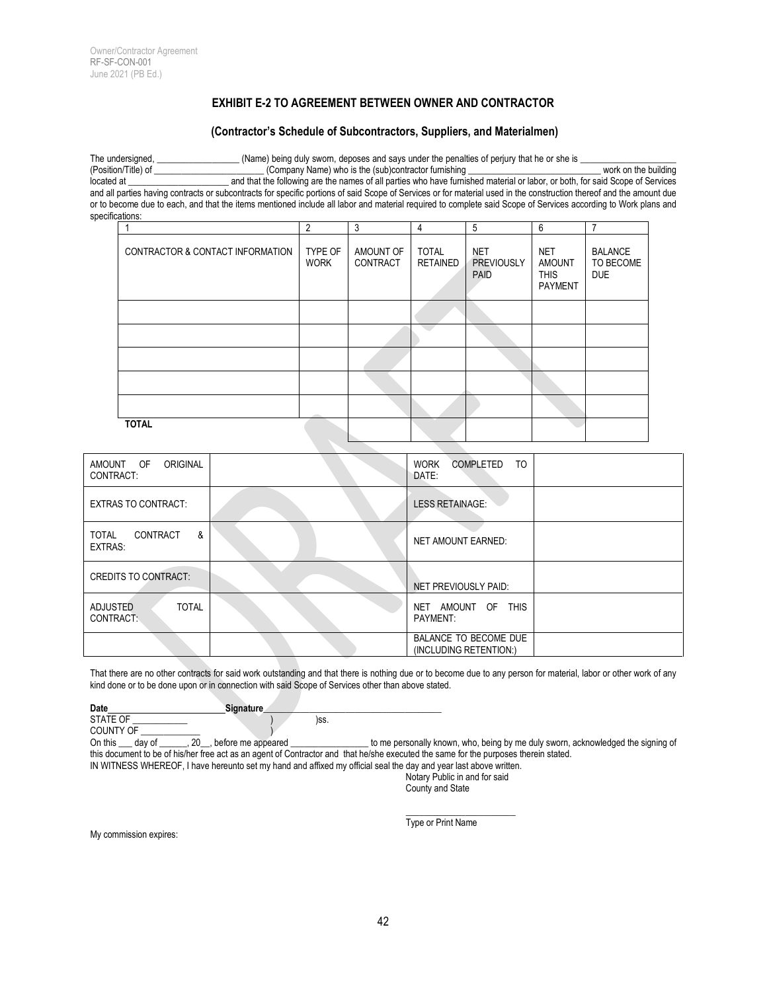## **EXHIBIT E-2 TO AGREEMENT BETWEEN OWNER AND CONTRACTOR**

#### **(Contractor's Schedule of Subcontractors, Suppliers, and Materialmen)**

The undersigned, \_\_\_\_\_\_\_\_\_\_\_\_\_\_\_\_\_\_ (Name) being duly sworn, deposes and says under the penalties of perjury that he or she is \_\_\_\_\_\_\_\_\_\_\_\_\_\_\_\_\_\_\_\_\_ (Position/Title) of \_\_\_\_\_\_\_\_\_\_\_\_\_\_\_\_\_\_\_\_\_\_\_\_ (Company Name) who is the (sub)contractor furnishing \_\_\_\_\_\_\_\_\_\_\_\_\_\_\_\_\_\_\_\_\_\_\_\_\_\_\_\_\_ work on the building and that the following are the names of all parties who have furnished material or labor, or both, for said Scope of Services and all parties having contracts or subcontracts for specific portions of said Scope of Services or for material used in the construction thereof and the amount due or to become due to each, and that the items mentioned include all labor and material required to complete said Scope of Services according to Work plans and specifications:

|                                  | $\overline{2}$         | 3                     | 4                               | 5                                       | 6                                                            |                                           |
|----------------------------------|------------------------|-----------------------|---------------------------------|-----------------------------------------|--------------------------------------------------------------|-------------------------------------------|
| CONTRACTOR & CONTACT INFORMATION | TYPE OF<br><b>WORK</b> | AMOUNT OF<br>CONTRACT | <b>TOTAL</b><br><b>RETAINED</b> | <b>NET</b><br><b>PREVIOUSLY</b><br>PAID | <b>NET</b><br><b>AMOUNT</b><br><b>THIS</b><br><b>PAYMENT</b> | <b>BALANCE</b><br>TO BECOME<br><b>DUE</b> |
|                                  |                        |                       |                                 |                                         |                                                              |                                           |
|                                  |                        |                       |                                 |                                         |                                                              |                                           |
|                                  |                        |                       |                                 |                                         |                                                              |                                           |
|                                  |                        |                       |                                 |                                         |                                                              |                                           |
|                                  |                        |                       |                                 |                                         |                                                              |                                           |
| <b>TOTAL</b>                     |                        |                       |                                 |                                         |                                                              |                                           |

| ORIGINAL<br>AMOUNT OF<br>CONTRACT:           | TO<br><b>WORK</b><br>COMPLETED<br>DATE:            |
|----------------------------------------------|----------------------------------------------------|
| <b>EXTRAS TO CONTRACT:</b>                   | <b>LESS RETAINAGE:</b>                             |
| CONTRACT<br>&<br>TOTAL<br><b>EXTRAS:</b>     | <b>NET AMOUNT EARNED:</b>                          |
| <b>CREDITS TO CONTRACT:</b>                  | NET PREVIOUSLY PAID:                               |
| <b>TOTAL</b><br><b>ADJUSTED</b><br>CONTRACT: | <b>THIS</b><br>AMOUNT OF<br><b>NET</b><br>PAYMENT: |
|                                              | BALANCE TO BECOME DUE<br>(INCLUDING RETENTION:)    |

That there are no other contracts for said work outstanding and that there is nothing due or to become due to any person for material, labor or other work of any kind done or to be done upon or in connection with said Scope of Services other than above stated.

| Date             | <b>Signature</b> |      |  |
|------------------|------------------|------|--|
| <b>STATE OF</b>  |                  | )SS. |  |
| <b>COUNTY OF</b> |                  |      |  |

On this \_\_\_ day of \_\_\_\_\_\_, 20\_\_, before me appeared \_\_\_\_\_\_\_\_\_\_\_\_\_\_\_\_\_\_ to me personally known, who, being by me duly sworn, acknowledged the signing of this document to be of his/her free act as an agent of Contractor and that he/she executed the same for the purposes therein stated.

IN WITNESS WHEREOF, I have hereunto set my hand and affixed my official seal the day and year last above written. Notary Public in and for said

County and State

 $\_$ 

My commission expires:

Type or Print Name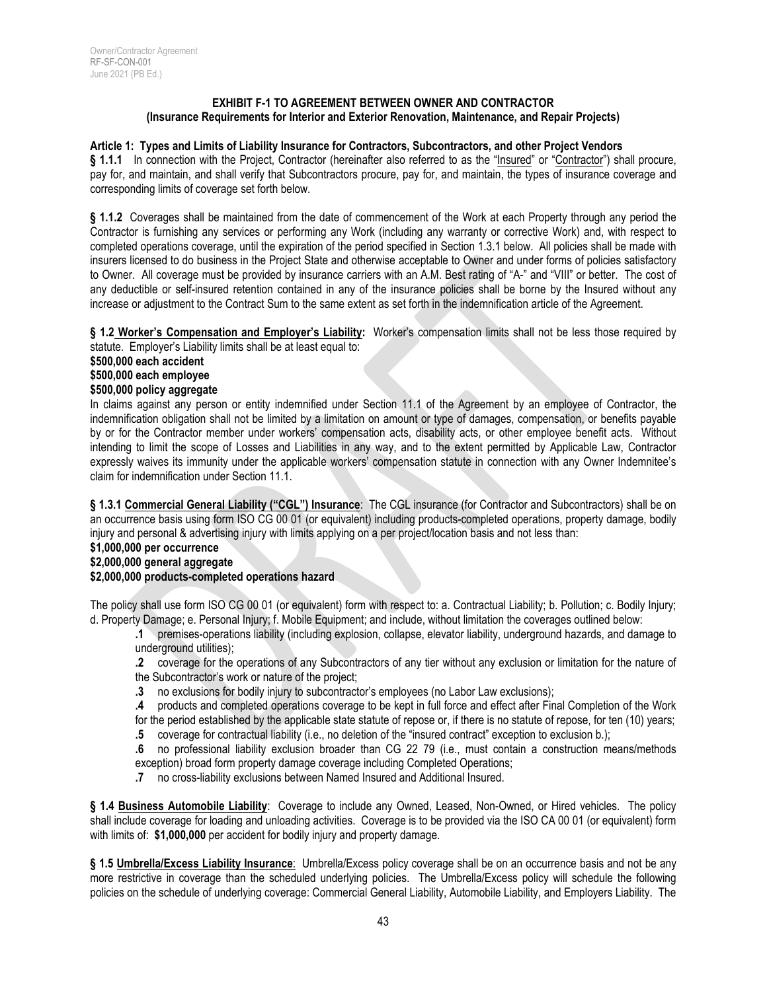#### **EXHIBIT F-1 TO AGREEMENT BETWEEN OWNER AND CONTRACTOR (Insurance Requirements for Interior and Exterior Renovation, Maintenance, and Repair Projects)**

#### **Article 1: Types and Limits of Liability Insurance for Contractors, Subcontractors, and other Project Vendors**

**§ 1.1.1** In connection with the Project, Contractor (hereinafter also referred to as the "Insured" or "Contractor") shall procure, pay for, and maintain, and shall verify that Subcontractors procure, pay for, and maintain, the types of insurance coverage and corresponding limits of coverage set forth below.

**§ 1.1.2** Coverages shall be maintained from the date of commencement of the Work at each Property through any period the Contractor is furnishing any services or performing any Work (including any warranty or corrective Work) and, with respect to completed operations coverage, until the expiration of the period specified in Section 1.3.1 below. All policies shall be made with insurers licensed to do business in the Project State and otherwise acceptable to Owner and under forms of policies satisfactory to Owner. All coverage must be provided by insurance carriers with an A.M. Best rating of "A-" and "VIII" or better. The cost of any deductible or self-insured retention contained in any of the insurance policies shall be borne by the Insured without any increase or adjustment to the Contract Sum to the same extent as set forth in the indemnification article of the Agreement.

**§ 1.2 Worker's Compensation and Employer's Liability:** Worker's compensation limits shall not be less those required by statute. Employer's Liability limits shall be at least equal to:

**\$500,000 each accident**

#### **\$500,000 each employee**

#### **\$500,000 policy aggregate**

In claims against any person or entity indemnified under Section 11.1 of the Agreement by an employee of Contractor, the indemnification obligation shall not be limited by a limitation on amount or type of damages, compensation, or benefits payable by or for the Contractor member under workers' compensation acts, disability acts, or other employee benefit acts. Without intending to limit the scope of Losses and Liabilities in any way, and to the extent permitted by Applicable Law, Contractor expressly waives its immunity under the applicable workers' compensation statute in connection with any Owner Indemnitee's claim for indemnification under Section 11.1.

**§ 1.3.1 Commercial General Liability ("CGL") Insurance**: The CGL insurance (for Contractor and Subcontractors) shall be on an occurrence basis using form ISO CG 00 01 (or equivalent) including products-completed operations, property damage, bodily injury and personal & advertising injury with limits applying on a per project/location basis and not less than:

## **\$1,000,000 per occurrence**

## **\$2,000,000 general aggregate**

#### **\$2,000,000 products-completed operations hazard**

The policy shall use form ISO CG 00 01 (or equivalent) form with respect to: a. Contractual Liability; b. Pollution; c. Bodily Injury; d. Property Damage; e. Personal Injury; f. Mobile Equipment; and include, without limitation the coverages outlined below:

**.1** premises-operations liability (including explosion, collapse, elevator liability, underground hazards, and damage to underground utilities);

**.2** coverage for the operations of any Subcontractors of any tier without any exclusion or limitation for the nature of the Subcontractor's work or nature of the project;

**.3** no exclusions for bodily injury to subcontractor's employees (no Labor Law exclusions);

**.4** products and completed operations coverage to be kept in full force and effect after Final Completion of the Work for the period established by the applicable state statute of repose or, if there is no statute of repose, for ten (10) years;

**.5** coverage for contractual liability (i.e., no deletion of the "insured contract" exception to exclusion b.);

**.6** no professional liability exclusion broader than CG 22 79 (i.e., must contain a construction means/methods exception) broad form property damage coverage including Completed Operations;

**.7** no cross-liability exclusions between Named Insured and Additional Insured.

**§ 1.4 Business Automobile Liability**: Coverage to include any Owned, Leased, Non-Owned, or Hired vehicles. The policy shall include coverage for loading and unloading activities. Coverage is to be provided via the ISO CA 00 01 (or equivalent) form with limits of: **\$1,000,000** per accident for bodily injury and property damage.

**§ 1.5 Umbrella/Excess Liability Insurance**: Umbrella/Excess policy coverage shall be on an occurrence basis and not be any more restrictive in coverage than the scheduled underlying policies. The Umbrella/Excess policy will schedule the following policies on the schedule of underlying coverage: Commercial General Liability, Automobile Liability, and Employers Liability. The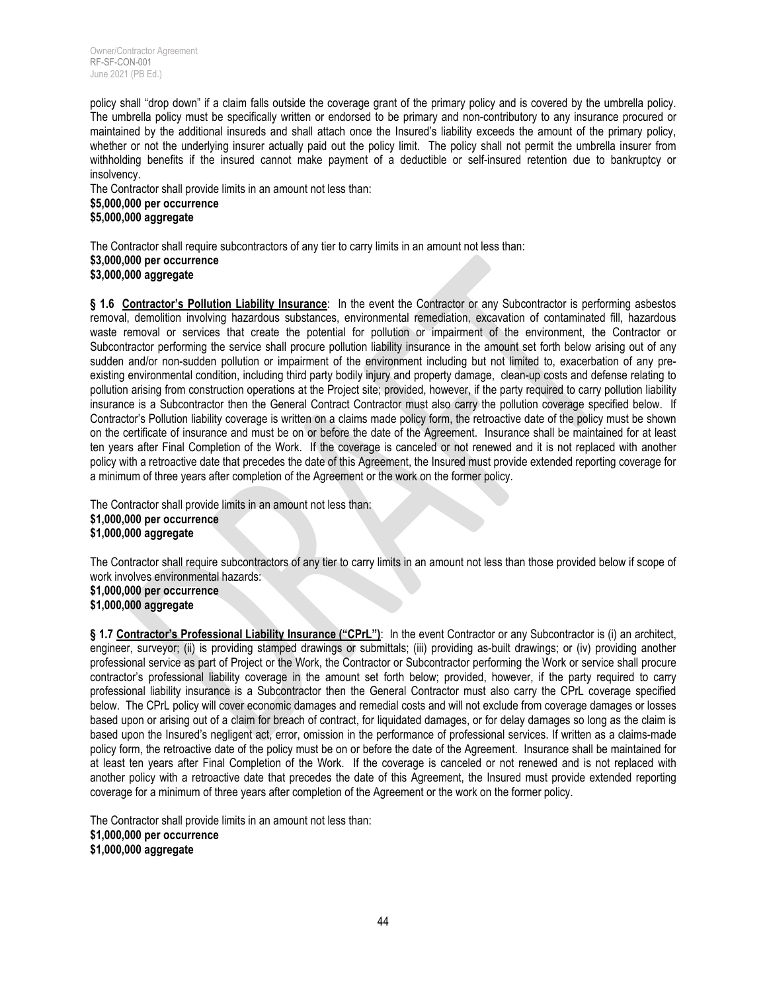policy shall "drop down" if a claim falls outside the coverage grant of the primary policy and is covered by the umbrella policy. The umbrella policy must be specifically written or endorsed to be primary and non-contributory to any insurance procured or maintained by the additional insureds and shall attach once the Insured's liability exceeds the amount of the primary policy, whether or not the underlying insurer actually paid out the policy limit. The policy shall not permit the umbrella insurer from withholding benefits if the insured cannot make payment of a deductible or self-insured retention due to bankruptcy or insolvency.

The Contractor shall provide limits in an amount not less than: **\$5,000,000 per occurrence \$5,000,000 aggregate**

The Contractor shall require subcontractors of any tier to carry limits in an amount not less than: **\$3,000,000 per occurrence \$3,000,000 aggregate**

**§ 1.6 Contractor's Pollution Liability Insurance**: In the event the Contractor or any Subcontractor is performing asbestos removal, demolition involving hazardous substances, environmental remediation, excavation of contaminated fill, hazardous waste removal or services that create the potential for pollution or impairment of the environment, the Contractor or Subcontractor performing the service shall procure pollution liability insurance in the amount set forth below arising out of any sudden and/or non-sudden pollution or impairment of the environment including but not limited to, exacerbation of any preexisting environmental condition, including third party bodily injury and property damage, clean-up costs and defense relating to pollution arising from construction operations at the Project site; provided, however, if the party required to carry pollution liability insurance is a Subcontractor then the General Contract Contractor must also carry the pollution coverage specified below. If Contractor's Pollution liability coverage is written on a claims made policy form, the retroactive date of the policy must be shown on the certificate of insurance and must be on or before the date of the Agreement. Insurance shall be maintained for at least ten years after Final Completion of the Work. If the coverage is canceled or not renewed and it is not replaced with another policy with a retroactive date that precedes the date of this Agreement, the Insured must provide extended reporting coverage for a minimum of three years after completion of the Agreement or the work on the former policy.

The Contractor shall provide limits in an amount not less than: **\$1,000,000 per occurrence \$1,000,000 aggregate**

The Contractor shall require subcontractors of any tier to carry limits in an amount not less than those provided below if scope of work involves environmental hazards: **\$1,000,000 per occurrence**

**\$1,000,000 aggregate**

§ 1.7 Contractor's Professional Liability Insurance ("CPrL"): In the event Contractor or any Subcontractor is (i) an architect, engineer, surveyor; (ii) is providing stamped drawings or submittals; (iii) providing as-built drawings; or (iv) providing another professional service as part of Project or the Work, the Contractor or Subcontractor performing the Work or service shall procure contractor's professional liability coverage in the amount set forth below; provided, however, if the party required to carry professional liability insurance is a Subcontractor then the General Contractor must also carry the CPrL coverage specified below. The CPrL policy will cover economic damages and remedial costs and will not exclude from coverage damages or losses based upon or arising out of a claim for breach of contract, for liquidated damages, or for delay damages so long as the claim is based upon the Insured's negligent act, error, omission in the performance of professional services. If written as a claims-made policy form, the retroactive date of the policy must be on or before the date of the Agreement. Insurance shall be maintained for at least ten years after Final Completion of the Work. If the coverage is canceled or not renewed and is not replaced with another policy with a retroactive date that precedes the date of this Agreement, the Insured must provide extended reporting coverage for a minimum of three years after completion of the Agreement or the work on the former policy.

The Contractor shall provide limits in an amount not less than: **\$1,000,000 per occurrence \$1,000,000 aggregate**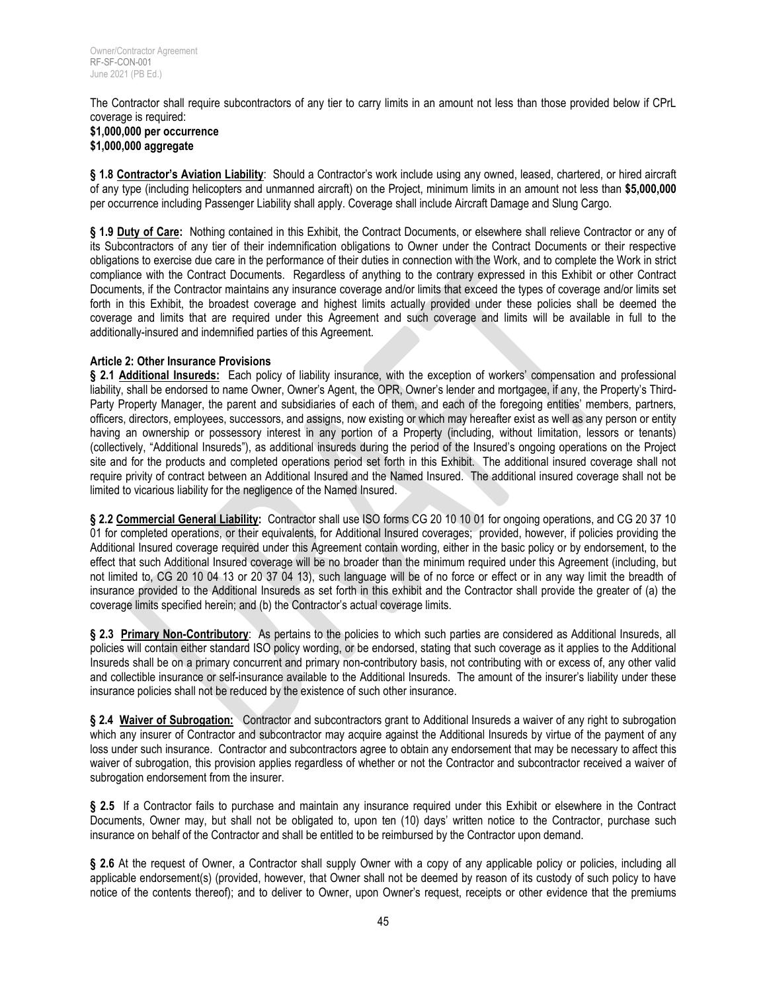The Contractor shall require subcontractors of any tier to carry limits in an amount not less than those provided below if CPrL coverage is required:

#### **\$1,000,000 per occurrence \$1,000,000 aggregate**

**§ 1.8 Contractor's Aviation Liability**: Should a Contractor's work include using any owned, leased, chartered, or hired aircraft of any type (including helicopters and unmanned aircraft) on the Project, minimum limits in an amount not less than **\$5,000,000** per occurrence including Passenger Liability shall apply. Coverage shall include Aircraft Damage and Slung Cargo.

§ 1.9 Duty of Care: Nothing contained in this Exhibit, the Contract Documents, or elsewhere shall relieve Contractor or any of its Subcontractors of any tier of their indemnification obligations to Owner under the Contract Documents or their respective obligations to exercise due care in the performance of their duties in connection with the Work, and to complete the Work in strict compliance with the Contract Documents. Regardless of anything to the contrary expressed in this Exhibit or other Contract Documents, if the Contractor maintains any insurance coverage and/or limits that exceed the types of coverage and/or limits set forth in this Exhibit, the broadest coverage and highest limits actually provided under these policies shall be deemed the coverage and limits that are required under this Agreement and such coverage and limits will be available in full to the additionally-insured and indemnified parties of this Agreement.

## **Article 2: Other Insurance Provisions**

**§ 2.1 Additional Insureds:** Each policy of liability insurance, with the exception of workers' compensation and professional liability, shall be endorsed to name Owner, Owner's Agent, the OPR, Owner's lender and mortgagee, if any, the Property's Third-Party Property Manager, the parent and subsidiaries of each of them, and each of the foregoing entities' members, partners, officers, directors, employees, successors, and assigns, now existing or which may hereafter exist as well as any person or entity having an ownership or possessory interest in any portion of a Property (including, without limitation, lessors or tenants) (collectively, "Additional Insureds"), as additional insureds during the period of the Insured's ongoing operations on the Project site and for the products and completed operations period set forth in this Exhibit. The additional insured coverage shall not require privity of contract between an Additional Insured and the Named Insured. The additional insured coverage shall not be limited to vicarious liability for the negligence of the Named Insured.

§ 2.2 Commercial General Liability: Contractor shall use ISO forms CG 20 10 10 01 for ongoing operations, and CG 20 37 10 01 for completed operations, or their equivalents, for Additional Insured coverages; provided, however, if policies providing the Additional Insured coverage required under this Agreement contain wording, either in the basic policy or by endorsement, to the effect that such Additional Insured coverage will be no broader than the minimum required under this Agreement (including, but not limited to, CG 20 10 04 13 or 20 37 04 13), such language will be of no force or effect or in any way limit the breadth of insurance provided to the Additional Insureds as set forth in this exhibit and the Contractor shall provide the greater of (a) the coverage limits specified herein; and (b) the Contractor's actual coverage limits.

**§ 2.3 Primary Non-Contributory**: As pertains to the policies to which such parties are considered as Additional Insureds, all policies will contain either standard ISO policy wording, or be endorsed, stating that such coverage as it applies to the Additional Insureds shall be on a primary concurrent and primary non-contributory basis, not contributing with or excess of, any other valid and collectible insurance or self-insurance available to the Additional Insureds. The amount of the insurer's liability under these insurance policies shall not be reduced by the existence of such other insurance.

**§ 2.4 Waiver of Subrogation:** Contractor and subcontractors grant to Additional Insureds a waiver of any right to subrogation which any insurer of Contractor and subcontractor may acquire against the Additional Insureds by virtue of the payment of any loss under such insurance. Contractor and subcontractors agree to obtain any endorsement that may be necessary to affect this waiver of subrogation, this provision applies regardless of whether or not the Contractor and subcontractor received a waiver of subrogation endorsement from the insurer.

**§ 2.5** If a Contractor fails to purchase and maintain any insurance required under this Exhibit or elsewhere in the Contract Documents, Owner may, but shall not be obligated to, upon ten (10) days' written notice to the Contractor, purchase such insurance on behalf of the Contractor and shall be entitled to be reimbursed by the Contractor upon demand.

**§ 2.6** At the request of Owner, a Contractor shall supply Owner with a copy of any applicable policy or policies, including all applicable endorsement(s) (provided, however, that Owner shall not be deemed by reason of its custody of such policy to have notice of the contents thereof); and to deliver to Owner, upon Owner's request, receipts or other evidence that the premiums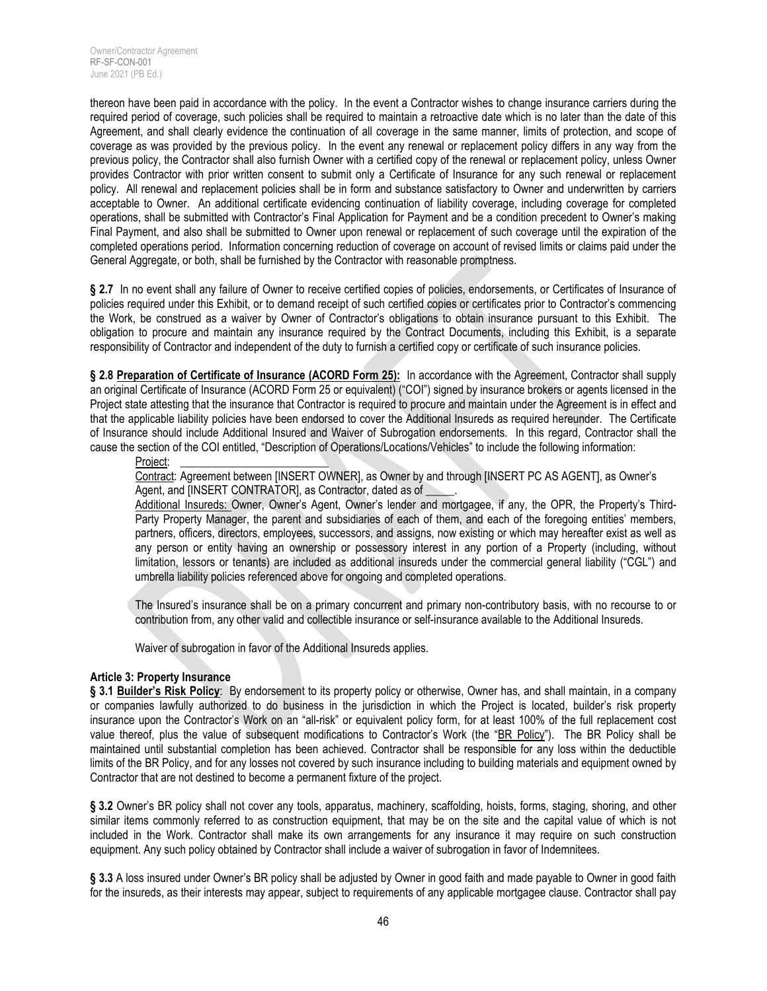thereon have been paid in accordance with the policy. In the event a Contractor wishes to change insurance carriers during the required period of coverage, such policies shall be required to maintain a retroactive date which is no later than the date of this Agreement, and shall clearly evidence the continuation of all coverage in the same manner, limits of protection, and scope of coverage as was provided by the previous policy. In the event any renewal or replacement policy differs in any way from the previous policy, the Contractor shall also furnish Owner with a certified copy of the renewal or replacement policy, unless Owner provides Contractor with prior written consent to submit only a Certificate of Insurance for any such renewal or replacement policy. All renewal and replacement policies shall be in form and substance satisfactory to Owner and underwritten by carriers acceptable to Owner. An additional certificate evidencing continuation of liability coverage, including coverage for completed operations, shall be submitted with Contractor's Final Application for Payment and be a condition precedent to Owner's making Final Payment, and also shall be submitted to Owner upon renewal or replacement of such coverage until the expiration of the completed operations period. Information concerning reduction of coverage on account of revised limits or claims paid under the General Aggregate, or both, shall be furnished by the Contractor with reasonable promptness.

§ 2.7 In no event shall any failure of Owner to receive certified copies of policies, endorsements, or Certificates of Insurance of policies required under this Exhibit, or to demand receipt of such certified copies or certificates prior to Contractor's commencing the Work, be construed as a waiver by Owner of Contractor's obligations to obtain insurance pursuant to this Exhibit. The obligation to procure and maintain any insurance required by the Contract Documents, including this Exhibit, is a separate responsibility of Contractor and independent of the duty to furnish a certified copy or certificate of such insurance policies.

**§ 2.8 Preparation of Certificate of Insurance (ACORD Form 25):** In accordance with the Agreement, Contractor shall supply an original Certificate of Insurance (ACORD Form 25 or equivalent) ("COI") signed by insurance brokers or agents licensed in the Project state attesting that the insurance that Contractor is required to procure and maintain under the Agreement is in effect and that the applicable liability policies have been endorsed to cover the Additional Insureds as required hereunder. The Certificate of Insurance should include Additional Insured and Waiver of Subrogation endorsements. In this regard, Contractor shall the cause the section of the COI entitled, "Description of Operations/Locations/Vehicles" to include the following information:

#### Project:

Contract: Agreement between [INSERT OWNER], as Owner by and through [INSERT PC AS AGENT], as Owner's Agent, and [INSERT CONTRATOR], as Contractor, dated as of

Additional Insureds: Owner, Owner's Agent, Owner's lender and mortgagee, if any, the OPR, the Property's Third-Party Property Manager, the parent and subsidiaries of each of them, and each of the foregoing entities' members, partners, officers, directors, employees, successors, and assigns, now existing or which may hereafter exist as well as any person or entity having an ownership or possessory interest in any portion of a Property (including, without limitation, lessors or tenants) are included as additional insureds under the commercial general liability ("CGL") and umbrella liability policies referenced above for ongoing and completed operations.

The Insured's insurance shall be on a primary concurrent and primary non-contributory basis, with no recourse to or contribution from, any other valid and collectible insurance or self-insurance available to the Additional Insureds.

Waiver of subrogation in favor of the Additional Insureds applies.

#### **Article 3: Property Insurance**

**§ 3.1 Builder's Risk Policy**: By endorsement to its property policy or otherwise, Owner has, and shall maintain, in a company or companies lawfully authorized to do business in the jurisdiction in which the Project is located, builder's risk property insurance upon the Contractor's Work on an "all-risk" or equivalent policy form, for at least 100% of the full replacement cost value thereof, plus the value of subsequent modifications to Contractor's Work (the "BR Policy"). The BR Policy shall be maintained until substantial completion has been achieved. Contractor shall be responsible for any loss within the deductible limits of the BR Policy, and for any losses not covered by such insurance including to building materials and equipment owned by Contractor that are not destined to become a permanent fixture of the project.

**§ 3.2** Owner's BR policy shall not cover any tools, apparatus, machinery, scaffolding, hoists, forms, staging, shoring, and other similar items commonly referred to as construction equipment, that may be on the site and the capital value of which is not included in the Work. Contractor shall make its own arrangements for any insurance it may require on such construction equipment. Any such policy obtained by Contractor shall include a waiver of subrogation in favor of Indemnitees.

**§ 3.3** A loss insured under Owner's BR policy shall be adjusted by Owner in good faith and made payable to Owner in good faith for the insureds, as their interests may appear, subject to requirements of any applicable mortgagee clause. Contractor shall pay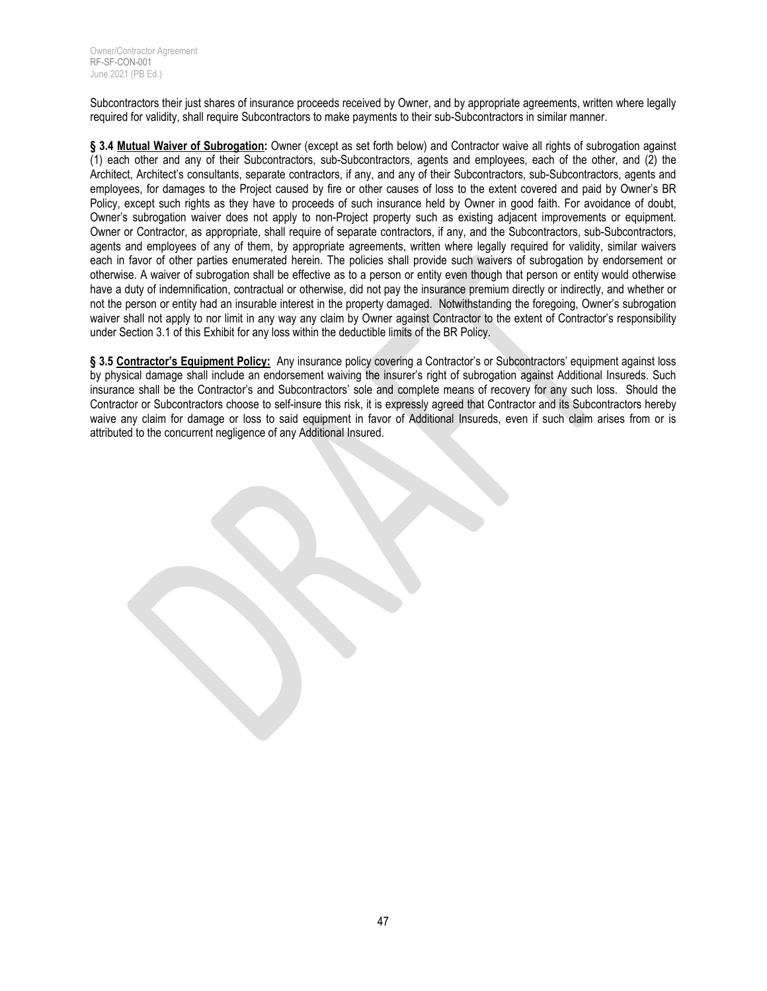Subcontractors their just shares of insurance proceeds received by Owner, and by appropriate agreements, written where legally required for validity, shall require Subcontractors to make payments to their sub-Subcontractors in similar manner.

**§ 3.4 Mutual Waiver of Subrogation:** Owner (except as set forth below) and Contractor waive all rights of subrogation against (1) each other and any of their Subcontractors, sub-Subcontractors, agents and employees, each of the other, and (2) the Architect, Architect's consultants, separate contractors, if any, and any of their Subcontractors, sub-Subcontractors, agents and employees, for damages to the Project caused by fire or other causes of loss to the extent covered and paid by Owner's BR Policy, except such rights as they have to proceeds of such insurance held by Owner in good faith. For avoidance of doubt, Owner's subrogation waiver does not apply to non-Project property such as existing adjacent improvements or equipment. Owner or Contractor, as appropriate, shall require of separate contractors, if any, and the Subcontractors, sub-Subcontractors, agents and employees of any of them, by appropriate agreements, written where legally required for validity, similar waivers each in favor of other parties enumerated herein. The policies shall provide such waivers of subrogation by endorsement or otherwise. A waiver of subrogation shall be effective as to a person or entity even though that person or entity would otherwise have a duty of indemnification, contractual or otherwise, did not pay the insurance premium directly or indirectly, and whether or not the person or entity had an insurable interest in the property damaged. Notwithstanding the foregoing, Owner's subrogation waiver shall not apply to nor limit in any way any claim by Owner against Contractor to the extent of Contractor's responsibility under Section 3.1 of this Exhibit for any loss within the deductible limits of the BR Policy.

§ 3.5 **Contractor's Equipment Policy:** Any insurance policy covering a Contractor's or Subcontractors' equipment against loss by physical damage shall include an endorsement waiving the insurer's right of subrogation against Additional Insureds. Such insurance shall be the Contractor's and Subcontractors' sole and complete means of recovery for any such loss. Should the Contractor or Subcontractors choose to self-insure this risk, it is expressly agreed that Contractor and its Subcontractors hereby waive any claim for damage or loss to said equipment in favor of Additional Insureds, even if such claim arises from or is attributed to the concurrent negligence of any Additional Insured.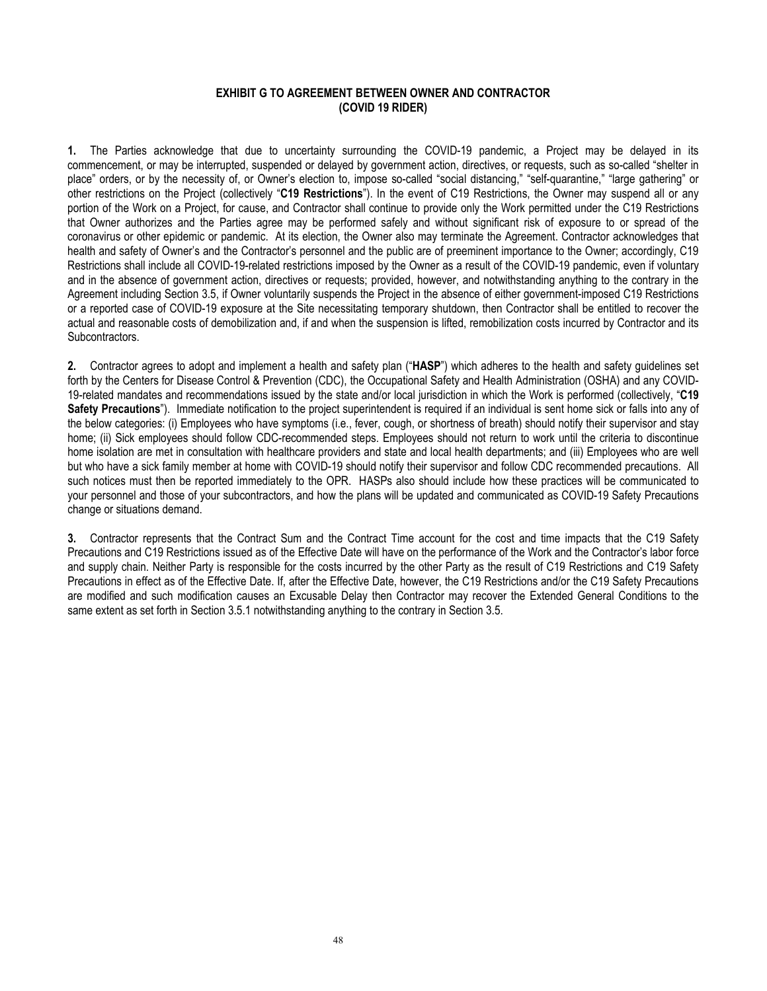#### **EXHIBIT G TO AGREEMENT BETWEEN OWNER AND CONTRACTOR (COVID 19 RIDER)**

**1.** The Parties acknowledge that due to uncertainty surrounding the COVID-19 pandemic, a Project may be delayed in its commencement, or may be interrupted, suspended or delayed by government action, directives, or requests, such as so-called "shelter in place" orders, or by the necessity of, or Owner's election to, impose so-called "social distancing," "self-quarantine," "large gathering" or other restrictions on the Project (collectively "**C19 Restrictions**"). In the event of C19 Restrictions, the Owner may suspend all or any portion of the Work on a Project, for cause, and Contractor shall continue to provide only the Work permitted under the C19 Restrictions that Owner authorizes and the Parties agree may be performed safely and without significant risk of exposure to or spread of the coronavirus or other epidemic or pandemic. At its election, the Owner also may terminate the Agreement. Contractor acknowledges that health and safety of Owner's and the Contractor's personnel and the public are of preeminent importance to the Owner; accordingly, C19 Restrictions shall include all COVID-19-related restrictions imposed by the Owner as a result of the COVID-19 pandemic, even if voluntary and in the absence of government action, directives or requests; provided, however, and notwithstanding anything to the contrary in the Agreement including Section 3.5, if Owner voluntarily suspends the Project in the absence of either government-imposed C19 Restrictions or a reported case of COVID-19 exposure at the Site necessitating temporary shutdown, then Contractor shall be entitled to recover the actual and reasonable costs of demobilization and, if and when the suspension is lifted, remobilization costs incurred by Contractor and its Subcontractors.

**2.** Contractor agrees to adopt and implement a health and safety plan ("**HASP**") which adheres to the health and safety guidelines set forth by the Centers for Disease Control & Prevention (CDC), the Occupational Safety and Health Administration (OSHA) and any COVID-19-related mandates and recommendations issued by the state and/or local jurisdiction in which the Work is performed (collectively, "**C19 Safety Precautions**"). Immediate notification to the project superintendent is required if an individual is sent home sick or falls into any of the below categories: (i) Employees who have symptoms (i.e., fever, cough, or shortness of breath) should notify their supervisor and stay home; (ii) Sick employees should follow CDC-recommended steps. Employees should not return to work until the criteria to discontinue home isolation are met in consultation with healthcare providers and state and local health departments; and (iii) Employees who are well but who have a sick family member at home with COVID-19 should notify their supervisor and follow CDC recommended precautions. All such notices must then be reported immediately to the OPR. HASPs also should include how these practices will be communicated to your personnel and those of your subcontractors, and how the plans will be updated and communicated as COVID-19 Safety Precautions change or situations demand.

**3.** Contractor represents that the Contract Sum and the Contract Time account for the cost and time impacts that the C19 Safety Precautions and C19 Restrictions issued as of the Effective Date will have on the performance of the Work and the Contractor's labor force and supply chain. Neither Party is responsible for the costs incurred by the other Party as the result of C19 Restrictions and C19 Safety Precautions in effect as of the Effective Date. If, after the Effective Date, however, the C19 Restrictions and/or the C19 Safety Precautions are modified and such modification causes an Excusable Delay then Contractor may recover the Extended General Conditions to the same extent as set forth in Section 3.5.1 notwithstanding anything to the contrary in Section 3.5.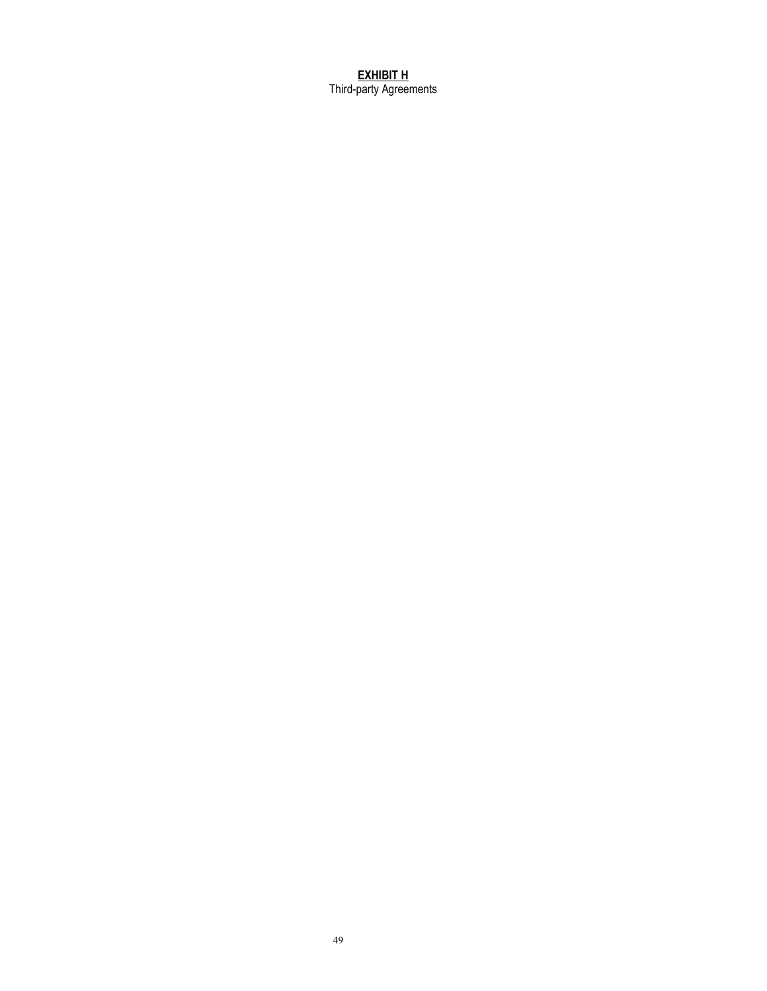**EXHIBIT H** Third-party Agreements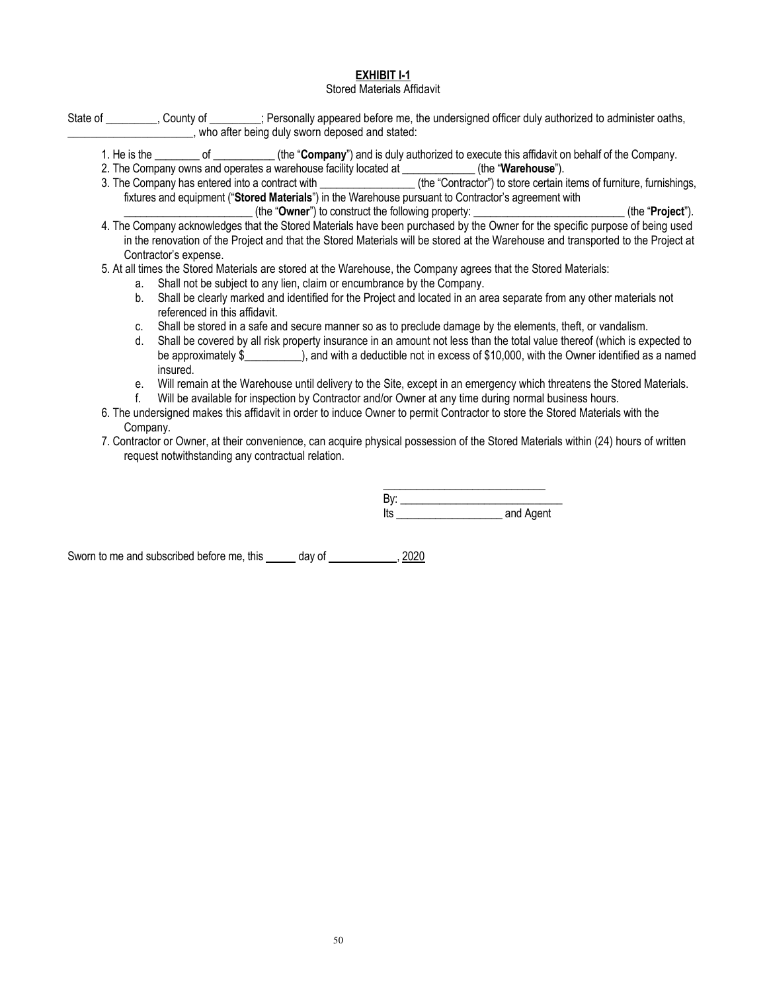## **EXHIBIT I-1**

## Stored Materials Affidavit

| State of __________, County of _________; Personally appeared before me, the undersigned officer duly authorized to administer oaths,                                                                                                          |
|------------------------------------------------------------------------------------------------------------------------------------------------------------------------------------------------------------------------------------------------|
| who after being duly sworn deposed and stated:                                                                                                                                                                                                 |
| 1. He is the ________ of __________(the "Company") and is duly authorized to execute this affidavit on behalf of the Company.                                                                                                                  |
| 2. The Company owns and operates a warehouse facility located at ___________(the "Warehouse").                                                                                                                                                 |
| 3. The Company has entered into a contract with ________________(the "Contractor") to store certain items of furniture, furnishings,                                                                                                           |
| fixtures and equipment ("Stored Materials") in the Warehouse pursuant to Contractor's agreement with                                                                                                                                           |
| (the "Owner") to construct the following property: _________________________(the "Project").                                                                                                                                                   |
| 4. The Company acknowledges that the Stored Materials have been purchased by the Owner for the specific purpose of being used                                                                                                                  |
| in the renovation of the Project and that the Stored Materials will be stored at the Warehouse and transported to the Project at                                                                                                               |
| Contractor's expense.                                                                                                                                                                                                                          |
| 5. At all times the Stored Materials are stored at the Warehouse, the Company agrees that the Stored Materials:                                                                                                                                |
| Shall not be subject to any lien, claim or encumbrance by the Company.<br>a.                                                                                                                                                                   |
| Shall be clearly marked and identified for the Project and located in an area separate from any other materials not<br>b.                                                                                                                      |
| referenced in this affidavit.                                                                                                                                                                                                                  |
| Shall be stored in a safe and secure manner so as to preclude damage by the elements, theft, or vandalism.<br>C.                                                                                                                               |
| Shall be covered by all risk property insurance in an amount not less than the total value thereof (which is expected to<br>d.                                                                                                                 |
| be approximately \$______________), and with a deductible not in excess of \$10,000, with the Owner identified as a named                                                                                                                      |
| insured.                                                                                                                                                                                                                                       |
| Will remain at the Warehouse until delivery to the Site, except in an emergency which threatens the Stored Materials.<br>е.                                                                                                                    |
| Will be available for inspection by Contractor and/or Owner at any time during normal business hours.                                                                                                                                          |
| 6. The undersigned makes this affidavit in order to induce Owner to permit Contractor to store the Stored Materials with the                                                                                                                   |
| Company.                                                                                                                                                                                                                                       |
| $\sim$ . $\bullet$ , and the second second second the first condition of the $\bullet$ th and the first second $\bullet$ . The second second second second second second second second second second second second second second second second |

7. Contractor or Owner, at their convenience, can acquire physical possession of the Stored Materials within (24) hours of written request notwithstanding any contractual relation.

> $\frac{1}{2}$  ,  $\frac{1}{2}$  ,  $\frac{1}{2}$  ,  $\frac{1}{2}$  ,  $\frac{1}{2}$  ,  $\frac{1}{2}$  ,  $\frac{1}{2}$  ,  $\frac{1}{2}$  ,  $\frac{1}{2}$  ,  $\frac{1}{2}$  ,  $\frac{1}{2}$  ,  $\frac{1}{2}$  ,  $\frac{1}{2}$  ,  $\frac{1}{2}$  ,  $\frac{1}{2}$  ,  $\frac{1}{2}$  ,  $\frac{1}{2}$  ,  $\frac{1}{2}$  ,  $\frac{1$ By: \_\_\_\_\_\_\_\_\_\_\_\_\_\_\_\_\_\_\_\_\_\_\_\_\_\_\_\_\_ Its \_\_\_\_\_\_\_\_\_\_\_\_\_\_\_\_\_\_\_ and Agent

Sworn to me and subscribed before me, this \_\_\_\_\_ day of \_\_\_\_\_\_\_\_\_\_\_\_, 2020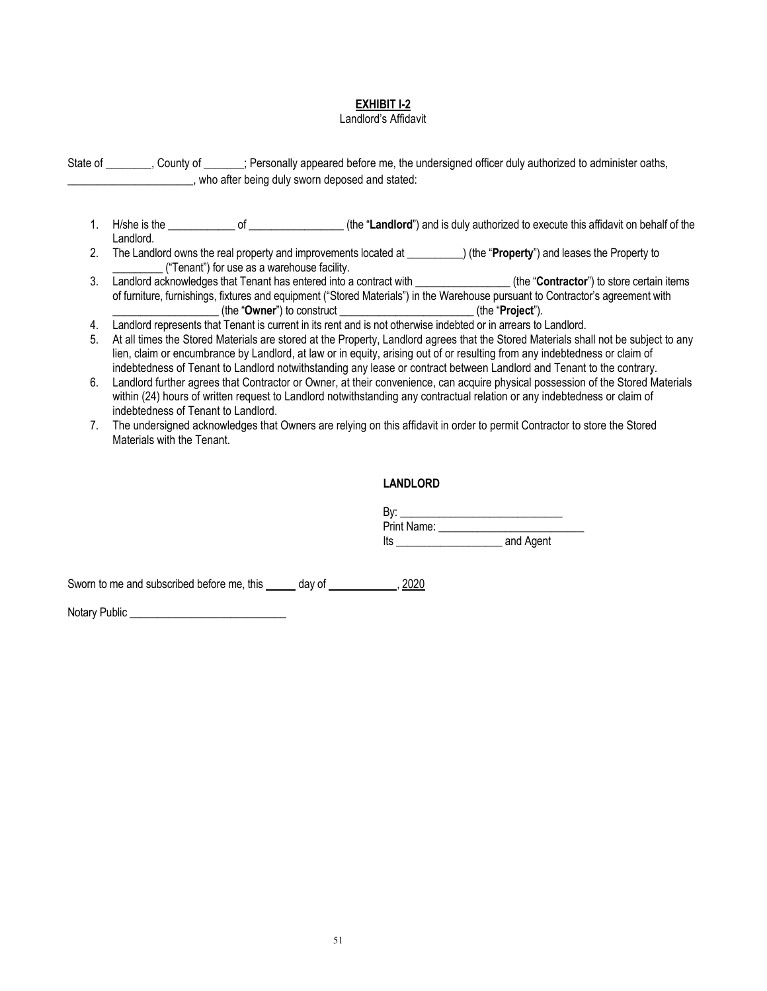#### **EXHIBIT I-2**

#### Landlord's Affidavit

State of \_\_\_\_\_\_\_\_, County of \_\_\_\_\_\_\_; Personally appeared before me, the undersigned officer duly authorized to administer oaths, \_\_\_\_\_\_\_\_\_\_\_\_\_\_\_\_\_\_\_\_\_\_, who after being duly sworn deposed and stated:

- 1. H/she is the \_\_\_\_\_\_\_\_\_\_\_\_ of \_\_\_\_\_\_\_\_\_\_\_\_\_\_\_\_\_ (the "**Landlord**") and is duly authorized to execute this affidavit on behalf of the Landlord.
- 2. The Landlord owns the real property and improvements located at \_\_\_\_\_\_\_\_\_\_) (the "**Property**") and leases the Property to \_\_\_\_\_\_\_\_\_ ("Tenant") for use as a warehouse facility.
- 3. Landlord acknowledges that Tenant has entered into a contract with \_\_\_\_\_\_\_\_\_\_\_\_\_\_\_\_\_ (the "**Contractor**") to store certain items of furniture, furnishings, fixtures and equipment ("Stored Materials") in the Warehouse pursuant to Contractor's agreement with \_\_\_\_\_\_\_\_\_\_\_\_\_\_\_\_\_\_\_ (the "**Owner**") to construct \_\_\_\_\_\_\_\_\_\_\_\_\_\_\_\_\_\_\_\_\_\_\_\_ (the "**Project**").
- 4. Landlord represents that Tenant is current in its rent and is not otherwise indebted or in arrears to Landlord.
- 5. At all times the Stored Materials are stored at the Property, Landlord agrees that the Stored Materials shall not be subject to any lien, claim or encumbrance by Landlord, at law or in equity, arising out of or resulting from any indebtedness or claim of indebtedness of Tenant to Landlord notwithstanding any lease or contract between Landlord and Tenant to the contrary.
- 6. Landlord further agrees that Contractor or Owner, at their convenience, can acquire physical possession of the Stored Materials within (24) hours of written request to Landlord notwithstanding any contractual relation or any indebtedness or claim of indebtedness of Tenant to Landlord.
- 7. The undersigned acknowledges that Owners are relying on this affidavit in order to permit Contractor to store the Stored Materials with the Tenant.

#### **LANDLORD**

| B۷.<br>Print Name: |           |     |  |
|--------------------|-----------|-----|--|
|                    |           | lts |  |
|                    | and Agent |     |  |

Sworn to me and subscribed before me, this day of , 2020

Notary Public \_\_\_\_\_\_\_\_\_\_\_\_\_\_\_\_\_\_\_\_\_\_\_\_\_\_\_\_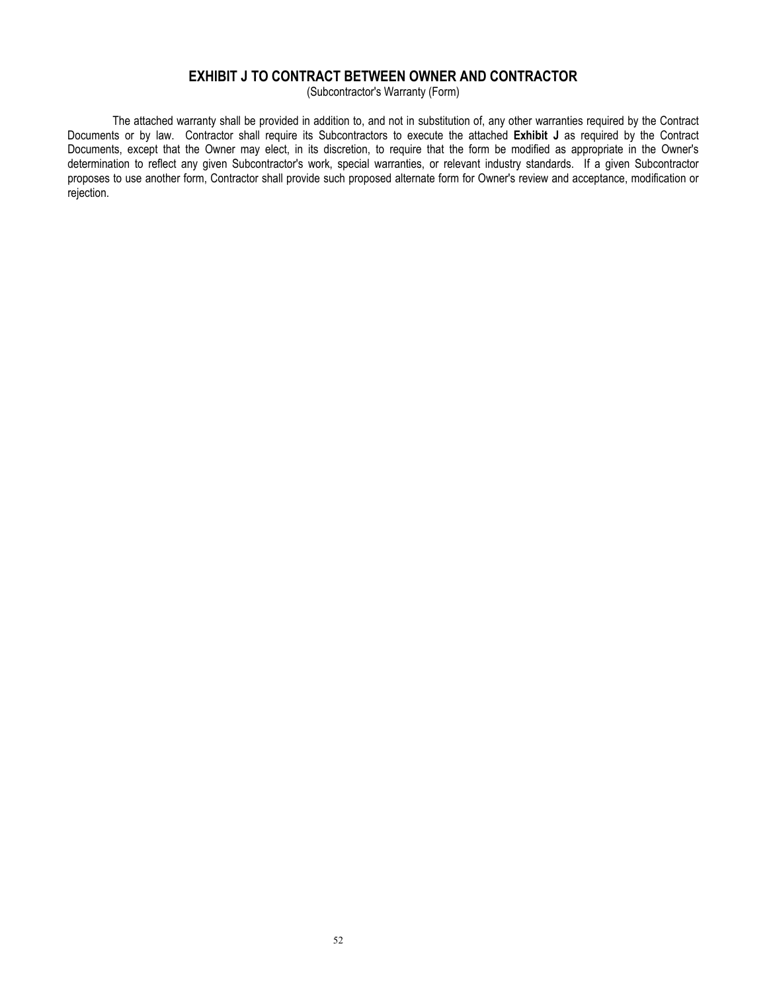# **EXHIBIT J TO CONTRACT BETWEEN OWNER AND CONTRACTOR**

(Subcontractor's Warranty (Form)

The attached warranty shall be provided in addition to, and not in substitution of, any other warranties required by the Contract Documents or by law. Contractor shall require its Subcontractors to execute the attached **Exhibit J** as required by the Contract Documents, except that the Owner may elect, in its discretion, to require that the form be modified as appropriate in the Owner's determination to reflect any given Subcontractor's work, special warranties, or relevant industry standards. If a given Subcontractor proposes to use another form, Contractor shall provide such proposed alternate form for Owner's review and acceptance, modification or rejection.